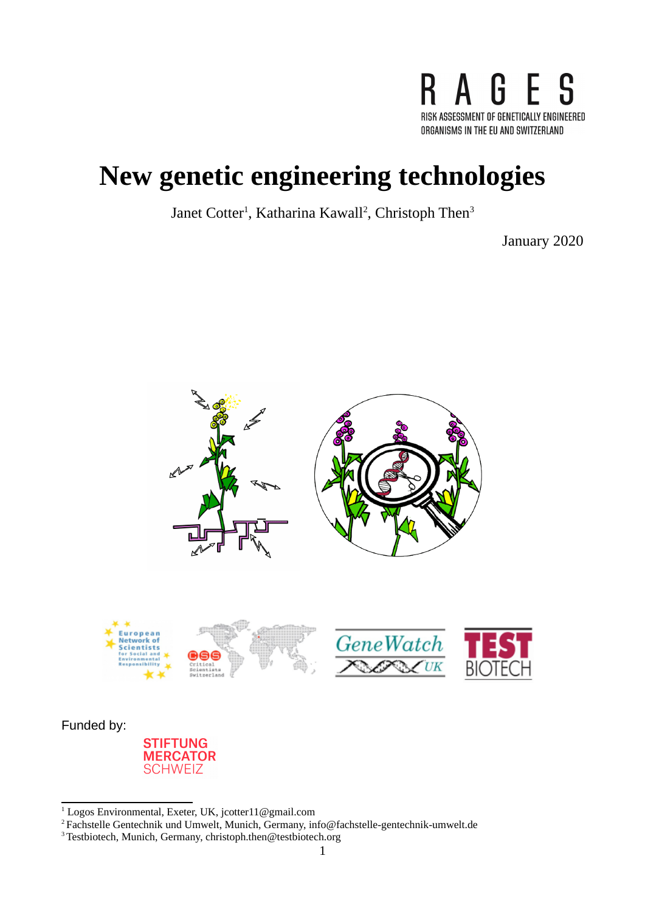

# **New genetic engineering technologies**

Janet Cotter<sup>[1](#page-0-0)</sup>, Katharina Kawall<sup>[2](#page-0-1)</sup>, Christoph Then<sup>[3](#page-0-2)</sup>

January 2020



 $1$  Logos Environmental, Exeter, UK, jcotter $11@$ gmail.com

<span id="page-0-1"></span><span id="page-0-0"></span><sup>2</sup>Fachstelle Gentechnik und Umwelt, Munich, Germany, info@fachstelle-gentechnik-umwelt.de

<span id="page-0-2"></span><sup>&</sup>lt;sup>3</sup>Testbiotech, Munich, Germany, christoph.then@testbiotech.org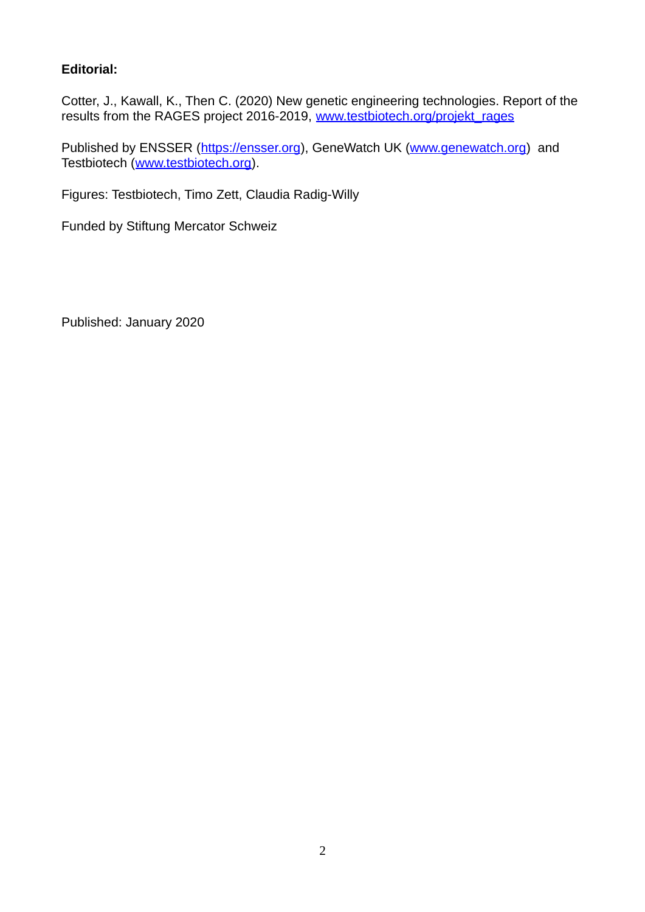#### **Editorial:**

Cotter, J., Kawall, K., Then C. (2020) New genetic engineering technologies. Report of the results from the RAGES project 2016-2019, www.testbiotech.org/projekt\_rages

Published by ENSSER [\(https://ensser.org\)](https://ensser.org/), GeneWatch UK [\(www.genewatch.org\)](http://www.genewatch.org/) and Testbiotech [\(www.testbiotech.org\)](http://www.testbiotech.org/).

Figures: Testbiotech, Timo Zett, Claudia Radig-Willy

Funded by Stiftung Mercator Schweiz

Published: January 2020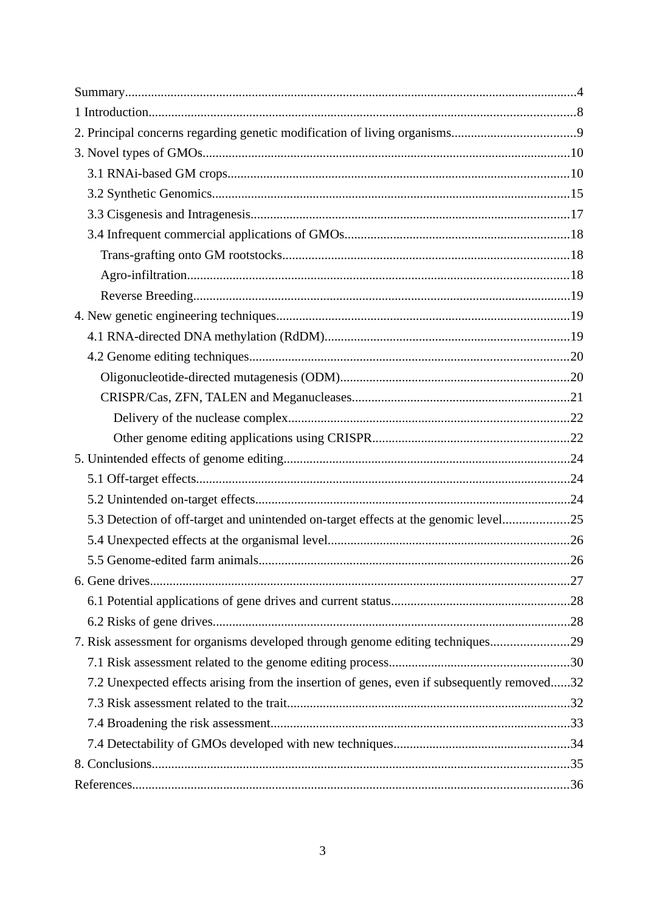| 5.3 Detection of off-target and unintended on-target effects at the genomic level25        |  |
|--------------------------------------------------------------------------------------------|--|
|                                                                                            |  |
|                                                                                            |  |
|                                                                                            |  |
|                                                                                            |  |
|                                                                                            |  |
| 7. Risk assessment for organisms developed through genome editing techniques29             |  |
|                                                                                            |  |
| 7.2 Unexpected effects arising from the insertion of genes, even if subsequently removed32 |  |
|                                                                                            |  |
|                                                                                            |  |
|                                                                                            |  |
|                                                                                            |  |
|                                                                                            |  |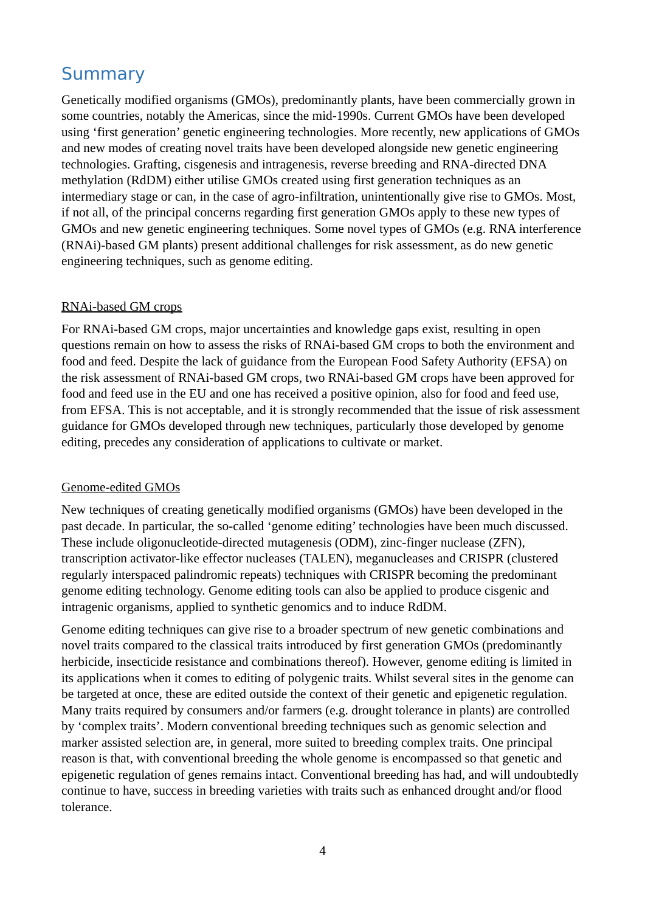## <span id="page-3-0"></span>**Summary**

Genetically modified organisms (GMOs), predominantly plants, have been commercially grown in some countries, notably the Americas, since the mid-1990s. Current GMOs have been developed using 'first generation' genetic engineering technologies. More recently, new applications of GMOs and new modes of creating novel traits have been developed alongside new genetic engineering technologies. Grafting, cisgenesis and intragenesis, reverse breeding and RNA-directed DNA methylation (RdDM) either utilise GMOs created using first generation techniques as an intermediary stage or can, in the case of agro-infiltration, unintentionally give rise to GMOs. Most, if not all, of the principal concerns regarding first generation GMOs apply to these new types of GMOs and new genetic engineering techniques. Some novel types of GMOs (e.g. RNA interference (RNAi)-based GM plants) present additional challenges for risk assessment, as do new genetic engineering techniques, such as genome editing.

#### RNAi-based GM crops

For RNAi-based GM crops, major uncertainties and knowledge gaps exist, resulting in open questions remain on how to assess the risks of RNAi-based GM crops to both the environment and food and feed. Despite the lack of guidance from the European Food Safety Authority (EFSA) on the risk assessment of RNAi-based GM crops, two RNAi-based GM crops have been approved for food and feed use in the EU and one has received a positive opinion, also for food and feed use, from EFSA. This is not acceptable, and it is strongly recommended that the issue of risk assessment guidance for GMOs developed through new techniques, particularly those developed by genome editing, precedes any consideration of applications to cultivate or market.

#### Genome-edited GMOs

New techniques of creating genetically modified organisms (GMOs) have been developed in the past decade. In particular, the so-called 'genome editing' technologies have been much discussed. These include oligonucleotide-directed mutagenesis (ODM), zinc-finger nuclease (ZFN), transcription activator-like effector nucleases (TALEN), meganucleases and CRISPR (clustered regularly interspaced palindromic repeats) techniques with CRISPR becoming the predominant genome editing technology. Genome editing tools can also be applied to produce cisgenic and intragenic organisms, applied to synthetic genomics and to induce RdDM.

Genome editing techniques can give rise to a broader spectrum of new genetic combinations and novel traits compared to the classical traits introduced by first generation GMOs (predominantly herbicide, insecticide resistance and combinations thereof). However, genome editing is limited in its applications when it comes to editing of polygenic traits. Whilst several sites in the genome can be targeted at once, these are edited outside the context of their genetic and epigenetic regulation. Many traits required by consumers and/or farmers (e.g. drought tolerance in plants) are controlled by 'complex traits'. Modern conventional breeding techniques such as genomic selection and marker assisted selection are, in general, more suited to breeding complex traits. One principal reason is that, with conventional breeding the whole genome is encompassed so that genetic and epigenetic regulation of genes remains intact. Conventional breeding has had, and will undoubtedly continue to have, success in breeding varieties with traits such as enhanced drought and/or flood tolerance.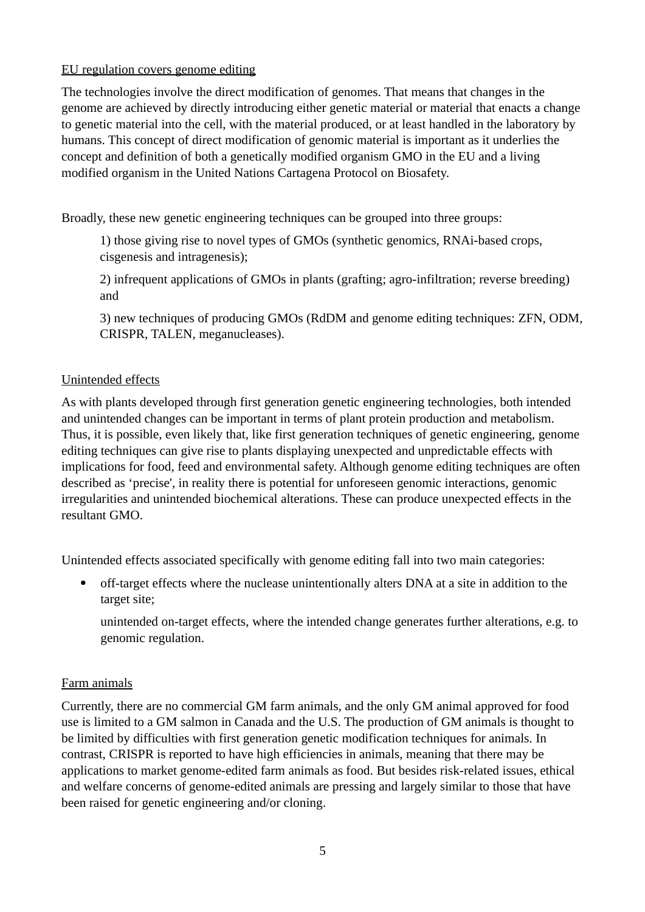#### EU regulation covers genome editing

The technologies involve the direct modification of genomes. That means that changes in the genome are achieved by directly introducing either genetic material or material that enacts a change to genetic material into the cell, with the material produced, or at least handled in the laboratory by humans. This concept of direct modification of genomic material is important as it underlies the concept and definition of both a genetically modified organism GMO in the EU and a living modified organism in the United Nations Cartagena Protocol on Biosafety.

Broadly, these new genetic engineering techniques can be grouped into three groups:

1) those giving rise to novel types of GMOs (synthetic genomics, RNAi-based crops, cisgenesis and intragenesis);

2) infrequent applications of GMOs in plants (grafting; agro-infiltration; reverse breeding) and

3) new techniques of producing GMOs (RdDM and genome editing techniques: ZFN, ODM, CRISPR, TALEN, meganucleases).

#### Unintended effects

As with plants developed through first generation genetic engineering technologies, both intended and unintended changes can be important in terms of plant protein production and metabolism. Thus, it is possible, even likely that, like first generation techniques of genetic engineering, genome editing techniques can give rise to plants displaying unexpected and unpredictable effects with implications for food, feed and environmental safety. Although genome editing techniques are often described as 'precise', in reality there is potential for unforeseen genomic interactions, genomic irregularities and unintended biochemical alterations. These can produce unexpected effects in the resultant GMO.

Unintended effects associated specifically with genome editing fall into two main categories:

 off-target effects where the nuclease unintentionally alters DNA at a site in addition to the target site;

unintended on-target effects, where the intended change generates further alterations, e.g. to genomic regulation.

#### Farm animals

Currently, there are no commercial GM farm animals, and the only GM animal approved for food use is limited to a GM salmon in Canada and the U.S. The production of GM animals is thought to be limited by difficulties with first generation genetic modification techniques for animals. In contrast, CRISPR is reported to have high efficiencies in animals, meaning that there may be applications to market genome-edited farm animals as food. But besides risk-related issues, ethical and welfare concerns of genome-edited animals are pressing and largely similar to those that have been raised for genetic engineering and/or cloning.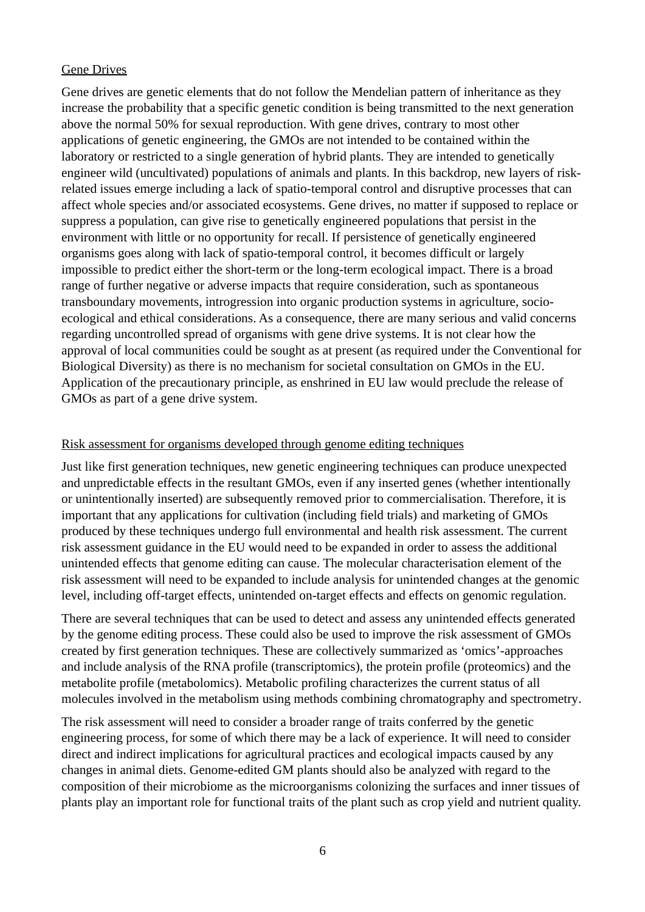#### Gene Drives

Gene drives are genetic elements that do not follow the Mendelian pattern of inheritance as they increase the probability that a specific genetic condition is being transmitted to the next generation above the normal 50% for sexual reproduction. With gene drives, contrary to most other applications of genetic engineering, the GMOs are not intended to be contained within the laboratory or restricted to a single generation of hybrid plants. They are intended to genetically engineer wild (uncultivated) populations of animals and plants. In this backdrop, new layers of riskrelated issues emerge including a lack of spatio-temporal control and disruptive processes that can affect whole species and/or associated ecosystems. Gene drives, no matter if supposed to replace or suppress a population, can give rise to genetically engineered populations that persist in the environment with little or no opportunity for recall. If persistence of genetically engineered organisms goes along with lack of spatio-temporal control, it becomes difficult or largely impossible to predict either the short-term or the long-term ecological impact. There is a broad range of further negative or adverse impacts that require consideration, such as spontaneous transboundary movements, introgression into organic production systems in agriculture, socioecological and ethical considerations. As a consequence, there are many serious and valid concerns regarding uncontrolled spread of organisms with gene drive systems. It is not clear how the approval of local communities could be sought as at present (as required under the Conventional for Biological Diversity) as there is no mechanism for societal consultation on GMOs in the EU. Application of the precautionary principle, as enshrined in EU law would preclude the release of GMOs as part of a gene drive system.

#### Risk assessment for organisms developed through genome editing techniques

Just like first generation techniques, new genetic engineering techniques can produce unexpected and unpredictable effects in the resultant GMOs, even if any inserted genes (whether intentionally or unintentionally inserted) are subsequently removed prior to commercialisation. Therefore, it is important that any applications for cultivation (including field trials) and marketing of GMOs produced by these techniques undergo full environmental and health risk assessment. The current risk assessment guidance in the EU would need to be expanded in order to assess the additional unintended effects that genome editing can cause. The molecular characterisation element of the risk assessment will need to be expanded to include analysis for unintended changes at the genomic level, including off-target effects, unintended on-target effects and effects on genomic regulation.

There are several techniques that can be used to detect and assess any unintended effects generated by the genome editing process. These could also be used to improve the risk assessment of GMOs created by first generation techniques. These are collectively summarized as 'omics'-approaches and include analysis of the RNA profile (transcriptomics), the protein profile (proteomics) and the metabolite profile (metabolomics). Metabolic profiling characterizes the current status of all molecules involved in the metabolism using methods combining chromatography and spectrometry.

The risk assessment will need to consider a broader range of traits conferred by the genetic engineering process, for some of which there may be a lack of experience. It will need to consider direct and indirect implications for agricultural practices and ecological impacts caused by any changes in animal diets. Genome-edited GM plants should also be analyzed with regard to the composition of their microbiome as the microorganisms colonizing the surfaces and inner tissues of plants play an important role for functional traits of the plant such as crop yield and nutrient quality.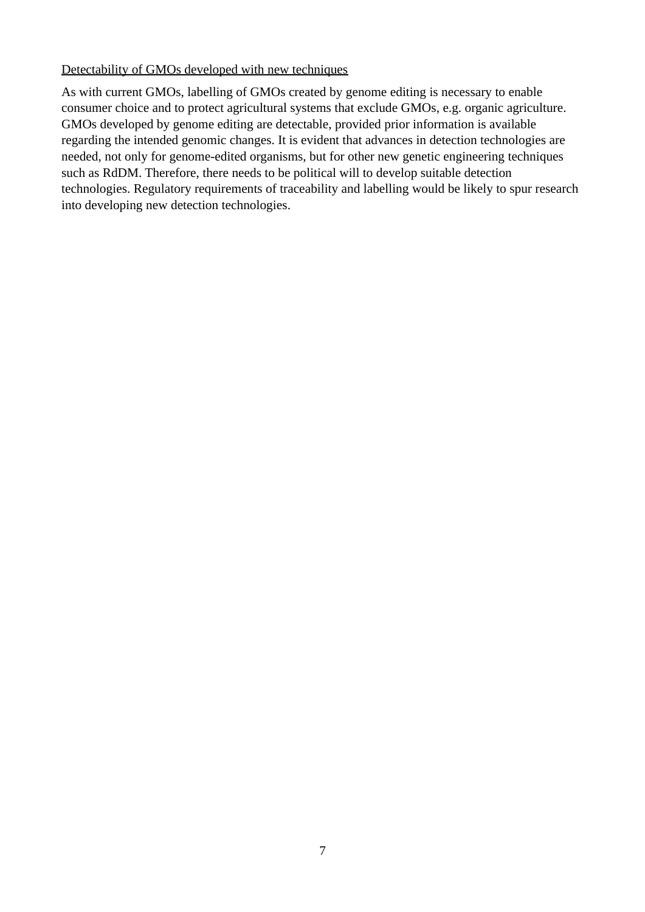#### Detectability of GMOs developed with new techniques

As with current GMOs, labelling of GMOs created by genome editing is necessary to enable consumer choice and to protect agricultural systems that exclude GMOs, e.g. organic agriculture. GMOs developed by genome editing are detectable, provided prior information is available regarding the intended genomic changes. It is evident that advances in detection technologies are needed, not only for genome-edited organisms, but for other new genetic engineering techniques such as RdDM. Therefore, there needs to be political will to develop suitable detection technologies. Regulatory requirements of traceability and labelling would be likely to spur research into developing new detection technologies.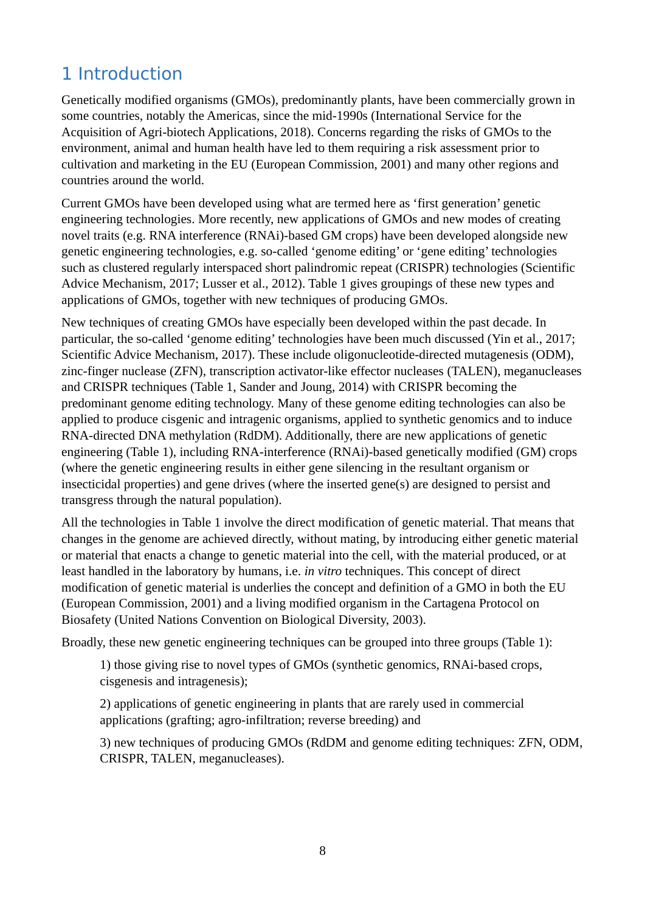# <span id="page-7-0"></span>1 Introduction

Genetically modified organisms (GMOs), predominantly plants, have been commercially grown in some countries, notably the Americas, since the mid-1990s (International Service for the Acquisition of Agri-biotech Applications, 2018). Concerns regarding the risks of GMOs to the environment, animal and human health have led to them requiring a risk assessment prior to cultivation and marketing in the EU (European Commission, 2001) and many other regions and countries around the world.

Current GMOs have been developed using what are termed here as 'first generation' genetic engineering technologies. More recently, new applications of GMOs and new modes of creating novel traits (e.g. RNA interference (RNAi)-based GM crops) have been developed alongside new genetic engineering technologies, e.g. so-called 'genome editing' or 'gene editing' technologies such as clustered regularly interspaced short palindromic repeat (CRISPR) technologies (Scientific Advice Mechanism, 2017; Lusser et al., 2012). Table 1 gives groupings of these new types and applications of GMOs, together with new techniques of producing GMOs.

New techniques of creating GMOs have especially been developed within the past decade. In particular, the so-called 'genome editing' technologies have been much discussed (Yin et al., 2017; Scientific Advice Mechanism, 2017). These include oligonucleotide-directed mutagenesis (ODM), zinc-finger nuclease (ZFN), transcription activator-like effector nucleases (TALEN), meganucleases and CRISPR techniques (Table 1, Sander and Joung, 2014) with CRISPR becoming the predominant genome editing technology. Many of these genome editing technologies can also be applied to produce cisgenic and intragenic organisms, applied to synthetic genomics and to induce RNA-directed DNA methylation (RdDM). Additionally, there are new applications of genetic engineering (Table 1), including RNA-interference (RNAi)-based genetically modified (GM) crops (where the genetic engineering results in either gene silencing in the resultant organism or insecticidal properties) and gene drives (where the inserted gene(s) are designed to persist and transgress through the natural population).

All the technologies in Table 1 involve the direct modification of genetic material. That means that changes in the genome are achieved directly, without mating, by introducing either genetic material or material that enacts a change to genetic material into the cell, with the material produced, or at least handled in the laboratory by humans, i.e. *in vitro* techniques. This concept of direct modification of genetic material is underlies the concept and definition of a GMO in both the EU (European Commission, 2001) and a living modified organism in the Cartagena Protocol on Biosafety (United Nations Convention on Biological Diversity, 2003).

Broadly, these new genetic engineering techniques can be grouped into three groups (Table 1):

1) those giving rise to novel types of GMOs (synthetic genomics, RNAi-based crops, cisgenesis and intragenesis);

2) applications of genetic engineering in plants that are rarely used in commercial applications (grafting; agro-infiltration; reverse breeding) and

3) new techniques of producing GMOs (RdDM and genome editing techniques: ZFN, ODM, CRISPR, TALEN, meganucleases).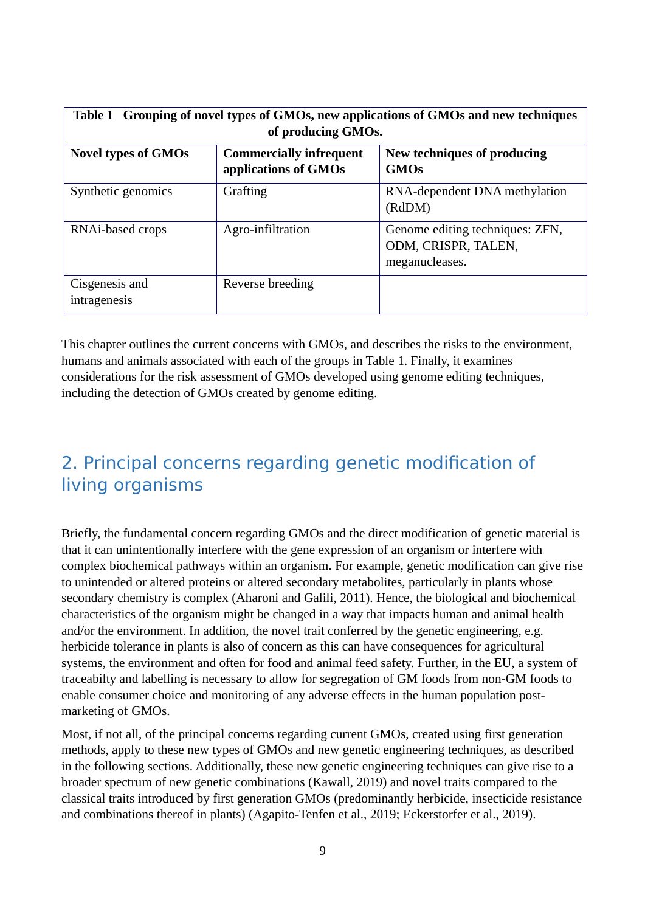| Table 1 Grouping of novel types of GMOs, new applications of GMOs and new techniques<br>of producing GMOs. |                                                        |                                                                          |  |
|------------------------------------------------------------------------------------------------------------|--------------------------------------------------------|--------------------------------------------------------------------------|--|
| <b>Novel types of GMOs</b>                                                                                 | <b>Commercially infrequent</b><br>applications of GMOs | New techniques of producing<br><b>GMOs</b>                               |  |
| Synthetic genomics                                                                                         | Grafting                                               | RNA-dependent DNA methylation<br>(RdDM)                                  |  |
| RNAi-based crops                                                                                           | Agro-infiltration                                      | Genome editing techniques: ZFN,<br>ODM, CRISPR, TALEN,<br>meganucleases. |  |
| Cisgenesis and<br>intragenesis                                                                             | Reverse breeding                                       |                                                                          |  |

This chapter outlines the current concerns with GMOs, and describes the risks to the environment, humans and animals associated with each of the groups in Table 1. Finally, it examines considerations for the risk assessment of GMOs developed using genome editing techniques, including the detection of GMOs created by genome editing.

# <span id="page-8-0"></span>2. Principal concerns regarding genetic modification of living organisms

Briefly, the fundamental concern regarding GMOs and the direct modification of genetic material is that it can unintentionally interfere with the gene expression of an organism or interfere with complex biochemical pathways within an organism. For example, genetic modification can give rise to unintended or altered proteins or altered secondary metabolites, particularly in plants whose secondary chemistry is complex (Aharoni and Galili, 2011). Hence, the biological and biochemical characteristics of the organism might be changed in a way that impacts human and animal health and/or the environment. In addition, the novel trait conferred by the genetic engineering, e.g. herbicide tolerance in plants is also of concern as this can have consequences for agricultural systems, the environment and often for food and animal feed safety. Further, in the EU, a system of traceabilty and labelling is necessary to allow for segregation of GM foods from non-GM foods to enable consumer choice and monitoring of any adverse effects in the human population postmarketing of GMOs.

Most, if not all, of the principal concerns regarding current GMOs, created using first generation methods, apply to these new types of GMOs and new genetic engineering techniques, as described in the following sections. Additionally, these new genetic engineering techniques can give rise to a broader spectrum of new genetic combinations (Kawall, 2019) and novel traits compared to the classical traits introduced by first generation GMOs (predominantly herbicide, insecticide resistance and combinations thereof in plants) (Agapito-Tenfen et al., 2019; Eckerstorfer et al., 2019).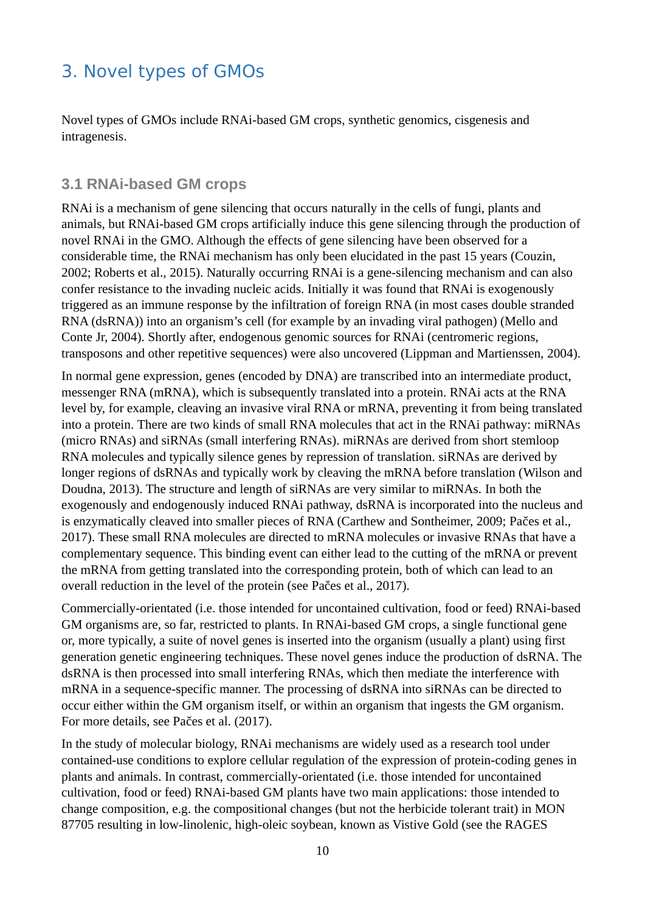# <span id="page-9-1"></span>3. Novel types of GMOs

Novel types of GMOs include RNAi-based GM crops, synthetic genomics, cisgenesis and intragenesis.

### <span id="page-9-0"></span>**3.1 RNAi-based GM crops**

RNAi is a mechanism of gene silencing that occurs naturally in the cells of fungi, plants and animals, but RNAi-based GM crops artificially induce this gene silencing through the production of novel RNAi in the GMO. Although the effects of gene silencing have been observed for a considerable time, the RNAi mechanism has only been elucidated in the past 15 years (Couzin, 2002; Roberts et al., 2015). Naturally occurring RNAi is a gene-silencing mechanism and can also confer resistance to the invading nucleic acids. Initially it was found that RNAi is exogenously triggered as an immune response by the infiltration of foreign RNA (in most cases double stranded RNA (dsRNA)) into an organism's cell (for example by an invading viral pathogen) (Mello and Conte Jr, 2004). Shortly after, endogenous genomic sources for RNAi (centromeric regions, transposons and other repetitive sequences) were also uncovered (Lippman and Martienssen, 2004).

In normal gene expression, genes (encoded by DNA) are transcribed into an intermediate product, messenger RNA (mRNA), which is subsequently translated into a protein. RNAi acts at the RNA level by, for example, cleaving an invasive viral RNA or mRNA, preventing it from being translated into a protein. There are two kinds of small RNA molecules that act in the RNAi pathway: miRNAs (micro RNAs) and siRNAs (small interfering RNAs). miRNAs are derived from short stemloop RNA molecules and typically silence genes by repression of translation. siRNAs are derived by longer regions of dsRNAs and typically work by cleaving the mRNA before translation (Wilson and Doudna, 2013). The structure and length of siRNAs are very similar to miRNAs. In both the exogenously and endogenously induced RNAi pathway, dsRNA is incorporated into the nucleus and is enzymatically cleaved into smaller pieces of RNA (Carthew and Sontheimer, 2009; Pačes et al., 2017). These small RNA molecules are directed to mRNA molecules or invasive RNAs that have a complementary sequence. This binding event can either lead to the cutting of the mRNA or prevent the mRNA from getting translated into the corresponding protein, both of which can lead to an overall reduction in the level of the protein (see Pačes et al., 2017).

Commercially-orientated (i.e. those intended for uncontained cultivation, food or feed) RNAi-based GM organisms are, so far, restricted to plants. In RNAi-based GM crops, a single functional gene or, more typically, a suite of novel genes is inserted into the organism (usually a plant) using first generation genetic engineering techniques. These novel genes induce the production of dsRNA. The dsRNA is then processed into small interfering RNAs, which then mediate the interference with mRNA in a sequence-specific manner. The processing of dsRNA into siRNAs can be directed to occur either within the GM organism itself, or within an organism that ingests the GM organism. For more details, see Pačes et al. (2017).

In the study of molecular biology, RNAi mechanisms are widely used as a research tool under contained-use conditions to explore cellular regulation of the expression of protein-coding genes in plants and animals. In contrast, commercially-orientated (i.e. those intended for uncontained cultivation, food or feed) RNAi-based GM plants have two main applications: those intended to change composition, e.g. the compositional changes (but not the herbicide tolerant trait) in MON 87705 resulting in low-linolenic, high-oleic soybean, known as Vistive Gold (see the RAGES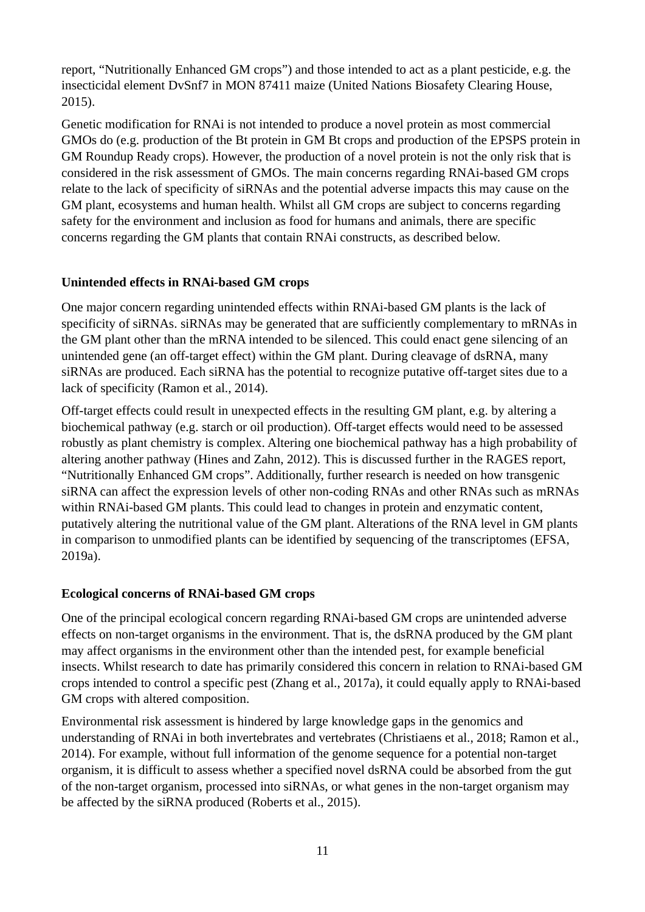report, "Nutritionally Enhanced GM crops") and those intended to act as a plant pesticide, e.g. the insecticidal element DvSnf7 in MON 87411 maize (United Nations Biosafety Clearing House, 2015).

Genetic modification for RNAi is not intended to produce a novel protein as most commercial GMOs do (e.g. production of the Bt protein in GM Bt crops and production of the EPSPS protein in GM Roundup Ready crops). However, the production of a novel protein is not the only risk that is considered in the risk assessment of GMOs. The main concerns regarding RNAi-based GM crops relate to the lack of specificity of siRNAs and the potential adverse impacts this may cause on the GM plant, ecosystems and human health. Whilst all GM crops are subject to concerns regarding safety for the environment and inclusion as food for humans and animals, there are specific concerns regarding the GM plants that contain RNAi constructs, as described below.

#### **Unintended effects in RNAi-based GM crops**

One major concern regarding unintended effects within RNAi-based GM plants is the lack of specificity of siRNAs. siRNAs may be generated that are sufficiently complementary to mRNAs in the GM plant other than the mRNA intended to be silenced. This could enact gene silencing of an unintended gene (an off-target effect) within the GM plant. During cleavage of dsRNA, many siRNAs are produced. Each siRNA has the potential to recognize putative off-target sites due to a lack of specificity (Ramon et al., 2014).

Off-target effects could result in unexpected effects in the resulting GM plant, e.g. by altering a biochemical pathway (e.g. starch or oil production). Off-target effects would need to be assessed robustly as plant chemistry is complex. Altering one biochemical pathway has a high probability of altering another pathway (Hines and Zahn, 2012). This is discussed further in the RAGES report, "Nutritionally Enhanced GM crops". Additionally, further research is needed on how transgenic siRNA can affect the expression levels of other non-coding RNAs and other RNAs such as mRNAs within RNAi-based GM plants. This could lead to changes in protein and enzymatic content, putatively altering the nutritional value of the GM plant. Alterations of the RNA level in GM plants in comparison to unmodified plants can be identified by sequencing of the transcriptomes (EFSA, 2019a).

#### **Ecological concerns of RNAi-based GM crops**

One of the principal ecological concern regarding RNAi-based GM crops are unintended adverse effects on non-target organisms in the environment. That is, the dsRNA produced by the GM plant may affect organisms in the environment other than the intended pest, for example beneficial insects. Whilst research to date has primarily considered this concern in relation to RNAi-based GM crops intended to control a specific pest (Zhang et al., 2017a), it could equally apply to RNAi-based GM crops with altered composition.

Environmental risk assessment is hindered by large knowledge gaps in the genomics and understanding of RNAi in both invertebrates and vertebrates (Christiaens et al., 2018; Ramon et al., 2014). For example, without full information of the genome sequence for a potential non-target organism, it is difficult to assess whether a specified novel dsRNA could be absorbed from the gut of the non-target organism, processed into siRNAs, or what genes in the non-target organism may be affected by the siRNA produced (Roberts et al., 2015).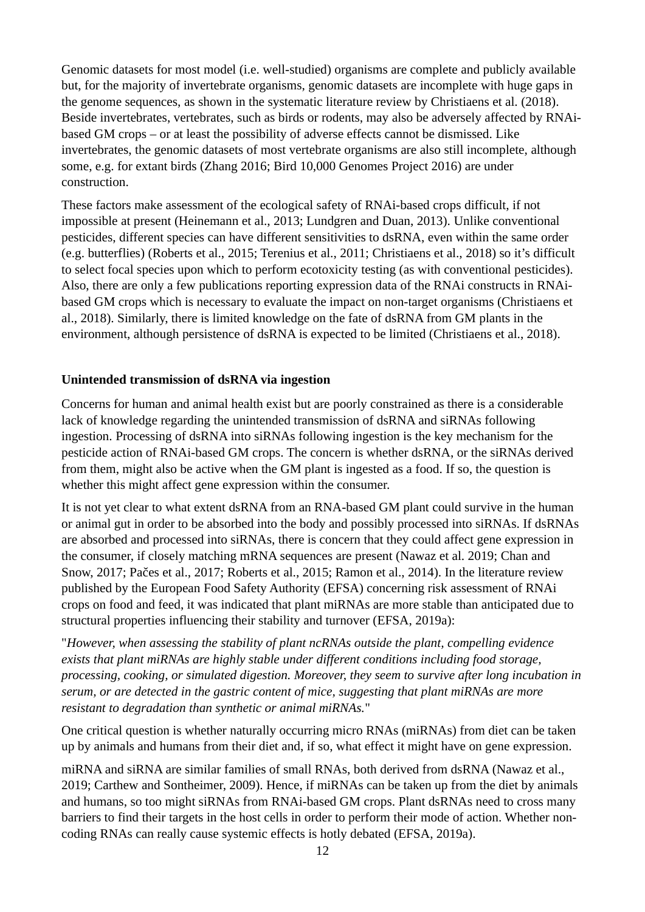Genomic datasets for most model (i.e. well-studied) organisms are complete and publicly available but, for the majority of invertebrate organisms, genomic datasets are incomplete with huge gaps in the genome sequences, as shown in the systematic literature review by Christiaens et al. (2018). Beside invertebrates, vertebrates, such as birds or rodents, may also be adversely affected by RNAibased GM crops – or at least the possibility of adverse effects cannot be dismissed. Like invertebrates, the genomic datasets of most vertebrate organisms are also still incomplete, although some, e.g. for extant birds (Zhang 2016; Bird 10,000 Genomes Project 2016) are under construction.

These factors make assessment of the ecological safety of RNAi-based crops difficult, if not impossible at present (Heinemann et al., 2013; Lundgren and Duan, 2013). Unlike conventional pesticides, different species can have different sensitivities to dsRNA, even within the same order (e.g. butterflies) (Roberts et al., 2015; Terenius et al., 2011; Christiaens et al., 2018) so it's difficult to select focal species upon which to perform ecotoxicity testing (as with conventional pesticides). Also, there are only a few publications reporting expression data of the RNAi constructs in RNAibased GM crops which is necessary to evaluate the impact on non-target organisms (Christiaens et al., 2018). Similarly, there is limited knowledge on the fate of dsRNA from GM plants in the environment, although persistence of dsRNA is expected to be limited (Christiaens et al., 2018).

#### **Unintended transmission of dsRNA via ingestion**

Concerns for human and animal health exist but are poorly constrained as there is a considerable lack of knowledge regarding the unintended transmission of dsRNA and siRNAs following ingestion. Processing of dsRNA into siRNAs following ingestion is the key mechanism for the pesticide action of RNAi-based GM crops. The concern is whether dsRNA, or the siRNAs derived from them, might also be active when the GM plant is ingested as a food. If so, the question is whether this might affect gene expression within the consumer.

It is not yet clear to what extent dsRNA from an RNA-based GM plant could survive in the human or animal gut in order to be absorbed into the body and possibly processed into siRNAs. If dsRNAs are absorbed and processed into siRNAs, there is concern that they could affect gene expression in the consumer, if closely matching mRNA sequences are present (Nawaz et al. 2019; Chan and Snow, 2017; Pačes et al., 2017; Roberts et al., 2015; Ramon et al., 2014). In the literature review published by the European Food Safety Authority (EFSA) concerning risk assessment of RNAi crops on food and feed, it was indicated that plant miRNAs are more stable than anticipated due to structural properties influencing their stability and turnover (EFSA, 2019a):

"*However, when assessing the stability of plant ncRNAs outside the plant, compelling evidence exists that plant miRNAs are highly stable under different conditions including food storage, processing, cooking, or simulated digestion. Moreover, they seem to survive after long incubation in serum, or are detected in the gastric content of mice, suggesting that plant miRNAs are more resistant to degradation than synthetic or animal miRNAs.*"

One critical question is whether naturally occurring micro RNAs (miRNAs) from diet can be taken up by animals and humans from their diet and, if so, what effect it might have on gene expression.

miRNA and siRNA are similar families of small RNAs, both derived from dsRNA (Nawaz et al., 2019; Carthew and Sontheimer, 2009). Hence, if miRNAs can be taken up from the diet by animals and humans, so too might siRNAs from RNAi-based GM crops. Plant dsRNAs need to cross many barriers to find their targets in the host cells in order to perform their mode of action. Whether noncoding RNAs can really cause systemic effects is hotly debated (EFSA, 2019a).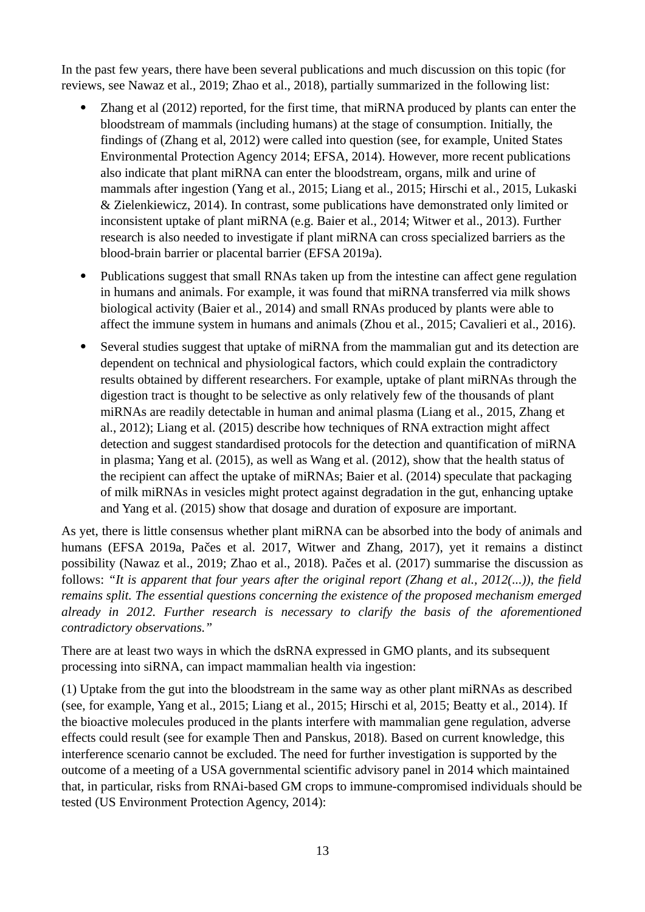In the past few years, there have been several publications and much discussion on this topic (for reviews, see Nawaz et al., 2019; Zhao et al., 2018), partially summarized in the following list:

- Zhang et al (2012) reported, for the first time, that miRNA produced by plants can enter the bloodstream of mammals (including humans) at the stage of consumption. Initially, the findings of (Zhang et al, 2012) were called into question (see, for example, United States Environmental Protection Agency 2014; EFSA, 2014). However, more recent publications also indicate that plant miRNA can enter the bloodstream, organs, milk and urine of mammals after ingestion (Yang et al., 2015; Liang et al., 2015; Hirschi et al., 2015, Lukaski & Zielenkiewicz, 2014). In contrast, some publications have demonstrated only limited or inconsistent uptake of plant miRNA (e.g. Baier et al., 2014; Witwer et al., 2013). Further research is also needed to investigate if plant miRNA can cross specialized barriers as the blood-brain barrier or placental barrier (EFSA 2019a).
- Publications suggest that small RNAs taken up from the intestine can affect gene regulation in humans and animals. For example, it was found that miRNA transferred via milk shows biological activity (Baier et al., 2014) and small RNAs produced by plants were able to affect the immune system in humans and animals (Zhou et al., 2015; Cavalieri et al., 2016).
- Several studies suggest that uptake of miRNA from the mammalian gut and its detection are dependent on technical and physiological factors, which could explain the contradictory results obtained by different researchers. For example, uptake of plant miRNAs through the digestion tract is thought to be selective as only relatively few of the thousands of plant miRNAs are readily detectable in human and animal plasma (Liang et al., 2015, Zhang et al., 2012); Liang et al. (2015) describe how techniques of RNA extraction might affect detection and suggest standardised protocols for the detection and quantification of miRNA in plasma; Yang et al. (2015), as well as Wang et al. (2012), show that the health status of the recipient can affect the uptake of miRNAs; Baier et al. (2014) speculate that packaging of milk miRNAs in vesicles might protect against degradation in the gut, enhancing uptake and Yang et al. (2015) show that dosage and duration of exposure are important.

As yet, there is little consensus whether plant miRNA can be absorbed into the body of animals and humans (EFSA 2019a, Pačes et al. 2017, Witwer and Zhang, 2017), yet it remains a distinct possibility (Nawaz et al., 2019; Zhao et al., 2018). Pačes et al. (2017) summarise the discussion as follows: *"It is apparent that four years after the original report (Zhang et al., 2012(...)), the field remains split. The essential questions concerning the existence of the proposed mechanism emerged already in 2012. Further research is necessary to clarify the basis of the aforementioned contradictory observations."*

There are at least two ways in which the dsRNA expressed in GMO plants, and its subsequent processing into siRNA, can impact mammalian health via ingestion:

(1) Uptake from the gut into the bloodstream in the same way as other plant miRNAs as described (see, for example, Yang et al., 2015; Liang et al., 2015; Hirschi et al, 2015; Beatty et al., 2014). If the bioactive molecules produced in the plants interfere with mammalian gene regulation, adverse effects could result (see for example Then and Panskus, 2018). Based on current knowledge, this interference scenario cannot be excluded. The need for further investigation is supported by the outcome of a meeting of a USA governmental scientific advisory panel in 2014 which maintained that, in particular, risks from RNAi-based GM crops to immune-compromised individuals should be tested (US Environment Protection Agency, 2014):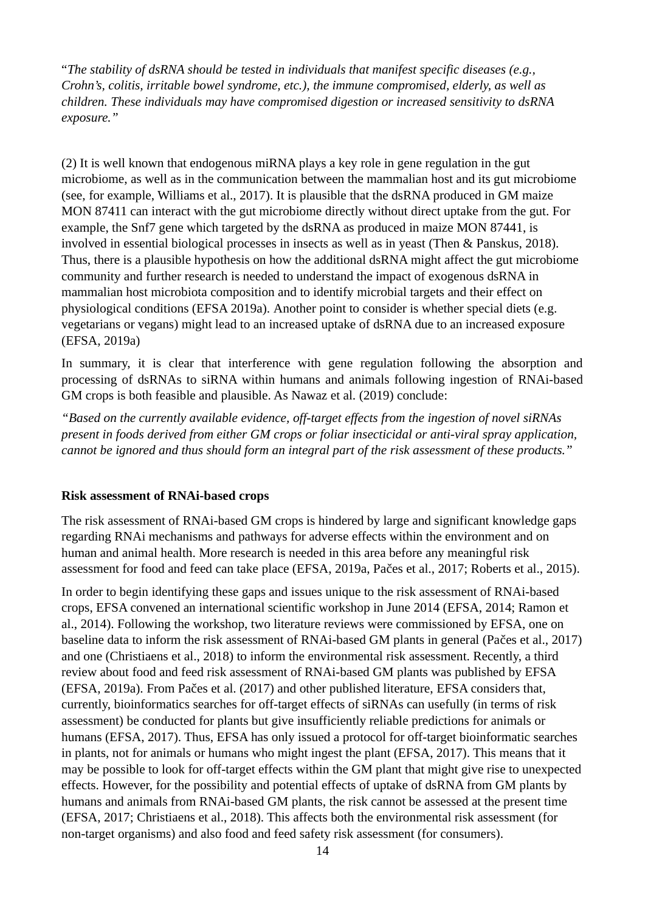"*The stability of dsRNA should be tested in individuals that manifest specific diseases (e.g., Crohn's, colitis, irritable bowel syndrome, etc.), the immune compromised, elderly, as well as children. These individuals may have compromised digestion or increased sensitivity to dsRNA exposure."*

(2) It is well known that endogenous miRNA plays a key role in gene regulation in the gut microbiome, as well as in the communication between the mammalian host and its gut microbiome (see, for example, Williams et al., 2017). It is plausible that the dsRNA produced in GM maize MON 87411 can interact with the gut microbiome directly without direct uptake from the gut. For example, the Snf7 gene which targeted by the dsRNA as produced in maize MON 87441, is involved in essential biological processes in insects as well as in yeast (Then & Panskus, 2018). Thus, there is a plausible hypothesis on how the additional dsRNA might affect the gut microbiome community and further research is needed to understand the impact of exogenous dsRNA in mammalian host microbiota composition and to identify microbial targets and their effect on physiological conditions (EFSA 2019a). Another point to consider is whether special diets (e.g. vegetarians or vegans) might lead to an increased uptake of dsRNA due to an increased exposure (EFSA, 2019a)

In summary, it is clear that interference with gene regulation following the absorption and processing of dsRNAs to siRNA within humans and animals following ingestion of RNAi-based GM crops is both feasible and plausible. As Nawaz et al. (2019) conclude:

*"Based on the currently available evidence, off-target effects from the ingestion of novel siRNAs present in foods derived from either GM crops or foliar insecticidal or anti-viral spray application, cannot be ignored and thus should form an integral part of the risk assessment of these products."*

#### **Risk assessment of RNAi-based crops**

The risk assessment of RNAi-based GM crops is hindered by large and significant knowledge gaps regarding RNAi mechanisms and pathways for adverse effects within the environment and on human and animal health. More research is needed in this area before any meaningful risk assessment for food and feed can take place (EFSA, 2019a, Pačes et al., 2017; Roberts et al., 2015).

In order to begin identifying these gaps and issues unique to the risk assessment of RNAi-based crops, EFSA convened an international scientific workshop in June 2014 (EFSA, 2014; Ramon et al., 2014). Following the workshop, two literature reviews were commissioned by EFSA, one on baseline data to inform the risk assessment of RNAi-based GM plants in general (Pačes et al., 2017) and one (Christiaens et al., 2018) to inform the environmental risk assessment. Recently, a third review about food and feed risk assessment of RNAi-based GM plants was published by EFSA (EFSA, 2019a). From Pačes et al. (2017) and other published literature, EFSA considers that, currently, bioinformatics searches for off-target effects of siRNAs can usefully (in terms of risk assessment) be conducted for plants but give insufficiently reliable predictions for animals or humans (EFSA, 2017). Thus, EFSA has only issued a protocol for off-target bioinformatic searches in plants, not for animals or humans who might ingest the plant (EFSA, 2017). This means that it may be possible to look for off-target effects within the GM plant that might give rise to unexpected effects. However, for the possibility and potential effects of uptake of dsRNA from GM plants by humans and animals from RNAi-based GM plants, the risk cannot be assessed at the present time (EFSA, 2017; Christiaens et al., 2018). This affects both the environmental risk assessment (for non-target organisms) and also food and feed safety risk assessment (for consumers).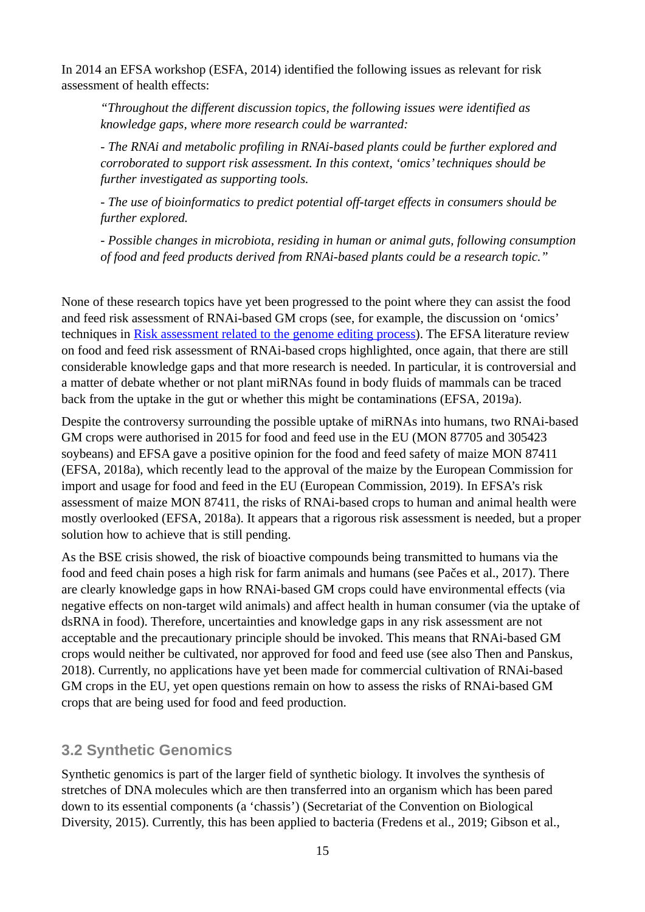In 2014 an EFSA workshop (ESFA, 2014) identified the following issues as relevant for risk assessment of health effects:

*"Throughout the different discussion topics, the following issues were identified as knowledge gaps, where more research could be warranted:*

*- The RNAi and metabolic profiling in RNAi-based plants could be further explored and corroborated to support risk assessment. In this context, 'omics' techniques should be further investigated as supporting tools.*

*- The use of bioinformatics to predict potential off-target effects in consumers should be further explored.*

*- Possible changes in microbiota, residing in human or animal guts, following consumption of food and feed products derived from RNAi-based plants could be a research topic."*

None of these research topics have yet been progressed to the point where they can assist the food and feed risk assessment of RNAi-based GM crops (see, for example, the discussion on 'omics' techniques in [Risk assessment related to the genome editing process\)](#page-32-0). The EFSA literature review on food and feed risk assessment of RNAi-based crops highlighted, once again, that there are still considerable knowledge gaps and that more research is needed. In particular, it is controversial and a matter of debate whether or not plant miRNAs found in body fluids of mammals can be traced back from the uptake in the gut or whether this might be contaminations (EFSA, 2019a).

Despite the controversy surrounding the possible uptake of miRNAs into humans, two RNAi-based GM crops were authorised in 2015 for food and feed use in the EU (MON 87705 and 305423 soybeans) and EFSA gave a positive opinion for the food and feed safety of maize MON 87411 (EFSA, 2018a), which recently lead to the approval of the maize by the European Commission for import and usage for food and feed in the EU (European Commission, 2019). In EFSA's risk assessment of maize MON 87411, the risks of RNAi-based crops to human and animal health were mostly overlooked (EFSA, 2018a). It appears that a rigorous risk assessment is needed, but a proper solution how to achieve that is still pending.

As the BSE crisis showed, the risk of bioactive compounds being transmitted to humans via the food and feed chain poses a high risk for farm animals and humans (see Pačes et al., 2017). There are clearly knowledge gaps in how RNAi-based GM crops could have environmental effects (via negative effects on non-target wild animals) and affect health in human consumer (via the uptake of dsRNA in food). Therefore, uncertainties and knowledge gaps in any risk assessment are not acceptable and the precautionary principle should be invoked. This means that RNAi-based GM crops would neither be cultivated, nor approved for food and feed use (see also Then and Panskus, 2018). Currently, no applications have yet been made for commercial cultivation of RNAi-based GM crops in the EU, yet open questions remain on how to assess the risks of RNAi-based GM crops that are being used for food and feed production.

### <span id="page-14-0"></span>**3.2 Synthetic Genomics**

Synthetic genomics is part of the larger field of synthetic biology. It involves the synthesis of stretches of DNA molecules which are then transferred into an organism which has been pared down to its essential components (a 'chassis') (Secretariat of the Convention on Biological Diversity, 2015). Currently, this has been applied to bacteria (Fredens et al., 2019; Gibson et al.,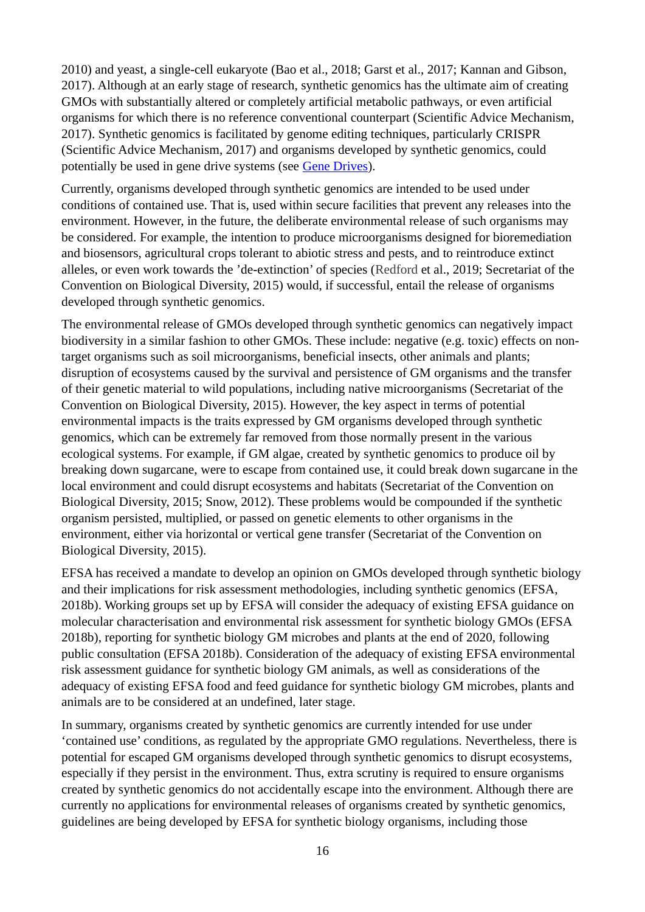2010) and yeast, a single-cell eukaryote (Bao et al., 2018; Garst et al., 2017; Kannan and Gibson, 2017). Although at an early stage of research, synthetic genomics has the ultimate aim of creating GMOs with substantially altered or completely artificial metabolic pathways, or even artificial organisms for which there is no reference conventional counterpart (Scientific Advice Mechanism, 2017). Synthetic genomics is facilitated by genome editing techniques, particularly CRISPR (Scientific Advice Mechanism, 2017) and organisms developed by synthetic genomics, could potentially be used in gene drive systems (see [Gene Drives\)](#page-27-2).

Currently, organisms developed through synthetic genomics are intended to be used under conditions of contained use. That is, used within secure facilities that prevent any releases into the environment. However, in the future, the deliberate environmental release of such organisms may be considered. For example, the intention to produce microorganisms designed for bioremediation and biosensors, agricultural crops tolerant to abiotic stress and pests, and to reintroduce extinct alleles, or even work towards the 'de-extinction' of species (Redford et al., 2019; Secretariat of the Convention on Biological Diversity, 2015) would, if successful, entail the release of organisms developed through synthetic genomics.

The environmental release of GMOs developed through synthetic genomics can negatively impact biodiversity in a similar fashion to other GMOs. These include: negative (e.g. toxic) effects on nontarget organisms such as soil microorganisms, beneficial insects, other animals and plants; disruption of ecosystems caused by the survival and persistence of GM organisms and the transfer of their genetic material to wild populations, including native microorganisms (Secretariat of the Convention on Biological Diversity, 2015). However, the key aspect in terms of potential environmental impacts is the traits expressed by GM organisms developed through synthetic genomics, which can be extremely far removed from those normally present in the various ecological systems. For example, if GM algae, created by synthetic genomics to produce oil by breaking down sugarcane, were to escape from contained use, it could break down sugarcane in the local environment and could disrupt ecosystems and habitats (Secretariat of the Convention on Biological Diversity, 2015; Snow, 2012). These problems would be compounded if the synthetic organism persisted, multiplied, or passed on genetic elements to other organisms in the environment, either via horizontal or vertical gene transfer (Secretariat of the Convention on Biological Diversity, 2015).

EFSA has received a mandate to develop an opinion on GMOs developed through synthetic biology and their implications for risk assessment methodologies, including synthetic genomics (EFSA, 2018b). Working groups set up by EFSA will consider the adequacy of existing EFSA guidance on molecular characterisation and environmental risk assessment for synthetic biology GMOs (EFSA 2018b), reporting for synthetic biology GM microbes and plants at the end of 2020, following public consultation (EFSA 2018b). Consideration of the adequacy of existing EFSA environmental risk assessment guidance for synthetic biology GM animals, as well as considerations of the adequacy of existing EFSA food and feed guidance for synthetic biology GM microbes, plants and animals are to be considered at an undefined, later stage.

In summary, organisms created by synthetic genomics are currently intended for use under 'contained use' conditions, as regulated by the appropriate GMO regulations. Nevertheless, there is potential for escaped GM organisms developed through synthetic genomics to disrupt ecosystems, especially if they persist in the environment. Thus, extra scrutiny is required to ensure organisms created by synthetic genomics do not accidentally escape into the environment. Although there are currently no applications for environmental releases of organisms created by synthetic genomics, guidelines are being developed by EFSA for synthetic biology organisms, including those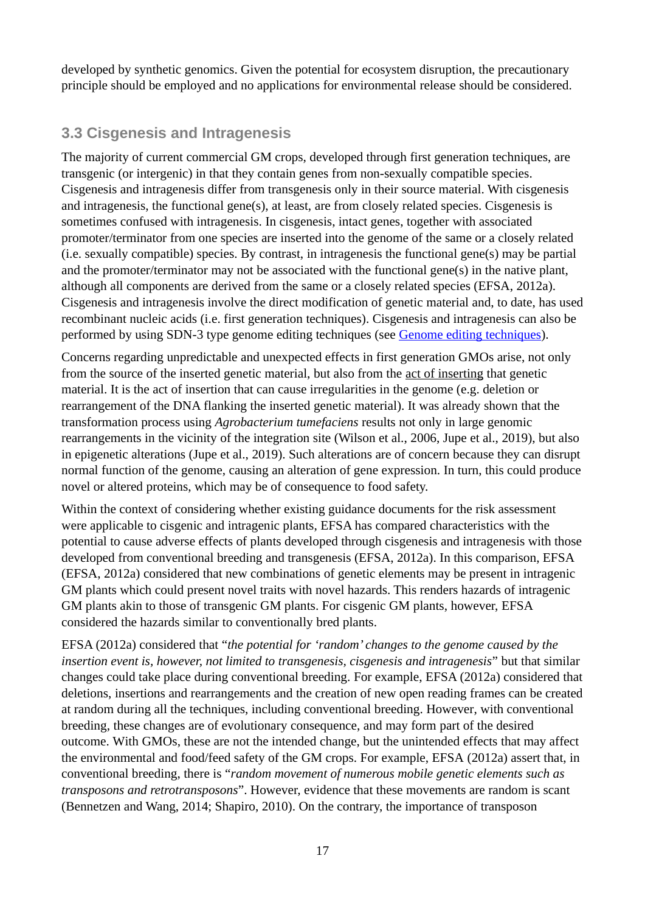developed by synthetic genomics. Given the potential for ecosystem disruption, the precautionary principle should be employed and no applications for environmental release should be considered.

### <span id="page-16-0"></span>**3.3 Cisgenesis and Intragenesis**

The majority of current commercial GM crops, developed through first generation techniques, are transgenic (or intergenic) in that they contain genes from non-sexually compatible species. Cisgenesis and intragenesis differ from transgenesis only in their source material. With cisgenesis and intragenesis, the functional gene(s), at least, are from closely related species. Cisgenesis is sometimes confused with intragenesis. In cisgenesis, intact genes, together with associated promoter/terminator from one species are inserted into the genome of the same or a closely related (i.e. sexually compatible) species. By contrast, in intragenesis the functional gene(s) may be partial and the promoter/terminator may not be associated with the functional gene(s) in the native plant, although all components are derived from the same or a closely related species (EFSA, 2012a). Cisgenesis and intragenesis involve the direct modification of genetic material and, to date, has used recombinant nucleic acids (i.e. first generation techniques). Cisgenesis and intragenesis can also be performed by using SDN-3 type genome editing techniques (see [Genome editing techniques\)](#page-19-1).

Concerns regarding unpredictable and unexpected effects in first generation GMOs arise, not only from the source of the inserted genetic material, but also from the act of inserting that genetic material. It is the act of insertion that can cause irregularities in the genome (e.g. deletion or rearrangement of the DNA flanking the inserted genetic material). It was already shown that the transformation process using *Agrobacterium tumefaciens* results not only in large genomic rearrangements in the vicinity of the integration site (Wilson et al., 2006, Jupe et al., 2019), but also in epigenetic alterations (Jupe et al., 2019). Such alterations are of concern because they can disrupt normal function of the genome, causing an alteration of gene expression. In turn, this could produce novel or altered proteins, which may be of consequence to food safety.

Within the context of considering whether existing guidance documents for the risk assessment were applicable to cisgenic and intragenic plants, EFSA has compared characteristics with the potential to cause adverse effects of plants developed through cisgenesis and intragenesis with those developed from conventional breeding and transgenesis (EFSA, 2012a). In this comparison, EFSA (EFSA, 2012a) considered that new combinations of genetic elements may be present in intragenic GM plants which could present novel traits with novel hazards. This renders hazards of intragenic GM plants akin to those of transgenic GM plants. For cisgenic GM plants, however, EFSA considered the hazards similar to conventionally bred plants.

EFSA (2012a) considered that "*the potential for 'random' changes to the genome caused by the insertion event is, however, not limited to transgenesis, cisgenesis and intragenesis*" but that similar changes could take place during conventional breeding. For example, EFSA (2012a) considered that deletions, insertions and rearrangements and the creation of new open reading frames can be created at random during all the techniques, including conventional breeding. However, with conventional breeding, these changes are of evolutionary consequence, and may form part of the desired outcome. With GMOs, these are not the intended change, but the unintended effects that may affect the environmental and food/feed safety of the GM crops. For example, EFSA (2012a) assert that, in conventional breeding, there is "*random movement of numerous mobile genetic elements such as transposons and retrotransposons*". However, evidence that these movements are random is scant (Bennetzen and Wang, 2014; Shapiro, 2010). On the contrary, the importance of transposon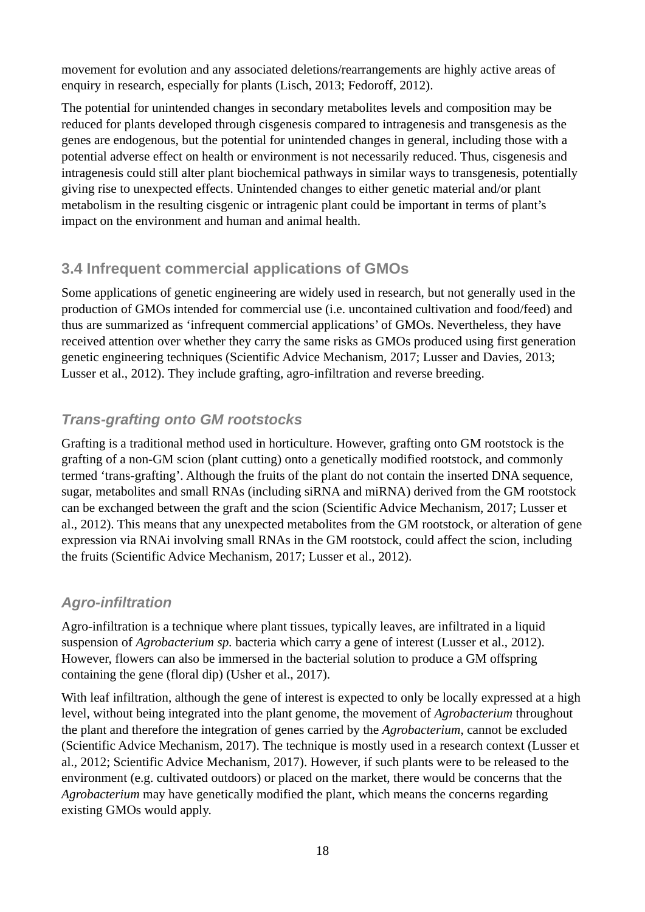movement for evolution and any associated deletions/rearrangements are highly active areas of enquiry in research, especially for plants (Lisch, 2013; Fedoroff, 2012).

The potential for unintended changes in secondary metabolites levels and composition may be reduced for plants developed through cisgenesis compared to intragenesis and transgenesis as the genes are endogenous, but the potential for unintended changes in general, including those with a potential adverse effect on health or environment is not necessarily reduced. Thus, cisgenesis and intragenesis could still alter plant biochemical pathways in similar ways to transgenesis, potentially giving rise to unexpected effects. Unintended changes to either genetic material and/or plant metabolism in the resulting cisgenic or intragenic plant could be important in terms of plant's impact on the environment and human and animal health.

### <span id="page-17-2"></span>**3.4 Infrequent commercial applications of GMOs**

Some applications of genetic engineering are widely used in research, but not generally used in the production of GMOs intended for commercial use (i.e. uncontained cultivation and food/feed) and thus are summarized as 'infrequent commercial applications' of GMOs. Nevertheless, they have received attention over whether they carry the same risks as GMOs produced using first generation genetic engineering techniques (Scientific Advice Mechanism, 2017; Lusser and Davies, 2013; Lusser et al., 2012). They include grafting, agro-infiltration and reverse breeding.

### <span id="page-17-1"></span>*Trans-grafting onto GM rootstocks*

Grafting is a traditional method used in horticulture. However, grafting onto GM rootstock is the grafting of a non-GM scion (plant cutting) onto a genetically modified rootstock, and commonly termed 'trans-grafting'. Although the fruits of the plant do not contain the inserted DNA sequence, sugar, metabolites and small RNAs (including siRNA and miRNA) derived from the GM rootstock can be exchanged between the graft and the scion (Scientific Advice Mechanism, 2017; Lusser et al., 2012). This means that any unexpected metabolites from the GM rootstock, or alteration of gene expression via RNAi involving small RNAs in the GM rootstock, could affect the scion, including the fruits (Scientific Advice Mechanism, 2017; Lusser et al., 2012).

### <span id="page-17-0"></span>*Agro-infiltration*

Agro-infiltration is a technique where plant tissues, typically leaves, are infiltrated in a liquid suspension of *Agrobacterium sp.* bacteria which carry a gene of interest (Lusser et al., 2012). However, flowers can also be immersed in the bacterial solution to produce a GM offspring containing the gene (floral dip) (Usher et al., 2017).

With leaf infiltration, although the gene of interest is expected to only be locally expressed at a high level, without being integrated into the plant genome, the movement of *Agrobacterium* throughout the plant and therefore the integration of genes carried by the *Agrobacterium*, cannot be excluded (Scientific Advice Mechanism, 2017). The technique is mostly used in a research context (Lusser et al., 2012; Scientific Advice Mechanism, 2017). However, if such plants were to be released to the environment (e.g. cultivated outdoors) or placed on the market, there would be concerns that the *Agrobacterium* may have genetically modified the plant, which means the concerns regarding existing GMOs would apply.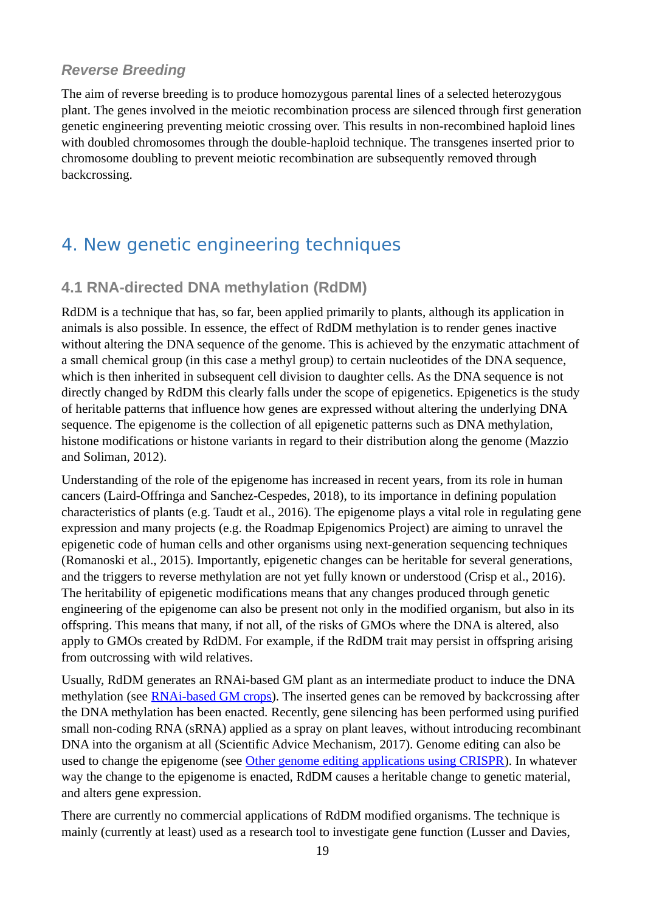### <span id="page-18-2"></span>*Reverse Breeding*

The aim of reverse breeding is to produce homozygous parental lines of a selected heterozygous plant. The genes involved in the meiotic recombination process are silenced through first generation genetic engineering preventing meiotic crossing over. This results in non-recombined haploid lines with doubled chromosomes through the double-haploid technique. The transgenes inserted prior to chromosome doubling to prevent meiotic recombination are subsequently removed through backcrossing.

# <span id="page-18-1"></span>4. New genetic engineering techniques

### <span id="page-18-0"></span>**4.1 RNA-directed DNA methylation (RdDM)**

RdDM is a technique that has, so far, been applied primarily to plants, although its application in animals is also possible. In essence, the effect of RdDM methylation is to render genes inactive without altering the DNA sequence of the genome. This is achieved by the enzymatic attachment of a small chemical group (in this case a methyl group) to certain nucleotides of the DNA sequence, which is then inherited in subsequent cell division to daughter cells. As the DNA sequence is not directly changed by RdDM this clearly falls under the scope of epigenetics. Epigenetics is the study of heritable patterns that influence how genes are expressed without altering the underlying DNA sequence. The epigenome is the collection of all epigenetic patterns such as DNA methylation, histone modifications or histone variants in regard to their distribution along the genome (Mazzio and Soliman, 2012).

Understanding of the role of the epigenome has increased in recent years, from its role in human cancers (Laird-Offringa and Sanchez-Cespedes, 2018), to its importance in defining population characteristics of plants (e.g. Taudt et al., 2016). The epigenome plays a vital role in regulating gene expression and many projects (e.g. the Roadmap Epigenomics Project) are aiming to unravel the epigenetic code of human cells and other organisms using next-generation sequencing techniques (Romanoski et al., 2015). Importantly, epigenetic changes can be heritable for several generations, and the triggers to reverse methylation are not yet fully known or understood (Crisp et al., 2016). The heritability of epigenetic modifications means that any changes produced through genetic engineering of the epigenome can also be present not only in the modified organism, but also in its offspring. This means that many, if not all, of the risks of GMOs where the DNA is altered, also apply to GMOs created by RdDM. For example, if the RdDM trait may persist in offspring arising from outcrossing with wild relatives.

Usually, RdDM generates an RNAi-based GM plant as an intermediate product to induce the DNA methylation (see [RNAi-based GM crops\)](#page-9-0). The inserted genes can be removed by backcrossing after the DNA methylation has been enacted. Recently, gene silencing has been performed using purified small non-coding RNA (sRNA) applied as a spray on plant leaves, without introducing recombinant DNA into the organism at all (Scientific Advice Mechanism, 2017). Genome editing can also be used to change the epigenome (see [Other genome editing applications using CRISPR\)](#page-21-0). In whatever way the change to the epigenome is enacted, RdDM causes a heritable change to genetic material, and alters gene expression.

There are currently no commercial applications of RdDM modified organisms. The technique is mainly (currently at least) used as a research tool to investigate gene function (Lusser and Davies,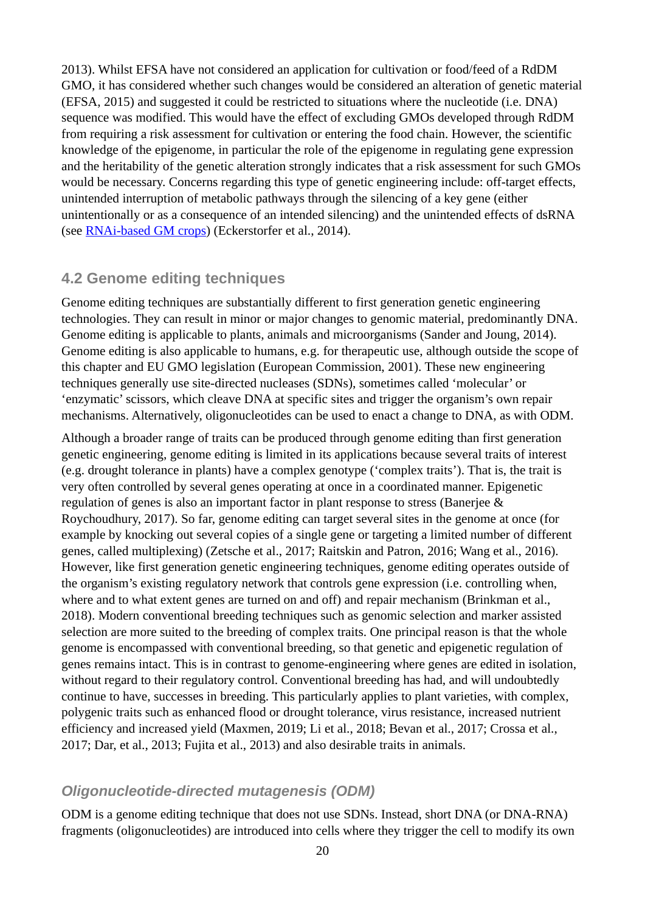2013). Whilst EFSA have not considered an application for cultivation or food/feed of a RdDM GMO, it has considered whether such changes would be considered an alteration of genetic material (EFSA, 2015) and suggested it could be restricted to situations where the nucleotide (i.e. DNA) sequence was modified. This would have the effect of excluding GMOs developed through RdDM from requiring a risk assessment for cultivation or entering the food chain. However, the scientific knowledge of the epigenome, in particular the role of the epigenome in regulating gene expression and the heritability of the genetic alteration strongly indicates that a risk assessment for such GMOs would be necessary. Concerns regarding this type of genetic engineering include: off-target effects, unintended interruption of metabolic pathways through the silencing of a key gene (either unintentionally or as a consequence of an intended silencing) and the unintended effects of dsRNA (see [RNAi-based GM crops\)](#page-9-0) (Eckerstorfer et al., 2014).

#### <span id="page-19-1"></span>**4.2 Genome editing techniques**

Genome editing techniques are substantially different to first generation genetic engineering technologies. They can result in minor or major changes to genomic material, predominantly DNA. Genome editing is applicable to plants, animals and microorganisms (Sander and Joung, 2014). Genome editing is also applicable to humans, e.g. for therapeutic use, although outside the scope of this chapter and EU GMO legislation (European Commission, 2001). These new engineering techniques generally use site-directed nucleases (SDNs), sometimes called 'molecular' or 'enzymatic' scissors, which cleave DNA at specific sites and trigger the organism's own repair mechanisms. Alternatively, oligonucleotides can be used to enact a change to DNA, as with ODM.

Although a broader range of traits can be produced through genome editing than first generation genetic engineering, genome editing is limited in its applications because several traits of interest (e.g. drought tolerance in plants) have a complex genotype ('complex traits'). That is, the trait is very often controlled by several genes operating at once in a coordinated manner. Epigenetic regulation of genes is also an important factor in plant response to stress (Banerjee & Roychoudhury, 2017). So far, genome editing can target several sites in the genome at once (for example by knocking out several copies of a single gene or targeting a limited number of different genes, called multiplexing) (Zetsche et al., 2017; Raitskin and Patron, 2016; Wang et al., 2016). However, like first generation genetic engineering techniques, genome editing operates outside of the organism's existing regulatory network that controls gene expression (i.e. controlling when, where and to what extent genes are turned on and off) and repair mechanism (Brinkman et al., 2018). Modern conventional breeding techniques such as genomic selection and marker assisted selection are more suited to the breeding of complex traits. One principal reason is that the whole genome is encompassed with conventional breeding, so that genetic and epigenetic regulation of genes remains intact. This is in contrast to genome-engineering where genes are edited in isolation, without regard to their regulatory control. Conventional breeding has had, and will undoubtedly continue to have, successes in breeding. This particularly applies to plant varieties, with complex, polygenic traits such as enhanced flood or drought tolerance, virus resistance, increased nutrient efficiency and increased yield (Maxmen, 2019; Li et al., 2018; Bevan et al., 2017; Crossa et al., 2017; Dar, et al., 2013; Fujita et al., 2013) and also desirable traits in animals.

#### <span id="page-19-0"></span>*Oligonucleotide-directed mutagenesis (ODM)*

ODM is a genome editing technique that does not use SDNs. Instead, short DNA (or DNA-RNA) fragments (oligonucleotides) are introduced into cells where they trigger the cell to modify its own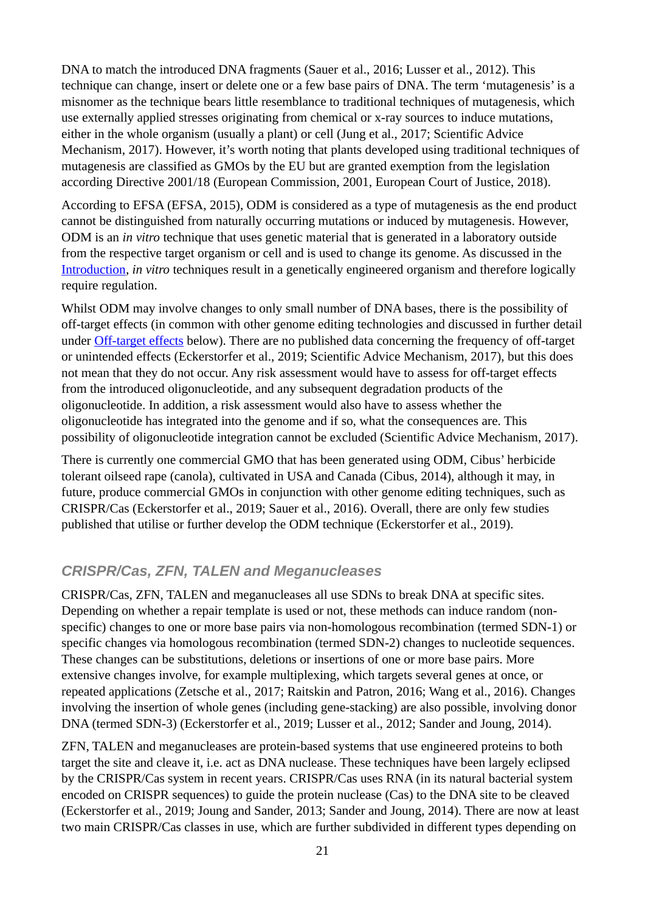DNA to match the introduced DNA fragments (Sauer et al., 2016; Lusser et al., 2012). This technique can change, insert or delete one or a few base pairs of DNA. The term 'mutagenesis' is a misnomer as the technique bears little resemblance to traditional techniques of mutagenesis, which use externally applied stresses originating from chemical or x-ray sources to induce mutations, either in the whole organism (usually a plant) or cell (Jung et al., 2017; Scientific Advice Mechanism, 2017). However, it's worth noting that plants developed using traditional techniques of mutagenesis are classified as GMOs by the EU but are granted exemption from the legislation according Directive 2001/18 (European Commission, 2001, European Court of Justice, 2018).

According to EFSA (EFSA, 2015), ODM is considered as a type of mutagenesis as the end product cannot be distinguished from naturally occurring mutations or induced by mutagenesis. However, ODM is an *in vitro* technique that uses genetic material that is generated in a laboratory outside from the respective target organism or cell and is used to change its genome. As discussed in the [Introduction,](#page-7-0) *in vitro* techniques result in a genetically engineered organism and therefore logically require regulation.

Whilst ODM may involve changes to only small number of DNA bases, there is the possibility of off-target effects (in common with other genome editing technologies and discussed in further detail under [Off-target effects](#page-23-1) below). There are no published data concerning the frequency of off-target or unintended effects (Eckerstorfer et al., 2019; Scientific Advice Mechanism, 2017), but this does not mean that they do not occur. Any risk assessment would have to assess for off-target effects from the introduced oligonucleotide, and any subsequent degradation products of the oligonucleotide. In addition, a risk assessment would also have to assess whether the oligonucleotide has integrated into the genome and if so, what the consequences are. This possibility of oligonucleotide integration cannot be excluded (Scientific Advice Mechanism, 2017).

There is currently one commercial GMO that has been generated using ODM, Cibus' herbicide tolerant oilseed rape (canola), cultivated in USA and Canada (Cibus, 2014), although it may, in future, produce commercial GMOs in conjunction with other genome editing techniques, such as CRISPR/Cas (Eckerstorfer et al., 2019; Sauer et al., 2016). Overall, there are only few studies published that utilise or further develop the ODM technique (Eckerstorfer et al., 2019).

#### <span id="page-20-0"></span>*CRISPR/Cas, ZFN, TALEN and Meganucleases*

CRISPR/Cas, ZFN, TALEN and meganucleases all use SDNs to break DNA at specific sites. Depending on whether a repair template is used or not, these methods can induce random (nonspecific) changes to one or more base pairs via non-homologous recombination (termed SDN-1) or specific changes via homologous recombination (termed SDN-2) changes to nucleotide sequences. These changes can be substitutions, deletions or insertions of one or more base pairs. More extensive changes involve, for example multiplexing, which targets several genes at once, or repeated applications (Zetsche et al., 2017; Raitskin and Patron, 2016; Wang et al., 2016). Changes involving the insertion of whole genes (including gene-stacking) are also possible, involving donor DNA (termed SDN-3) (Eckerstorfer et al., 2019; Lusser et al., 2012; Sander and Joung, 2014).

ZFN, TALEN and meganucleases are protein-based systems that use engineered proteins to both target the site and cleave it, i.e. act as DNA nuclease. These techniques have been largely eclipsed by the CRISPR/Cas system in recent years. CRISPR/Cas uses RNA (in its natural bacterial system encoded on CRISPR sequences) to guide the protein nuclease (Cas) to the DNA site to be cleaved (Eckerstorfer et al., 2019; Joung and Sander, 2013; Sander and Joung, 2014). There are now at least two main CRISPR/Cas classes in use, which are further subdivided in different types depending on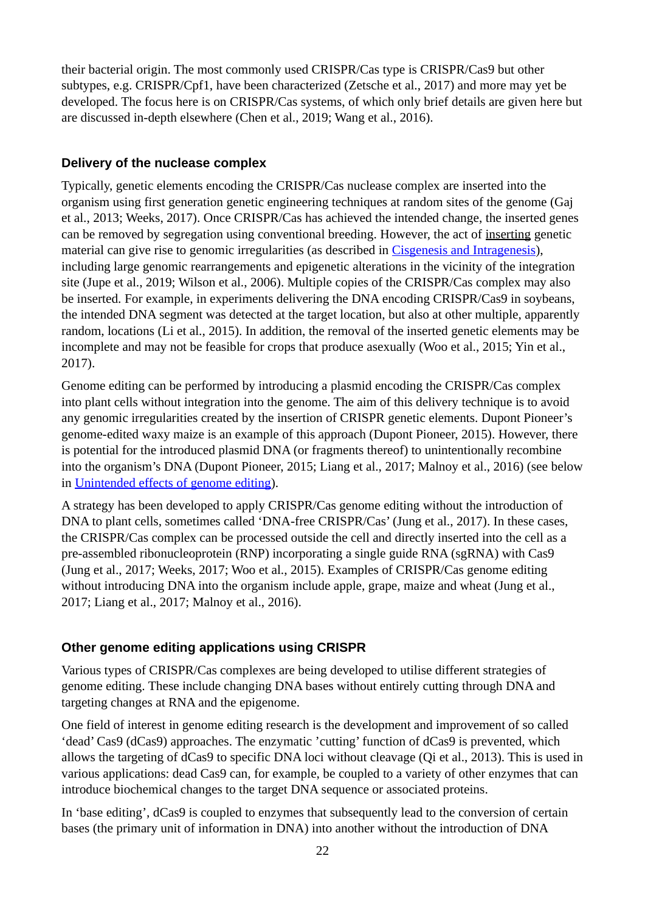their bacterial origin. The most commonly used CRISPR/Cas type is CRISPR/Cas9 but other subtypes, e.g. CRISPR/Cpf1, have been characterized (Zetsche et al., 2017) and more may yet be developed. The focus here is on CRISPR/Cas systems, of which only brief details are given here but are discussed in-depth elsewhere (Chen et al., 2019; Wang et al., 2016).

#### <span id="page-21-1"></span>**Delivery of the nuclease complex**

Typically, genetic elements encoding the CRISPR/Cas nuclease complex are inserted into the organism using first generation genetic engineering techniques at random sites of the genome (Gaj et al., 2013; Weeks, 2017). Once CRISPR/Cas has achieved the intended change, the inserted genes can be removed by segregation using conventional breeding. However, the act of inserting genetic material can give rise to genomic irregularities (as described in [Cisgenesis and Intragenesis\)](#page-16-0), including large genomic rearrangements and epigenetic alterations in the vicinity of the integration site (Jupe et al., 2019; Wilson et al., 2006). Multiple copies of the CRISPR/Cas complex may also be inserted. For example, in experiments delivering the DNA encoding CRISPR/Cas9 in soybeans, the intended DNA segment was detected at the target location, but also at other multiple, apparently random, locations (Li et al., 2015). In addition, the removal of the inserted genetic elements may be incomplete and may not be feasible for crops that produce asexually (Woo et al., 2015; Yin et al., 2017).

Genome editing can be performed by introducing a plasmid encoding the CRISPR/Cas complex into plant cells without integration into the genome. The aim of this delivery technique is to avoid any genomic irregularities created by the insertion of CRISPR genetic elements. Dupont Pioneer's genome-edited waxy maize is an example of this approach (Dupont Pioneer, 2015). However, there is potential for the introduced plasmid DNA (or fragments thereof) to unintentionally recombine into the organism's DNA (Dupont Pioneer, 2015; Liang et al., 2017; Malnoy et al., 2016) (see below in [Unintended effects of genome editing\)](#page-23-2).

A strategy has been developed to apply CRISPR/Cas genome editing without the introduction of DNA to plant cells, sometimes called 'DNA-free CRISPR/Cas' (Jung et al., 2017). In these cases, the CRISPR/Cas complex can be processed outside the cell and directly inserted into the cell as a pre-assembled ribonucleoprotein (RNP) incorporating a single guide RNA (sgRNA) with Cas9 (Jung et al., 2017; Weeks, 2017; Woo et al., 2015). Examples of CRISPR/Cas genome editing without introducing DNA into the organism include apple, grape, maize and wheat (Jung et al., 2017; Liang et al., 2017; Malnoy et al., 2016).

#### <span id="page-21-0"></span>**Other genome editing applications using CRISPR**

Various types of CRISPR/Cas complexes are being developed to utilise different strategies of genome editing. These include changing DNA bases without entirely cutting through DNA and targeting changes at RNA and the epigenome.

One field of interest in genome editing research is the development and improvement of so called 'dead' Cas9 (dCas9) approaches. The enzymatic 'cutting' function of dCas9 is prevented, which allows the targeting of dCas9 to specific DNA loci without cleavage (Qi et al., 2013). This is used in various applications: dead Cas9 can, for example, be coupled to a variety of other enzymes that can introduce biochemical changes to the target DNA sequence or associated proteins.

In 'base editing', dCas9 is coupled to enzymes that subsequently lead to the conversion of certain bases (the primary unit of information in DNA) into another without the introduction of DNA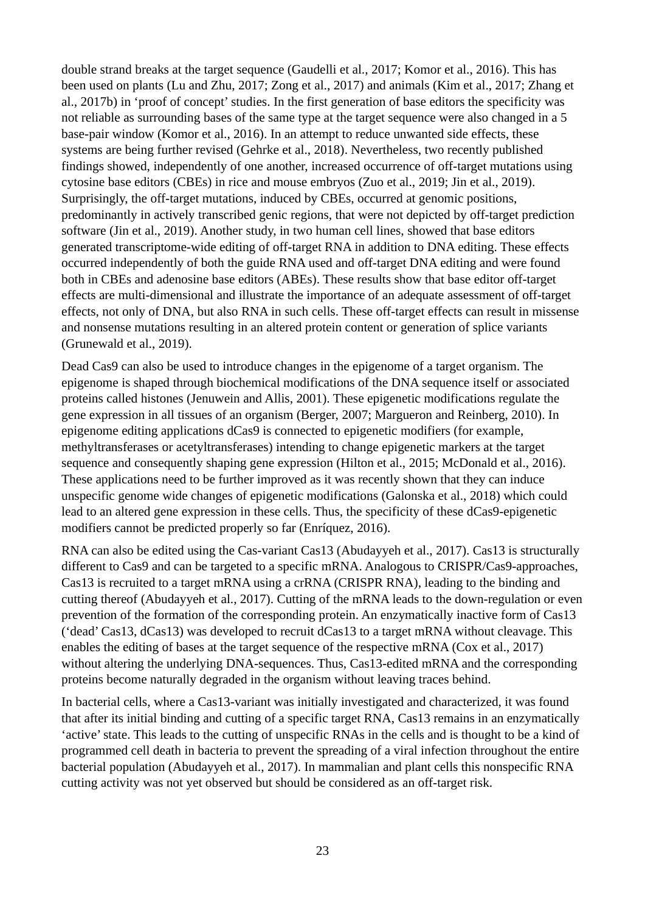double strand breaks at the target sequence (Gaudelli et al., 2017; Komor et al., 2016). This has been used on plants (Lu and Zhu, 2017; Zong et al., 2017) and animals (Kim et al., 2017; Zhang et al., 2017b) in 'proof of concept' studies. In the first generation of base editors the specificity was not reliable as surrounding bases of the same type at the target sequence were also changed in a 5 base-pair window (Komor et al., 2016). In an attempt to reduce unwanted side effects, these systems are being further revised (Gehrke et al., 2018). Nevertheless, two recently published findings showed, independently of one another, increased occurrence of off-target mutations using cytosine base editors (CBEs) in rice and mouse embryos (Zuo et al., 2019; Jin et al., 2019). Surprisingly, the off-target mutations, induced by CBEs, occurred at genomic positions, predominantly in actively transcribed genic regions, that were not depicted by off-target prediction software (Jin et al., 2019). Another study, in two human cell lines, showed that base editors generated transcriptome-wide editing of off-target RNA in addition to DNA editing. These effects occurred independently of both the guide RNA used and off-target DNA editing and were found both in CBEs and adenosine base editors (ABEs). These results show that base editor off-target effects are multi-dimensional and illustrate the importance of an adequate assessment of off-target effects, not only of DNA, but also RNA in such cells. These off-target effects can result in missense and nonsense mutations resulting in an altered protein content or generation of splice variants (Grunewald et al., 2019).

Dead Cas9 can also be used to introduce changes in the epigenome of a target organism. The epigenome is shaped through biochemical modifications of the DNA sequence itself or associated proteins called histones (Jenuwein and Allis, 2001). These epigenetic modifications regulate the gene expression in all tissues of an organism (Berger, 2007; Margueron and Reinberg, 2010). In epigenome editing applications dCas9 is connected to epigenetic modifiers (for example, methyltransferases or acetyltransferases) intending to change epigenetic markers at the target sequence and consequently shaping gene expression (Hilton et al., 2015; McDonald et al., 2016). These applications need to be further improved as it was recently shown that they can induce unspecific genome wide changes of epigenetic modifications (Galonska et al., 2018) which could lead to an altered gene expression in these cells. Thus, the specificity of these dCas9-epigenetic modifiers cannot be predicted properly so far (Enríquez, 2016).

RNA can also be edited using the Cas-variant Cas13 (Abudayyeh et al., 2017). Cas13 is structurally different to Cas9 and can be targeted to a specific mRNA. Analogous to CRISPR/Cas9-approaches, Cas13 is recruited to a target mRNA using a crRNA (CRISPR RNA), leading to the binding and cutting thereof (Abudayyeh et al., 2017). Cutting of the mRNA leads to the down-regulation or even prevention of the formation of the corresponding protein. An enzymatically inactive form of Cas13 ('dead' Cas13, dCas13) was developed to recruit dCas13 to a target mRNA without cleavage. This enables the editing of bases at the target sequence of the respective mRNA (Cox et al., 2017) without altering the underlying DNA-sequences. Thus, Cas13-edited mRNA and the corresponding proteins become naturally degraded in the organism without leaving traces behind.

In bacterial cells, where a Cas13-variant was initially investigated and characterized, it was found that after its initial binding and cutting of a specific target RNA, Cas13 remains in an enzymatically 'active' state. This leads to the cutting of unspecific RNAs in the cells and is thought to be a kind of programmed cell death in bacteria to prevent the spreading of a viral infection throughout the entire bacterial population (Abudayyeh et al., 2017). In mammalian and plant cells this nonspecific RNA cutting activity was not yet observed but should be considered as an off-target risk.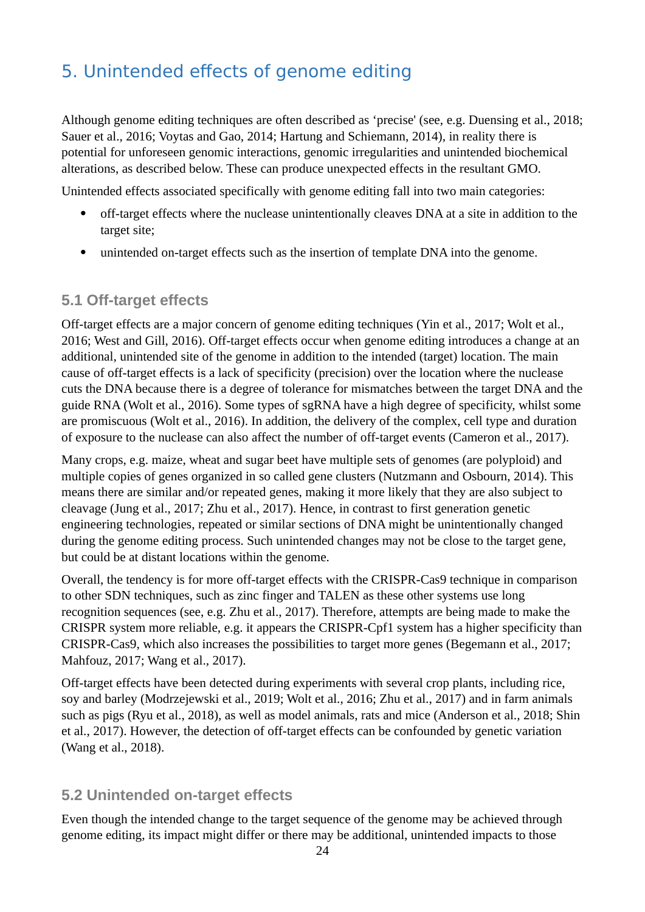# <span id="page-23-2"></span>5. Unintended effects of genome editing

Although genome editing techniques are often described as 'precise' (see, e.g. Duensing et al., 2018; Sauer et al., 2016; Voytas and Gao, 2014; Hartung and Schiemann, 2014), in reality there is potential for unforeseen genomic interactions, genomic irregularities and unintended biochemical alterations, as described below. These can produce unexpected effects in the resultant GMO.

Unintended effects associated specifically with genome editing fall into two main categories:

- off-target effects where the nuclease unintentionally cleaves DNA at a site in addition to the target site;
- unintended on-target effects such as the insertion of template DNA into the genome.

### <span id="page-23-1"></span>**5.1 Off-target effects**

Off-target effects are a major concern of genome editing techniques (Yin et al., 2017; Wolt et al., 2016; West and Gill, 2016). Off-target effects occur when genome editing introduces a change at an additional, unintended site of the genome in addition to the intended (target) location. The main cause of off-target effects is a lack of specificity (precision) over the location where the nuclease cuts the DNA because there is a degree of tolerance for mismatches between the target DNA and the guide RNA (Wolt et al., 2016). Some types of sgRNA have a high degree of specificity, whilst some are promiscuous (Wolt et al., 2016). In addition, the delivery of the complex, cell type and duration of exposure to the nuclease can also affect the number of off-target events (Cameron et al., 2017).

Many crops, e.g. maize, wheat and sugar beet have multiple sets of genomes (are polyploid) and multiple copies of genes organized in so called gene clusters (Nutzmann and Osbourn, 2014). This means there are similar and/or repeated genes, making it more likely that they are also subject to cleavage (Jung et al., 2017; Zhu et al., 2017). Hence, in contrast to first generation genetic engineering technologies, repeated or similar sections of DNA might be unintentionally changed during the genome editing process. Such unintended changes may not be close to the target gene, but could be at distant locations within the genome.

Overall, the tendency is for more off-target effects with the CRISPR-Cas9 technique in comparison to other SDN techniques, such as zinc finger and TALEN as these other systems use long recognition sequences (see, e.g. Zhu et al., 2017). Therefore, attempts are being made to make the CRISPR system more reliable, e.g. it appears the CRISPR-Cpf1 system has a higher specificity than CRISPR-Cas9, which also increases the possibilities to target more genes (Begemann et al., 2017; Mahfouz, 2017; Wang et al., 2017).

Off-target effects have been detected during experiments with several crop plants, including rice, soy and barley (Modrzejewski et al., 2019; Wolt et al., 2016; Zhu et al., 2017) and in farm animals such as pigs (Ryu et al., 2018), as well as model animals, rats and mice (Anderson et al., 2018; Shin et al., 2017). However, the detection of off-target effects can be confounded by genetic variation (Wang et al., 2018).

#### <span id="page-23-0"></span>**5.2 Unintended on-target effects**

Even though the intended change to the target sequence of the genome may be achieved through genome editing, its impact might differ or there may be additional, unintended impacts to those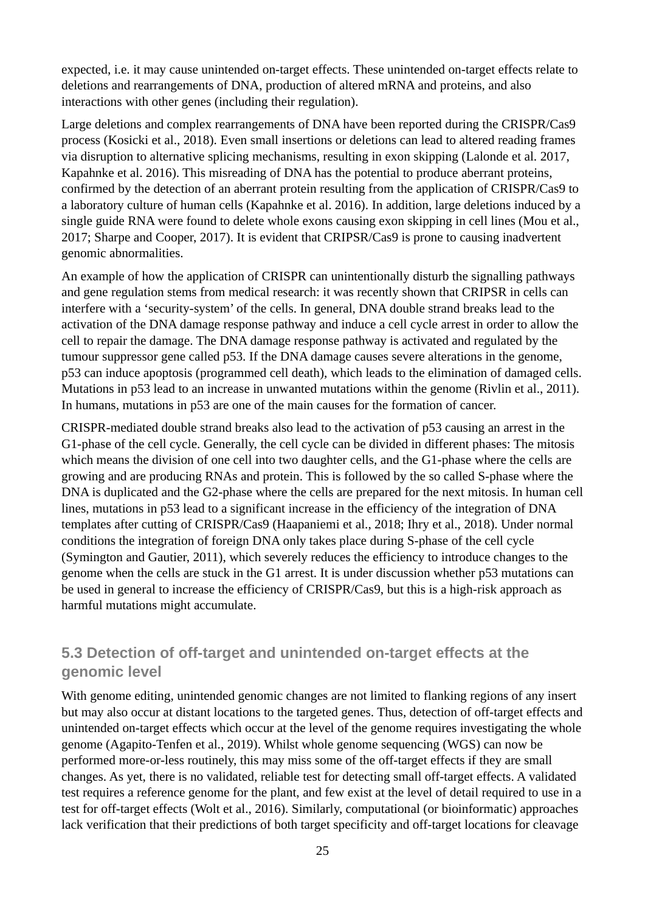expected, i.e. it may cause unintended on-target effects. These unintended on-target effects relate to deletions and rearrangements of DNA, production of altered mRNA and proteins, and also interactions with other genes (including their regulation).

Large deletions and complex rearrangements of DNA have been reported during the CRISPR/Cas9 process (Kosicki et al., 2018). Even small insertions or deletions can lead to altered reading frames via disruption to alternative splicing mechanisms, resulting in exon skipping (Lalonde et al. 2017, Kapahnke et al. 2016). This misreading of DNA has the potential to produce aberrant proteins, confirmed by the detection of an aberrant protein resulting from the application of CRISPR/Cas9 to a laboratory culture of human cells (Kapahnke et al. 2016). In addition, large deletions induced by a single guide RNA were found to delete whole exons causing exon skipping in cell lines (Mou et al., 2017; Sharpe and Cooper, 2017). It is evident that CRIPSR/Cas9 is prone to causing inadvertent genomic abnormalities.

An example of how the application of CRISPR can unintentionally disturb the signalling pathways and gene regulation stems from medical research: it was recently shown that CRIPSR in cells can interfere with a 'security-system' of the cells. In general, DNA double strand breaks lead to the activation of the DNA damage response pathway and induce a cell cycle arrest in order to allow the cell to repair the damage. The DNA damage response pathway is activated and regulated by the tumour suppressor gene called p53. If the DNA damage causes severe alterations in the genome, p53 can induce apoptosis (programmed cell death), which leads to the elimination of damaged cells. Mutations in p53 lead to an increase in unwanted mutations within the genome (Rivlin et al., 2011). In humans, mutations in p53 are one of the main causes for the formation of cancer.

CRISPR-mediated double strand breaks also lead to the activation of p53 causing an arrest in the G1-phase of the cell cycle. Generally, the cell cycle can be divided in different phases: The mitosis which means the division of one cell into two daughter cells, and the G1-phase where the cells are growing and are producing RNAs and protein. This is followed by the so called S-phase where the DNA is duplicated and the G2-phase where the cells are prepared for the next mitosis. In human cell lines, mutations in p53 lead to a significant increase in the efficiency of the integration of DNA templates after cutting of CRISPR/Cas9 (Haapaniemi et al., 2018; Ihry et al., 2018). Under normal conditions the integration of foreign DNA only takes place during S-phase of the cell cycle (Symington and Gautier, 2011), which severely reduces the efficiency to introduce changes to the genome when the cells are stuck in the G1 arrest. It is under discussion whether p53 mutations can be used in general to increase the efficiency of CRISPR/Cas9, but this is a high-risk approach as harmful mutations might accumulate.

### <span id="page-24-0"></span>**5.3 Detection of off-target and unintended on-target effects at the genomic level**

With genome editing, unintended genomic changes are not limited to flanking regions of any insert but may also occur at distant locations to the targeted genes. Thus, detection of off-target effects and unintended on-target effects which occur at the level of the genome requires investigating the whole genome (Agapito-Tenfen et al., 2019). Whilst whole genome sequencing (WGS) can now be performed more-or-less routinely, this may miss some of the off-target effects if they are small changes. As yet, there is no validated, reliable test for detecting small off-target effects. A validated test requires a reference genome for the plant, and few exist at the level of detail required to use in a test for off-target effects (Wolt et al., 2016). Similarly, computational (or bioinformatic) approaches lack verification that their predictions of both target specificity and off-target locations for cleavage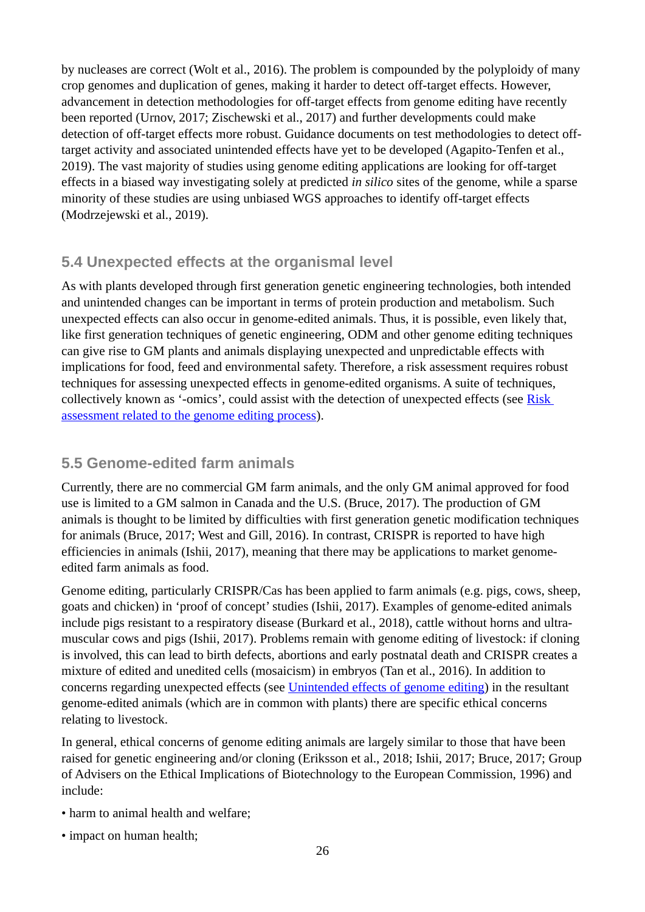by nucleases are correct (Wolt et al., 2016). The problem is compounded by the polyploidy of many crop genomes and duplication of genes, making it harder to detect off-target effects. However, advancement in detection methodologies for off-target effects from genome editing have recently been reported (Urnov, 2017; Zischewski et al., 2017) and further developments could make detection of off-target effects more robust. Guidance documents on test methodologies to detect offtarget activity and associated unintended effects have yet to be developed (Agapito-Tenfen et al., 2019). The vast majority of studies using genome editing applications are looking for off-target effects in a biased way investigating solely at predicted *in silico* sites of the genome, while a sparse minority of these studies are using unbiased WGS approaches to identify off-target effects (Modrzejewski et al., 2019).

### <span id="page-25-1"></span>**5.4 Unexpected effects at the organismal level**

As with plants developed through first generation genetic engineering technologies, both intended and unintended changes can be important in terms of protein production and metabolism. Such unexpected effects can also occur in genome-edited animals. Thus, it is possible, even likely that, like first generation techniques of genetic engineering, ODM and other genome editing techniques can give rise to GM plants and animals displaying unexpected and unpredictable effects with implications for food, feed and environmental safety. Therefore, a risk assessment requires robust techniques for assessing unexpected effects in genome-edited organisms. A suite of techniques, collectively known as '-omics', could assist with the detection of unexpected effects (see [Risk](#page-29-1)  [assessment related to the genome editing process\)](#page-29-1).

### <span id="page-25-0"></span>**5.5 Genome-edited farm animals**

Currently, there are no commercial GM farm animals, and the only GM animal approved for food use is limited to a GM salmon in Canada and the U.S. (Bruce, 2017). The production of GM animals is thought to be limited by difficulties with first generation genetic modification techniques for animals (Bruce, 2017; West and Gill, 2016). In contrast, CRISPR is reported to have high efficiencies in animals (Ishii, 2017), meaning that there may be applications to market genomeedited farm animals as food.

Genome editing, particularly CRISPR/Cas has been applied to farm animals (e.g. pigs, cows, sheep, goats and chicken) in 'proof of concept' studies (Ishii, 2017). Examples of genome-edited animals include pigs resistant to a respiratory disease (Burkard et al., 2018), cattle without horns and ultramuscular cows and pigs (Ishii, 2017). Problems remain with genome editing of livestock: if cloning is involved, this can lead to birth defects, abortions and early postnatal death and CRISPR creates a mixture of edited and unedited cells (mosaicism) in embryos (Tan et al., 2016). In addition to concerns regarding unexpected effects (see [Unintended effects of genome editing\)](#page-23-2) in the resultant genome-edited animals (which are in common with plants) there are specific ethical concerns relating to livestock.

In general, ethical concerns of genome editing animals are largely similar to those that have been raised for genetic engineering and/or cloning (Eriksson et al., 2018; Ishii, 2017; Bruce, 2017; Group of Advisers on the Ethical Implications of Biotechnology to the European Commission, 1996) and include:

- harm to animal health and welfare;
- impact on human health;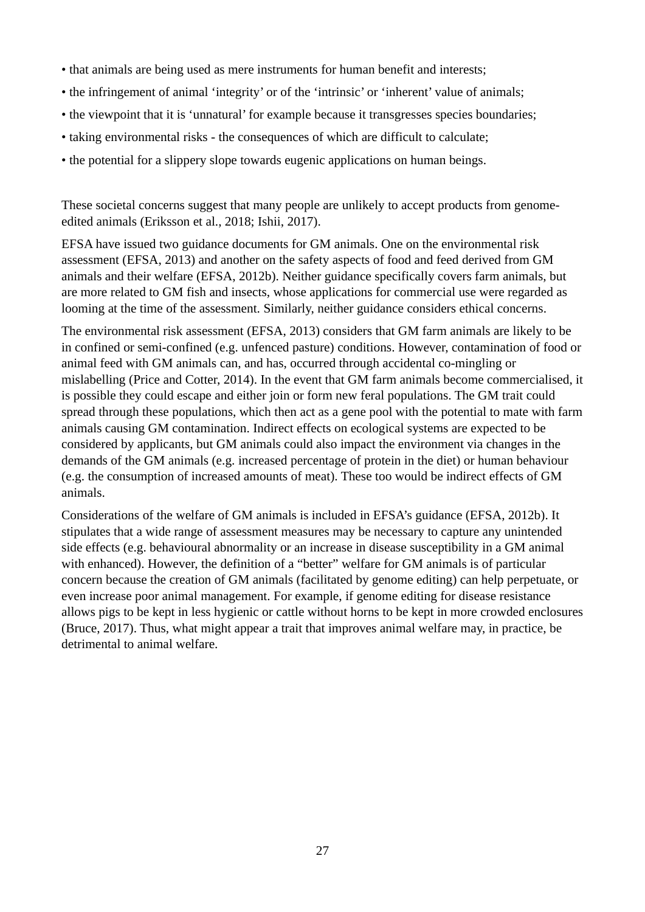- that animals are being used as mere instruments for human benefit and interests;
- the infringement of animal 'integrity' or of the 'intrinsic' or 'inherent' value of animals;
- the viewpoint that it is 'unnatural' for example because it transgresses species boundaries:
- taking environmental risks the consequences of which are difficult to calculate;
- the potential for a slippery slope towards eugenic applications on human beings.

These societal concerns suggest that many people are unlikely to accept products from genomeedited animals (Eriksson et al., 2018; Ishii, 2017).

EFSA have issued two guidance documents for GM animals. One on the environmental risk assessment (EFSA, 2013) and another on the safety aspects of food and feed derived from GM animals and their welfare (EFSA, 2012b). Neither guidance specifically covers farm animals, but are more related to GM fish and insects, whose applications for commercial use were regarded as looming at the time of the assessment. Similarly, neither guidance considers ethical concerns.

The environmental risk assessment (EFSA, 2013) considers that GM farm animals are likely to be in confined or semi-confined (e.g. unfenced pasture) conditions. However, contamination of food or animal feed with GM animals can, and has, occurred through accidental co-mingling or mislabelling (Price and Cotter, 2014). In the event that GM farm animals become commercialised, it is possible they could escape and either join or form new feral populations. The GM trait could spread through these populations, which then act as a gene pool with the potential to mate with farm animals causing GM contamination. Indirect effects on ecological systems are expected to be considered by applicants, but GM animals could also impact the environment via changes in the demands of the GM animals (e.g. increased percentage of protein in the diet) or human behaviour (e.g. the consumption of increased amounts of meat). These too would be indirect effects of GM animals.

Considerations of the welfare of GM animals is included in EFSA's guidance (EFSA, 2012b). It stipulates that a wide range of assessment measures may be necessary to capture any unintended side effects (e.g. behavioural abnormality or an increase in disease susceptibility in a GM animal with enhanced). However, the definition of a "better" welfare for GM animals is of particular concern because the creation of GM animals (facilitated by genome editing) can help perpetuate, or even increase poor animal management. For example, if genome editing for disease resistance allows pigs to be kept in less hygienic or cattle without horns to be kept in more crowded enclosures (Bruce, 2017). Thus, what might appear a trait that improves animal welfare may, in practice, be detrimental to animal welfare.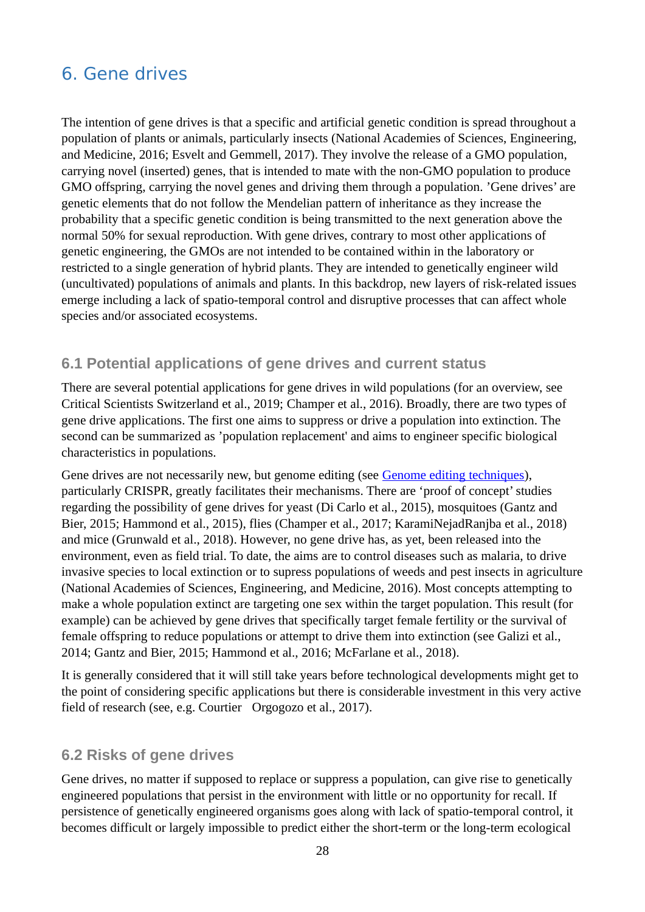# <span id="page-27-2"></span>6. Gene drives

The intention of gene drives is that a specific and artificial genetic condition is spread throughout a population of plants or animals, particularly insects (National Academies of Sciences, Engineering, and Medicine, 2016; Esvelt and Gemmell, 2017). They involve the release of a GMO population, carrying novel (inserted) genes, that is intended to mate with the non-GMO population to produce GMO offspring, carrying the novel genes and driving them through a population. 'Gene drives' are genetic elements that do not follow the Mendelian pattern of inheritance as they increase the probability that a specific genetic condition is being transmitted to the next generation above the normal 50% for sexual reproduction. With gene drives, contrary to most other applications of genetic engineering, the GMOs are not intended to be contained within in the laboratory or restricted to a single generation of hybrid plants. They are intended to genetically engineer wild (uncultivated) populations of animals and plants. In this backdrop, new layers of risk-related issues emerge including a lack of spatio-temporal control and disruptive processes that can affect whole species and/or associated ecosystems.

### <span id="page-27-1"></span>**6.1 Potential applications of gene drives and current status**

There are several potential applications for gene drives in wild populations (for an overview, see Critical Scientists Switzerland et al., 2019; Champer et al., 2016). Broadly, there are two types of gene drive applications. The first one aims to suppress or drive a population into extinction. The second can be summarized as 'population replacement' and aims to engineer specific biological characteristics in populations.

Gene drives are not necessarily new, but genome editing (see [Genome editing techniques\)](#page-19-1), particularly CRISPR, greatly facilitates their mechanisms. There are 'proof of concept' studies regarding the possibility of gene drives for yeast (Di Carlo et al., 2015), mosquitoes (Gantz and Bier, 2015; Hammond et al., 2015), flies (Champer et al., 2017; KaramiNejadRanjba et al., 2018) and mice (Grunwald et al., 2018). However, no gene drive has, as yet, been released into the environment, even as field trial. To date, the aims are to control diseases such as malaria, to drive invasive species to local extinction or to supress populations of weeds and pest insects in agriculture (National Academies of Sciences, Engineering, and Medicine, 2016). Most concepts attempting to make a whole population extinct are targeting one sex within the target population. This result (for example) can be achieved by gene drives that specifically target female fertility or the survival of female offspring to reduce populations or attempt to drive them into extinction (see Galizi et al., 2014; Gantz and Bier, 2015; Hammond et al., 2016; McFarlane et al., 2018).

It is generally considered that it will still take years before technological developments might get to the point of considering specific applications but there is considerable investment in this very active field of research (see, e.g. Courtier Orgogozo et al., 2017).

#### <span id="page-27-0"></span>**6.2 Risks of gene drives**

Gene drives, no matter if supposed to replace or suppress a population, can give rise to genetically engineered populations that persist in the environment with little or no opportunity for recall. If persistence of genetically engineered organisms goes along with lack of spatio-temporal control, it becomes difficult or largely impossible to predict either the short-term or the long-term ecological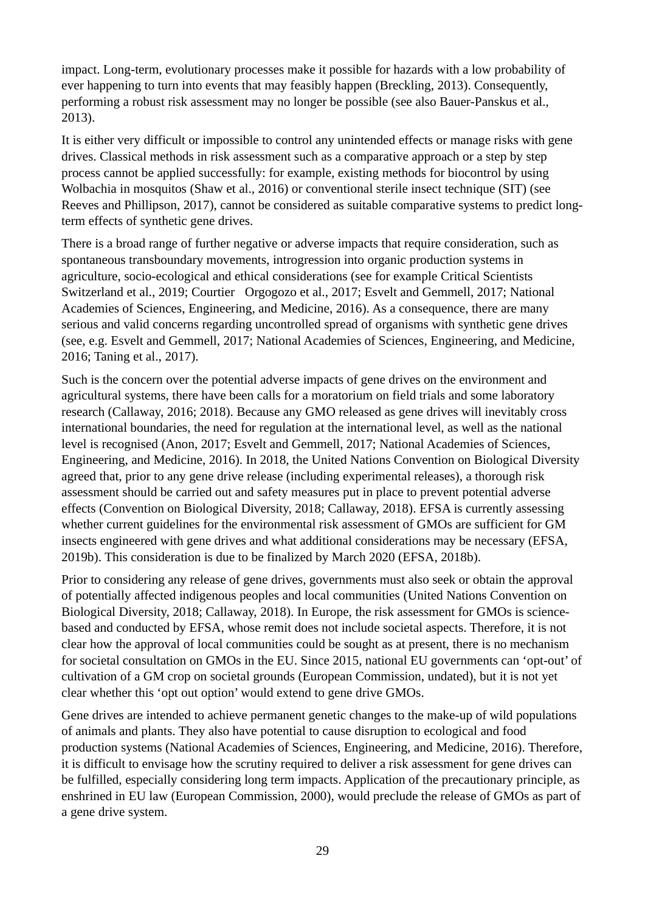impact. Long-term, evolutionary processes make it possible for hazards with a low probability of ever happening to turn into events that may feasibly happen (Breckling, 2013). Consequently, performing a robust risk assessment may no longer be possible (see also Bauer-Panskus et al., 2013).

It is either very difficult or impossible to control any unintended effects or manage risks with gene drives. Classical methods in risk assessment such as a comparative approach or a step by step process cannot be applied successfully: for example, existing methods for biocontrol by using Wolbachia in mosquitos (Shaw et al., 2016) or conventional sterile insect technique (SIT) (see Reeves and Phillipson, 2017), cannot be considered as suitable comparative systems to predict longterm effects of synthetic gene drives.

There is a broad range of further negative or adverse impacts that require consideration, such as spontaneous transboundary movements, introgression into organic production systems in agriculture, socio-ecological and ethical considerations (see for example Critical Scientists Switzerland et al., 2019; Courtier Orgogozo et al., 2017; Esvelt and Gemmell, 2017; National Academies of Sciences, Engineering, and Medicine, 2016). As a consequence, there are many serious and valid concerns regarding uncontrolled spread of organisms with synthetic gene drives (see, e.g. Esvelt and Gemmell, 2017; National Academies of Sciences, Engineering, and Medicine, 2016; Taning et al., 2017).

Such is the concern over the potential adverse impacts of gene drives on the environment and agricultural systems, there have been calls for a moratorium on field trials and some laboratory research (Callaway, 2016; 2018). Because any GMO released as gene drives will inevitably cross international boundaries, the need for regulation at the international level, as well as the national level is recognised (Anon, 2017; Esvelt and Gemmell, 2017; National Academies of Sciences, Engineering, and Medicine, 2016). In 2018, the United Nations Convention on Biological Diversity agreed that, prior to any gene drive release (including experimental releases), a thorough risk assessment should be carried out and safety measures put in place to prevent potential adverse effects (Convention on Biological Diversity, 2018; Callaway, 2018). EFSA is currently assessing whether current guidelines for the environmental risk assessment of GMOs are sufficient for GM insects engineered with gene drives and what additional considerations may be necessary (EFSA, 2019b). This consideration is due to be finalized by March 2020 (EFSA, 2018b).

Prior to considering any release of gene drives, governments must also seek or obtain the approval of potentially affected indigenous peoples and local communities (United Nations Convention on Biological Diversity, 2018; Callaway, 2018). In Europe, the risk assessment for GMOs is sciencebased and conducted by EFSA, whose remit does not include societal aspects. Therefore, it is not clear how the approval of local communities could be sought as at present, there is no mechanism for societal consultation on GMOs in the EU. Since 2015, national EU governments can 'opt-out' of cultivation of a GM crop on societal grounds (European Commission, undated), but it is not yet clear whether this 'opt out option' would extend to gene drive GMOs.

Gene drives are intended to achieve permanent genetic changes to the make-up of wild populations of animals and plants. They also have potential to cause disruption to ecological and food production systems (National Academies of Sciences, Engineering, and Medicine, 2016). Therefore, it is difficult to envisage how the scrutiny required to deliver a risk assessment for gene drives can be fulfilled, especially considering long term impacts. Application of the precautionary principle, as enshrined in EU law (European Commission, 2000), would preclude the release of GMOs as part of a gene drive system.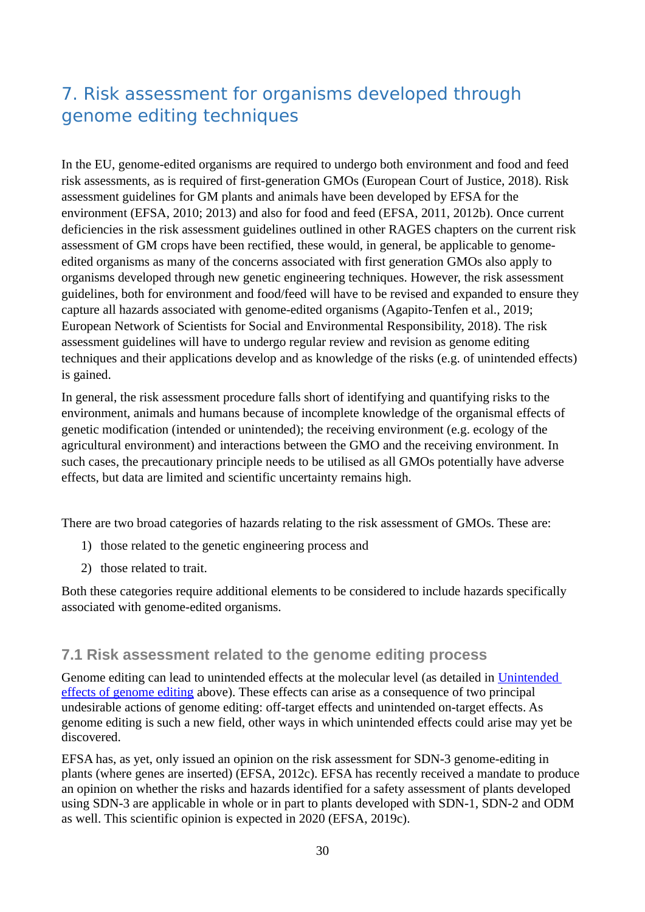# <span id="page-29-1"></span>7. Risk assessment for organisms developed through genome editing techniques

In the EU, genome-edited organisms are required to undergo both environment and food and feed risk assessments, as is required of first-generation GMOs (European Court of Justice, 2018). Risk assessment guidelines for GM plants and animals have been developed by EFSA for the environment (EFSA, 2010; 2013) and also for food and feed (EFSA, 2011, 2012b). Once current deficiencies in the risk assessment guidelines outlined in other RAGES chapters on the current risk assessment of GM crops have been rectified, these would, in general, be applicable to genomeedited organisms as many of the concerns associated with first generation GMOs also apply to organisms developed through new genetic engineering techniques. However, the risk assessment guidelines, both for environment and food/feed will have to be revised and expanded to ensure they capture all hazards associated with genome-edited organisms (Agapito-Tenfen et al., 2019; European Network of Scientists for Social and Environmental Responsibility, 2018). The risk assessment guidelines will have to undergo regular review and revision as genome editing techniques and their applications develop and as knowledge of the risks (e.g. of unintended effects) is gained.

In general, the risk assessment procedure falls short of identifying and quantifying risks to the environment, animals and humans because of incomplete knowledge of the organismal effects of genetic modification (intended or unintended); the receiving environment (e.g. ecology of the agricultural environment) and interactions between the GMO and the receiving environment. In such cases, the precautionary principle needs to be utilised as all GMOs potentially have adverse effects, but data are limited and scientific uncertainty remains high.

There are two broad categories of hazards relating to the risk assessment of GMOs. These are:

- 1) those related to the genetic engineering process and
- 2) those related to trait.

Both these categories require additional elements to be considered to include hazards specifically associated with genome-edited organisms.

### <span id="page-29-0"></span>**7.1 Risk assessment related to the genome editing process**

Genome editing can lead to unintended effects at the molecular level (as detailed in [Unintended](#page-23-2)  [effects of genome editing](#page-23-2) above). These effects can arise as a consequence of two principal undesirable actions of genome editing: off-target effects and unintended on-target effects. As genome editing is such a new field, other ways in which unintended effects could arise may yet be discovered.

EFSA has, as yet, only issued an opinion on the risk assessment for SDN-3 genome-editing in plants (where genes are inserted) (EFSA, 2012c). EFSA has recently received a mandate to produce an opinion on whether the risks and hazards identified for a safety assessment of plants developed using SDN-3 are applicable in whole or in part to plants developed with SDN-1, SDN-2 and ODM as well. This scientific opinion is expected in 2020 (EFSA, 2019c).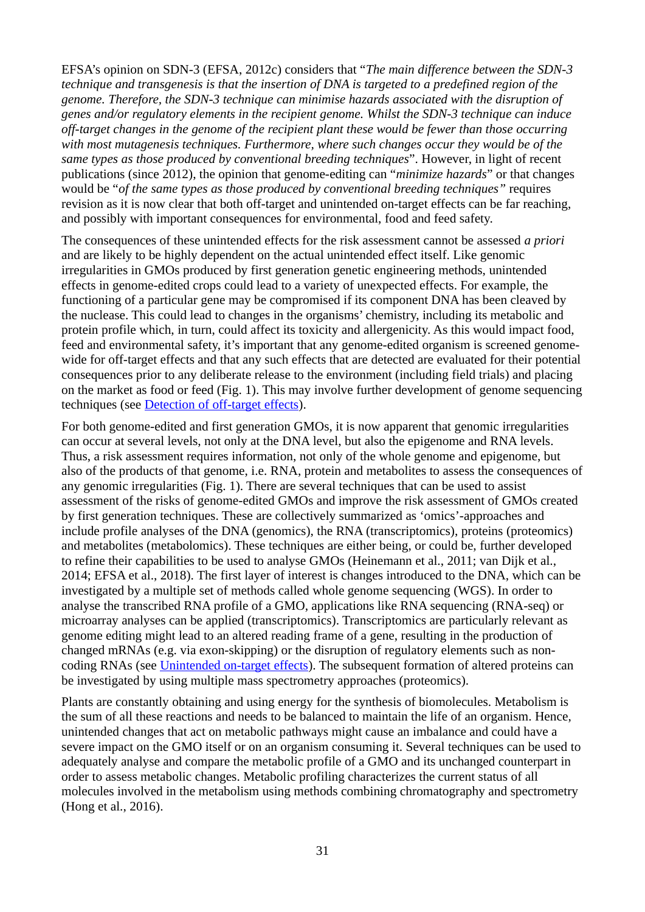EFSA's opinion on SDN-3 (EFSA, 2012c) considers that "*The main difference between the SDN-3 technique and transgenesis is that the insertion of DNA is targeted to a predefined region of the genome. Therefore, the SDN-3 technique can minimise hazards associated with the disruption of genes and/or regulatory elements in the recipient genome. Whilst the SDN-3 technique can induce off-target changes in the genome of the recipient plant these would be fewer than those occurring with most mutagenesis techniques. Furthermore, where such changes occur they would be of the same types as those produced by conventional breeding techniques*". However, in light of recent publications (since 2012), the opinion that genome-editing can "*minimize hazards*" or that changes would be "*of the same types as those produced by conventional breeding techniques"* requires revision as it is now clear that both off-target and unintended on-target effects can be far reaching, and possibly with important consequences for environmental, food and feed safety.

The consequences of these unintended effects for the risk assessment cannot be assessed *a priori* and are likely to be highly dependent on the actual unintended effect itself. Like genomic irregularities in GMOs produced by first generation genetic engineering methods, unintended effects in genome-edited crops could lead to a variety of unexpected effects. For example, the functioning of a particular gene may be compromised if its component DNA has been cleaved by the nuclease. This could lead to changes in the organisms' chemistry, including its metabolic and protein profile which, in turn, could affect its toxicity and allergenicity. As this would impact food, feed and environmental safety, it's important that any genome-edited organism is screened genomewide for off-target effects and that any such effects that are detected are evaluated for their potential consequences prior to any deliberate release to the environment (including field trials) and placing on the market as food or feed (Fig. 1). This may involve further development of genome sequencing techniques (see [Detection of off-target effects\)](#page-24-0).

For both genome-edited and first generation GMOs, it is now apparent that genomic irregularities can occur at several levels, not only at the DNA level, but also the epigenome and RNA levels. Thus, a risk assessment requires information, not only of the whole genome and epigenome, but also of the products of that genome, i.e. RNA, protein and metabolites to assess the consequences of any genomic irregularities (Fig. 1). There are several techniques that can be used to assist assessment of the risks of genome-edited GMOs and improve the risk assessment of GMOs created by first generation techniques. These are collectively summarized as 'omics'-approaches and include profile analyses of the DNA (genomics), the RNA (transcriptomics), proteins (proteomics) and metabolites (metabolomics). These techniques are either being, or could be, further developed to refine their capabilities to be used to analyse GMOs (Heinemann et al., 2011; van Dijk et al., 2014; EFSA et al., 2018). The first layer of interest is changes introduced to the DNA, which can be investigated by a multiple set of methods called whole genome sequencing (WGS). In order to analyse the transcribed RNA profile of a GMO, applications like RNA sequencing (RNA-seq) or microarray analyses can be applied (transcriptomics). Transcriptomics are particularly relevant as genome editing might lead to an altered reading frame of a gene, resulting in the production of changed mRNAs (e.g. via exon-skipping) or the disruption of regulatory elements such as noncoding RNAs (see [Unintended on-target effects\)](#page-23-0). The subsequent formation of altered proteins can be investigated by using multiple mass spectrometry approaches (proteomics).

Plants are constantly obtaining and using energy for the synthesis of biomolecules. Metabolism is the sum of all these reactions and needs to be balanced to maintain the life of an organism. Hence, unintended changes that act on metabolic pathways might cause an imbalance and could have a severe impact on the GMO itself or on an organism consuming it. Several techniques can be used to adequately analyse and compare the metabolic profile of a GMO and its unchanged counterpart in order to assess metabolic changes. Metabolic profiling characterizes the current status of all molecules involved in the metabolism using methods combining chromatography and spectrometry (Hong et al., 2016).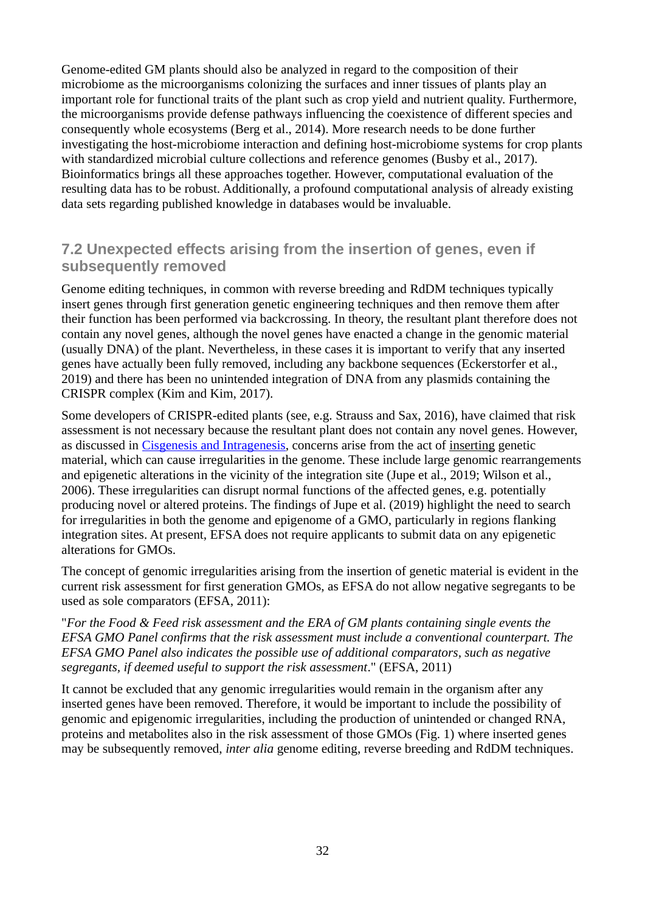Genome-edited GM plants should also be analyzed in regard to the composition of their microbiome as the microorganisms colonizing the surfaces and inner tissues of plants play an important role for functional traits of the plant such as crop yield and nutrient quality. Furthermore, the microorganisms provide defense pathways influencing the coexistence of different species and consequently whole ecosystems (Berg et al., 2014). More research needs to be done further investigating the host-microbiome interaction and defining host-microbiome systems for crop plants with standardized microbial culture collections and reference genomes (Busby et al., 2017). Bioinformatics brings all these approaches together. However, computational evaluation of the resulting data has to be robust. Additionally, a profound computational analysis of already existing data sets regarding published knowledge in databases would be invaluable.

### <span id="page-31-0"></span>**7.2 Unexpected effects arising from the insertion of genes, even if subsequently removed**

Genome editing techniques, in common with reverse breeding and RdDM techniques typically insert genes through first generation genetic engineering techniques and then remove them after their function has been performed via backcrossing. In theory, the resultant plant therefore does not contain any novel genes, although the novel genes have enacted a change in the genomic material (usually DNA) of the plant. Nevertheless, in these cases it is important to verify that any inserted genes have actually been fully removed, including any backbone sequences (Eckerstorfer et al., 2019) and there has been no unintended integration of DNA from any plasmids containing the CRISPR complex (Kim and Kim, 2017).

Some developers of CRISPR-edited plants (see, e.g. Strauss and Sax, 2016), have claimed that risk assessment is not necessary because the resultant plant does not contain any novel genes. However, as discussed in [Cisgenesis and Intragenesis,](#page-16-0) concerns arise from the act of inserting genetic material, which can cause irregularities in the genome. These include large genomic rearrangements and epigenetic alterations in the vicinity of the integration site (Jupe et al., 2019; Wilson et al., 2006). These irregularities can disrupt normal functions of the affected genes, e.g. potentially producing novel or altered proteins. The findings of Jupe et al. (2019) highlight the need to search for irregularities in both the genome and epigenome of a GMO, particularly in regions flanking integration sites. At present, EFSA does not require applicants to submit data on any epigenetic alterations for GMOs.

The concept of genomic irregularities arising from the insertion of genetic material is evident in the current risk assessment for first generation GMOs, as EFSA do not allow negative segregants to be used as sole comparators (EFSA, 2011):

"*For the Food & Feed risk assessment and the ERA of GM plants containing single events the EFSA GMO Panel confirms that the risk assessment must include a conventional counterpart. The EFSA GMO Panel also indicates the possible use of additional comparators, such as negative segregants, if deemed useful to support the risk assessment*." (EFSA, 2011)

It cannot be excluded that any genomic irregularities would remain in the organism after any inserted genes have been removed. Therefore, it would be important to include the possibility of genomic and epigenomic irregularities, including the production of unintended or changed RNA, proteins and metabolites also in the risk assessment of those GMOs (Fig. 1) where inserted genes may be subsequently removed, *inter alia* genome editing, reverse breeding and RdDM techniques.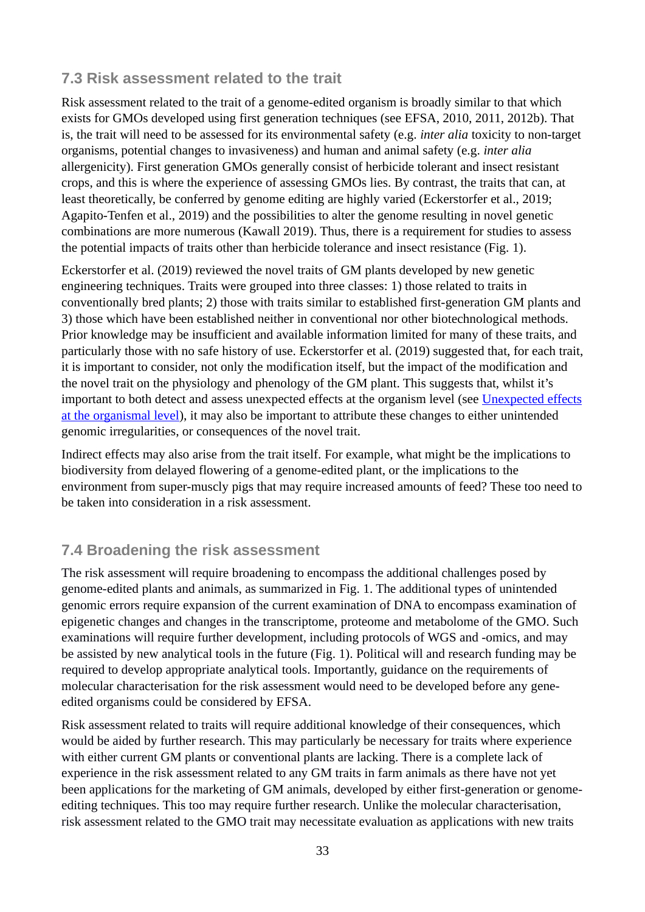### <span id="page-32-1"></span>**7.3 Risk assessment related to the trait**

Risk assessment related to the trait of a genome-edited organism is broadly similar to that which exists for GMOs developed using first generation techniques (see EFSA, 2010, 2011, 2012b). That is, the trait will need to be assessed for its environmental safety (e.g. *inter alia* toxicity to non-target organisms, potential changes to invasiveness) and human and animal safety (e.g. *inter alia*  allergenicity). First generation GMOs generally consist of herbicide tolerant and insect resistant crops, and this is where the experience of assessing GMOs lies. By contrast, the traits that can, at least theoretically, be conferred by genome editing are highly varied (Eckerstorfer et al., 2019; Agapito-Tenfen et al., 2019) and the possibilities to alter the genome resulting in novel genetic combinations are more numerous (Kawall 2019). Thus, there is a requirement for studies to assess the potential impacts of traits other than herbicide tolerance and insect resistance (Fig. 1).

Eckerstorfer et al. (2019) reviewed the novel traits of GM plants developed by new genetic engineering techniques. Traits were grouped into three classes: 1) those related to traits in conventionally bred plants; 2) those with traits similar to established first-generation GM plants and 3) those which have been established neither in conventional nor other biotechnological methods. Prior knowledge may be insufficient and available information limited for many of these traits, and particularly those with no safe history of use. Eckerstorfer et al. (2019) suggested that, for each trait, it is important to consider, not only the modification itself, but the impact of the modification and the novel trait on the physiology and phenology of the GM plant. This suggests that, whilst it's important to both detect and assess unexpected effects at the organism level (see [Unexpected effects](#page-25-1) [at the organismal level\)](#page-25-1), it may also be important to attribute these changes to either unintended genomic irregularities, or consequences of the novel trait.

Indirect effects may also arise from the trait itself. For example, what might be the implications to biodiversity from delayed flowering of a genome-edited plant, or the implications to the environment from super-muscly pigs that may require increased amounts of feed? These too need to be taken into consideration in a risk assessment.

### <span id="page-32-0"></span>**7.4 Broadening the risk assessment**

The risk assessment will require broadening to encompass the additional challenges posed by genome-edited plants and animals, as summarized in Fig. 1. The additional types of unintended genomic errors require expansion of the current examination of DNA to encompass examination of epigenetic changes and changes in the transcriptome, proteome and metabolome of the GMO. Such examinations will require further development, including protocols of WGS and -omics, and may be assisted by new analytical tools in the future (Fig. 1). Political will and research funding may be required to develop appropriate analytical tools. Importantly, guidance on the requirements of molecular characterisation for the risk assessment would need to be developed before any geneedited organisms could be considered by EFSA.

Risk assessment related to traits will require additional knowledge of their consequences, which would be aided by further research. This may particularly be necessary for traits where experience with either current GM plants or conventional plants are lacking. There is a complete lack of experience in the risk assessment related to any GM traits in farm animals as there have not yet been applications for the marketing of GM animals, developed by either first-generation or genomeediting techniques. This too may require further research. Unlike the molecular characterisation, risk assessment related to the GMO trait may necessitate evaluation as applications with new traits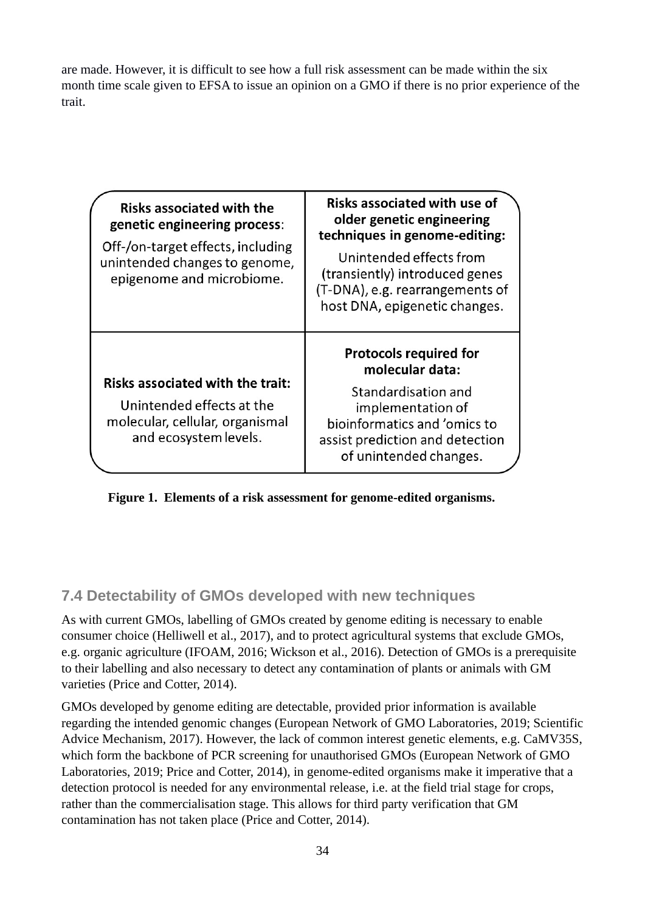are made. However, it is difficult to see how a full risk assessment can be made within the six month time scale given to EFSA to issue an opinion on a GMO if there is no prior experience of the trait.

| <b>Risks associated with the</b><br>genetic engineering process:<br>Off-/on-target effects, including<br>unintended changes to genome,<br>epigenome and microbiome. | <b>Risks associated with use of</b><br>older genetic engineering<br>techniques in genome-editing:<br>Unintended effects from<br>(transiently) introduced genes<br>(T-DNA), e.g. rearrangements of<br>host DNA, epigenetic changes. |  |  |
|---------------------------------------------------------------------------------------------------------------------------------------------------------------------|------------------------------------------------------------------------------------------------------------------------------------------------------------------------------------------------------------------------------------|--|--|
| <b>Risks associated with the trait:</b><br>Unintended effects at the<br>molecular, cellular, organismal<br>and ecosystem levels.                                    | <b>Protocols required for</b><br>molecular data:<br>Standardisation and<br>implementation of<br>bioinformatics and 'omics to<br>assist prediction and detection<br>of unintended changes.                                          |  |  |

**Figure 1. Elements of a risk assessment for genome-edited organisms.**

### <span id="page-33-0"></span>**7.4 Detectability of GMOs developed with new techniques**

As with current GMOs, labelling of GMOs created by genome editing is necessary to enable consumer choice (Helliwell et al., 2017), and to protect agricultural systems that exclude GMOs, e.g. organic agriculture (IFOAM, 2016; Wickson et al., 2016). Detection of GMOs is a prerequisite to their labelling and also necessary to detect any contamination of plants or animals with GM varieties (Price and Cotter, 2014).

GMOs developed by genome editing are detectable, provided prior information is available regarding the intended genomic changes (European Network of GMO Laboratories, 2019; Scientific Advice Mechanism, 2017). However, the lack of common interest genetic elements, e.g. CaMV35S, which form the backbone of PCR screening for unauthorised GMOs (European Network of GMO Laboratories, 2019; Price and Cotter, 2014), in genome-edited organisms make it imperative that a detection protocol is needed for any environmental release, i.e. at the field trial stage for crops, rather than the commercialisation stage. This allows for third party verification that GM contamination has not taken place (Price and Cotter, 2014).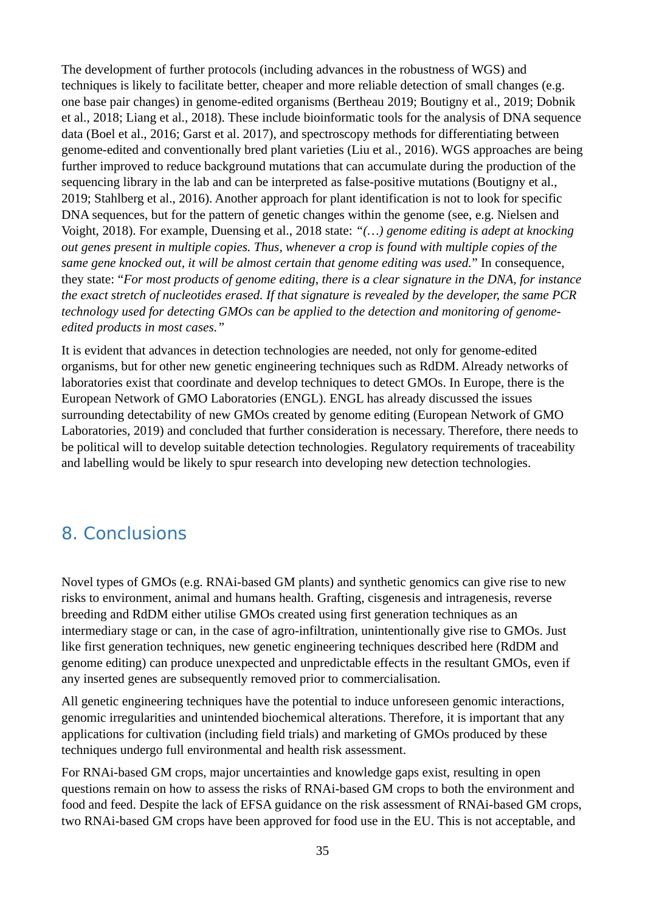The development of further protocols (including advances in the robustness of WGS) and techniques is likely to facilitate better, cheaper and more reliable detection of small changes (e.g. one base pair changes) in genome-edited organisms (Bertheau 2019; Boutigny et al., 2019; Dobnik et al., 2018; Liang et al., 2018). These include bioinformatic tools for the analysis of DNA sequence data (Boel et al., 2016; Garst et al. 2017), and spectroscopy methods for differentiating between genome-edited and conventionally bred plant varieties (Liu et al., 2016). WGS approaches are being further improved to reduce background mutations that can accumulate during the production of the sequencing library in the lab and can be interpreted as false-positive mutations (Boutigny et al., 2019; Stahlberg et al., 2016). Another approach for plant identification is not to look for specific DNA sequences, but for the pattern of genetic changes within the genome (see, e.g. Nielsen and Voight, 2018). For example, Duensing et al., 2018 state: *"(…) genome editing is adept at knocking out genes present in multiple copies. Thus, whenever a crop is found with multiple copies of the same gene knocked out, it will be almost certain that genome editing was used.*" In consequence, they state: "*For most products of genome editing, there is a clear signature in the DNA, for instance the exact stretch of nucleotides erased. If that signature is revealed by the developer, the same PCR technology used for detecting GMOs can be applied to the detection and monitoring of genomeedited products in most cases."*

It is evident that advances in detection technologies are needed, not only for genome-edited organisms, but for other new genetic engineering techniques such as RdDM. Already networks of laboratories exist that coordinate and develop techniques to detect GMOs. In Europe, there is the European Network of GMO Laboratories (ENGL). ENGL has already discussed the issues surrounding detectability of new GMOs created by genome editing (European Network of GMO Laboratories, 2019) and concluded that further consideration is necessary. Therefore, there needs to be political will to develop suitable detection technologies. Regulatory requirements of traceability and labelling would be likely to spur research into developing new detection technologies.

# <span id="page-34-0"></span>8. Conclusions

Novel types of GMOs (e.g. RNAi-based GM plants) and synthetic genomics can give rise to new risks to environment, animal and humans health. Grafting, cisgenesis and intragenesis, reverse breeding and RdDM either utilise GMOs created using first generation techniques as an intermediary stage or can, in the case of agro-infiltration, unintentionally give rise to GMOs. Just like first generation techniques, new genetic engineering techniques described here (RdDM and genome editing) can produce unexpected and unpredictable effects in the resultant GMOs, even if any inserted genes are subsequently removed prior to commercialisation.

All genetic engineering techniques have the potential to induce unforeseen genomic interactions, genomic irregularities and unintended biochemical alterations. Therefore, it is important that any applications for cultivation (including field trials) and marketing of GMOs produced by these techniques undergo full environmental and health risk assessment.

For RNAi-based GM crops, major uncertainties and knowledge gaps exist, resulting in open questions remain on how to assess the risks of RNAi-based GM crops to both the environment and food and feed. Despite the lack of EFSA guidance on the risk assessment of RNAi-based GM crops, two RNAi-based GM crops have been approved for food use in the EU. This is not acceptable, and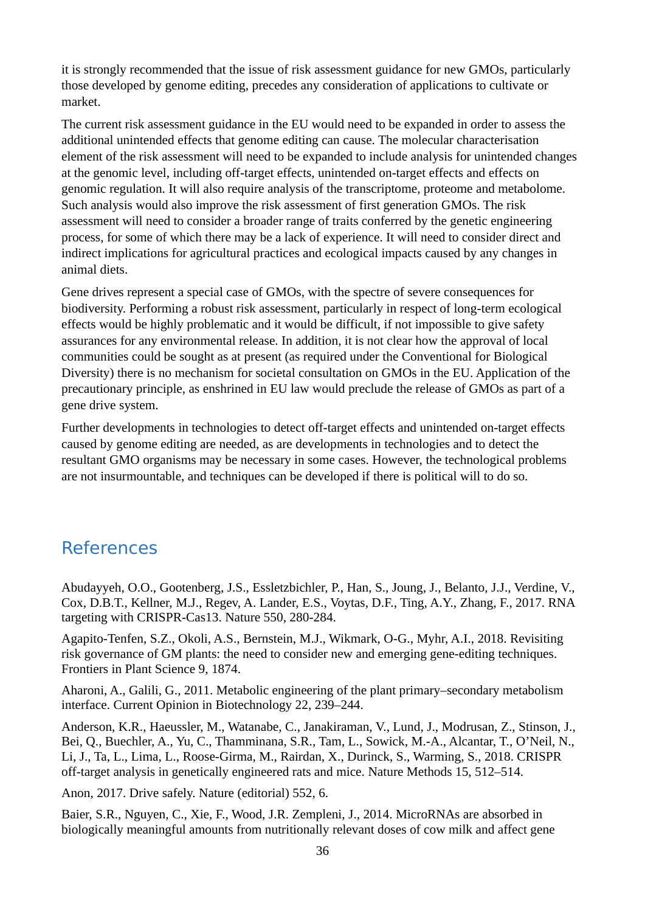it is strongly recommended that the issue of risk assessment guidance for new GMOs, particularly those developed by genome editing, precedes any consideration of applications to cultivate or market.

The current risk assessment guidance in the EU would need to be expanded in order to assess the additional unintended effects that genome editing can cause. The molecular characterisation element of the risk assessment will need to be expanded to include analysis for unintended changes at the genomic level, including off-target effects, unintended on-target effects and effects on genomic regulation. It will also require analysis of the transcriptome, proteome and metabolome. Such analysis would also improve the risk assessment of first generation GMOs. The risk assessment will need to consider a broader range of traits conferred by the genetic engineering process, for some of which there may be a lack of experience. It will need to consider direct and indirect implications for agricultural practices and ecological impacts caused by any changes in animal diets.

Gene drives represent a special case of GMOs, with the spectre of severe consequences for biodiversity. Performing a robust risk assessment, particularly in respect of long-term ecological effects would be highly problematic and it would be difficult, if not impossible to give safety assurances for any environmental release. In addition, it is not clear how the approval of local communities could be sought as at present (as required under the Conventional for Biological Diversity) there is no mechanism for societal consultation on GMOs in the EU. Application of the precautionary principle, as enshrined in EU law would preclude the release of GMOs as part of a gene drive system.

Further developments in technologies to detect off-target effects and unintended on-target effects caused by genome editing are needed, as are developments in technologies and to detect the resultant GMO organisms may be necessary in some cases. However, the technological problems are not insurmountable, and techniques can be developed if there is political will to do so.

# <span id="page-35-0"></span>**References**

Abudayyeh, O.O., Gootenberg, J.S., Essletzbichler, P., Han, S., Joung, J., Belanto, J.J., Verdine, V., Cox, D.B.T., Kellner, M.J., Regev, A. Lander, E.S., Voytas, D.F., Ting, A.Y., Zhang, F., 2017. RNA targeting with CRISPR-Cas13. Nature 550, 280-284.

Agapito-Tenfen, S.Z., Okoli, A.S., Bernstein, M.J., Wikmark, O-G., Myhr, A.I., 2018. Revisiting risk governance of GM plants: the need to consider new and emerging gene-editing techniques. Frontiers in Plant Science 9, 1874.

Aharoni, A., Galili, G., 2011. Metabolic engineering of the plant primary–secondary metabolism interface. Current Opinion in Biotechnology 22, 239–244.

Anderson, K.R., Haeussler, M., Watanabe, C., Janakiraman, V., Lund, J., Modrusan, Z., Stinson, J., Bei, Q., Buechler, A., Yu, C., Thamminana, S.R., Tam, L., Sowick, M.-A., Alcantar, T., O'Neil, N., Li, J., Ta, L., Lima, L., Roose-Girma, M., Rairdan, X., Durinck, S., Warming, S., 2018. CRISPR off-target analysis in genetically engineered rats and mice. Nature Methods 15, 512–514.

Anon, 2017. Drive safely. Nature (editorial) 552, 6.

Baier, S.R., Nguyen, C., Xie, F., Wood, J.R. Zempleni, J., 2014. MicroRNAs are absorbed in biologically meaningful amounts from nutritionally relevant doses of cow milk and affect gene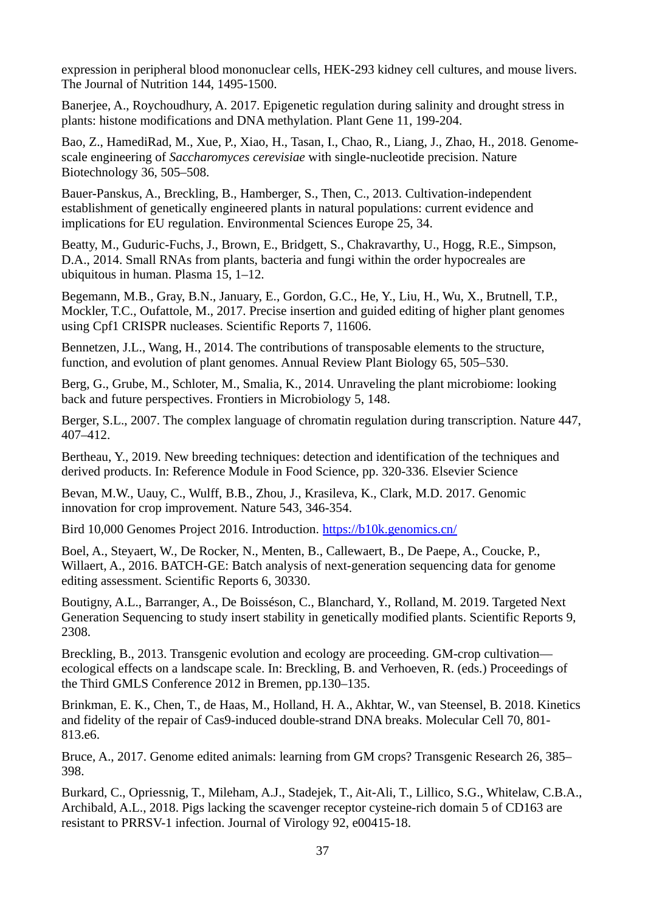expression in peripheral blood mononuclear cells, HEK-293 kidney cell cultures, and mouse livers. The Journal of Nutrition 144, 1495-1500.

Banerjee, A., Roychoudhury, A. 2017. Epigenetic regulation during salinity and drought stress in plants: histone modifications and DNA methylation. Plant Gene 11, 199-204.

Bao, Z., HamediRad, M., Xue, P., Xiao, H., Tasan, I., Chao, R., Liang, J., Zhao, H., 2018. Genomescale engineering of *Saccharomyces cerevisiae* with single-nucleotide precision. Nature Biotechnology 36, 505–508.

Bauer-Panskus, A., Breckling, B., Hamberger, S., Then, C., 2013. Cultivation-independent establishment of genetically engineered plants in natural populations: current evidence and implications for EU regulation. Environmental Sciences Europe 25, 34.

Beatty, M., Guduric-Fuchs, J., Brown, E., Bridgett, S., Chakravarthy, U., Hogg, R.E., Simpson, D.A., 2014. Small RNAs from plants, bacteria and fungi within the order hypocreales are ubiquitous in human. Plasma 15, 1–12.

Begemann, M.B., Gray, B.N., January, E., Gordon, G.C., He, Y., Liu, H., Wu, X., Brutnell, T.P., Mockler, T.C., Oufattole, M., 2017. Precise insertion and guided editing of higher plant genomes using Cpf1 CRISPR nucleases. Scientific Reports 7, 11606.

Bennetzen, J.L., Wang, H., 2014. The contributions of transposable elements to the structure, function, and evolution of plant genomes. Annual Review Plant Biology 65, 505–530.

Berg, G., Grube, M., Schloter, M., Smalia, K., 2014. Unraveling the plant microbiome: looking back and future perspectives. Frontiers in Microbiology 5, 148.

Berger, S.L., 2007. The complex language of chromatin regulation during transcription. Nature 447, 407–412.

Bertheau, Y., 2019. New breeding techniques: detection and identification of the techniques and derived products. In: Reference Module in Food Science, pp. 320-336. Elsevier Science

Bevan, M.W., Uauy, C., Wulff, B.B., Zhou, J., Krasileva, K., Clark, M.D. 2017. Genomic innovation for crop improvement. Nature 543, 346-354.

Bird 10,000 Genomes Project 2016. Introduction.<https://b10k.genomics.cn/>

Boel, A., Steyaert, W., De Rocker, N., Menten, B., Callewaert, B., De Paepe, A., Coucke, P., Willaert, A., 2016. BATCH-GE: Batch analysis of next-generation sequencing data for genome editing assessment. Scientific Reports 6, 30330.

Boutigny, A.L., Barranger, A., De Boisséson, C., Blanchard, Y., Rolland, M. 2019. Targeted Next Generation Sequencing to study insert stability in genetically modified plants. Scientific Reports 9, 2308.

Breckling, B., 2013. Transgenic evolution and ecology are proceeding. GM-crop cultivation ecological effects on a landscape scale. In: Breckling, B. and Verhoeven, R. (eds.) Proceedings of the Third GMLS Conference 2012 in Bremen, pp.130–135.

Brinkman, E. K., Chen, T., de Haas, M., Holland, H. A., Akhtar, W., van Steensel, B. 2018. Kinetics and fidelity of the repair of Cas9-induced double-strand DNA breaks. Molecular Cell 70, 801- 813.e6.

Bruce, A., 2017. Genome edited animals: learning from GM crops? Transgenic Research 26, 385– 398.

Burkard, C., Opriessnig, T., Mileham, A.J., Stadejek, T., Ait-Ali, T., Lillico, S.G., Whitelaw, C.B.A., Archibald, A.L., 2018. Pigs lacking the scavenger receptor cysteine-rich domain 5 of CD163 are resistant to PRRSV-1 infection. Journal of Virology 92, e00415-18.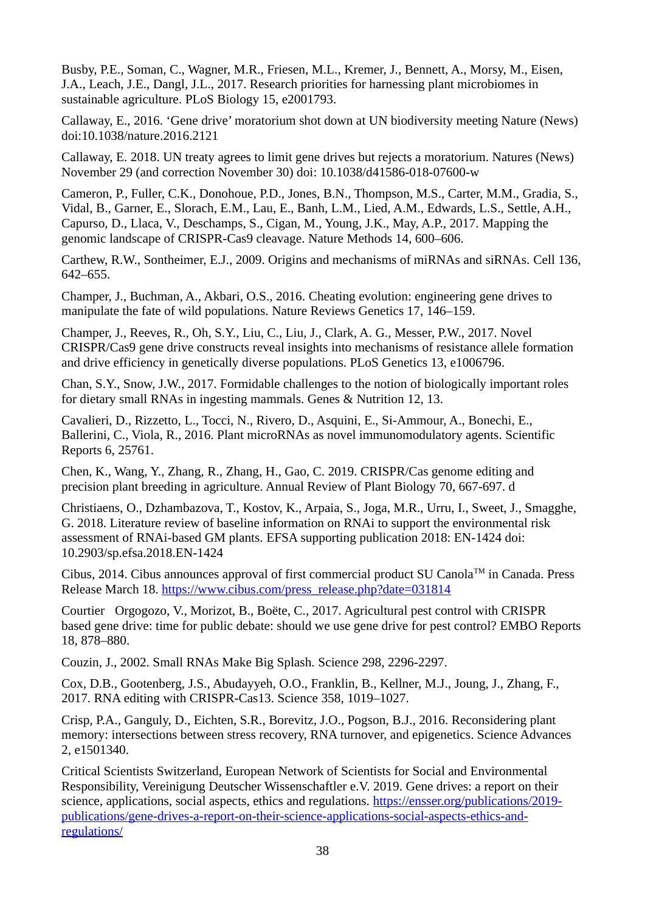Busby, P.E., Soman, C., Wagner, M.R., Friesen, M.L., Kremer, J., Bennett, A., Morsy, M., Eisen, J.A., Leach, J.E., Dangl, J.L., 2017. Research priorities for harnessing plant microbiomes in sustainable agriculture. PLoS Biology 15, e2001793.

Callaway, E., 2016. 'Gene drive' moratorium shot down at UN biodiversity meeting Nature (News) doi:10.1038/nature.2016.2121

Callaway, E. 2018. UN treaty agrees to limit gene drives but rejects a moratorium. Natures (News) November 29 (and correction November 30) doi: 10.1038/d41586-018-07600-w

Cameron, P., Fuller, C.K., Donohoue, P.D., Jones, B.N., Thompson, M.S., Carter, M.M., Gradia, S., Vidal, B., Garner, E., Slorach, E.M., Lau, E., Banh, L.M., Lied, A.M., Edwards, L.S., Settle, A.H., Capurso, D., Llaca, V., Deschamps, S., Cigan, M., Young, J.K., May, A.P., 2017. Mapping the genomic landscape of CRISPR-Cas9 cleavage. Nature Methods 14, 600–606.

Carthew, R.W., Sontheimer, E.J., 2009. Origins and mechanisms of miRNAs and siRNAs. Cell 136, 642–655.

Champer, J., Buchman, A., Akbari, O.S., 2016. Cheating evolution: engineering gene drives to manipulate the fate of wild populations. Nature Reviews Genetics 17, 146–159.

Champer, J., Reeves, R., Oh, S.Y., Liu, C., Liu, J., Clark, A. G., Messer, P.W., 2017. Novel CRISPR/Cas9 gene drive constructs reveal insights into mechanisms of resistance allele formation and drive efficiency in genetically diverse populations. PLoS Genetics 13, e1006796.

Chan, S.Y., Snow, J.W., 2017. Formidable challenges to the notion of biologically important roles for dietary small RNAs in ingesting mammals. Genes & Nutrition 12, 13.

Cavalieri, D., Rizzetto, L., Tocci, N., Rivero, D., Asquini, E., Si-Ammour, A., Bonechi, E., Ballerini, C., Viola, R., 2016. Plant microRNAs as novel immunomodulatory agents. Scientific Reports 6, 25761.

Chen, K., Wang, Y., Zhang, R., Zhang, H., Gao, C. 2019. CRISPR/Cas genome editing and precision plant breeding in agriculture. Annual Review of Plant Biology 70, 667-697. d

Christiaens, O., Dzhambazova, T., Kostov, K., Arpaia, S., Joga, M.R., Urru, I., Sweet, J., Smagghe, G. 2018. Literature review of baseline information on RNAi to support the environmental risk assessment of RNAi-based GM plants. EFSA supporting publication 2018: EN-1424 doi: 10.2903/sp.efsa.2018.EN-1424

Cibus, 2014. Cibus announces approval of first commercial product SU Canola™ in Canada. Press Release March 18. [https://www.cibus.com/press\\_release.php?date=031814](https://www.cibus.com/press_release.php?date=031814)

Courtier‐Orgogozo, V., Morizot, B., Boëte, C., 2017. Agricultural pest control with CRISPR‐ based gene drive: time for public debate: should we use gene drive for pest control? EMBO Reports 18, 878–880.

Couzin, J., 2002. Small RNAs Make Big Splash. Science 298, 2296-2297.

Cox, D.B., Gootenberg, J.S., Abudayyeh, O.O., Franklin, B., Kellner, M.J., Joung, J., Zhang, F., 2017. RNA editing with CRISPR-Cas13. Science 358, 1019–1027.

Crisp, P.A., Ganguly, D., Eichten, S.R., Borevitz, J.O., Pogson, B.J., 2016. Reconsidering plant memory: intersections between stress recovery, RNA turnover, and epigenetics. Science Advances 2, e1501340.

Critical Scientists Switzerland, European Network of Scientists for Social and Environmental Responsibility, Vereinigung Deutscher Wissenschaftler e.V. 2019. Gene drives: a report on their science, applications, social aspects, ethics and regulations. [https://ensser.org/publications/2019](https://ensser.org/publications/2019-publications/gene-drives-a-report-on-their-science-applications-social-aspects-ethics-and-regulations/) [publications/gene-drives-a-report-on-their-science-applications-social-aspects-ethics-and](https://ensser.org/publications/2019-publications/gene-drives-a-report-on-their-science-applications-social-aspects-ethics-and-regulations/)[regulations/](https://ensser.org/publications/2019-publications/gene-drives-a-report-on-their-science-applications-social-aspects-ethics-and-regulations/)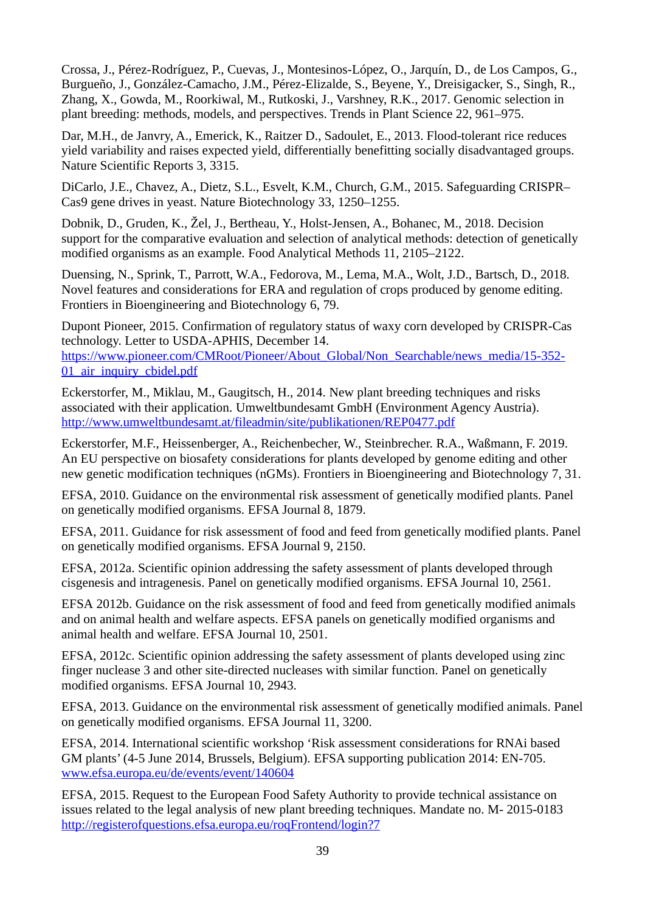Crossa, J., Pérez-Rodríguez, P., Cuevas, J., Montesinos-López, O., Jarquín, D., de Los Campos, G., Burgueño, J., González-Camacho, J.M., Pérez-Elizalde, S., Beyene, Y., Dreisigacker, S., Singh, R., Zhang, X., Gowda, M., Roorkiwal, M., Rutkoski, J., Varshney, R.K., 2017. Genomic selection in plant breeding: methods, models, and perspectives. Trends in Plant Science 22, 961–975.

Dar, M.H., de Janvry, A., Emerick, K., Raitzer D., Sadoulet, E., 2013. Flood-tolerant rice reduces yield variability and raises expected yield, differentially benefitting socially disadvantaged groups. Nature Scientific Reports 3, 3315.

DiCarlo, J.E., Chavez, A., Dietz, S.L., Esvelt, K.M., Church, G.M., 2015. Safeguarding CRISPR– Cas9 gene drives in yeast. Nature Biotechnology 33, 1250–1255.

Dobnik, D., Gruden, K., Žel, J., Bertheau, Y., Holst-Jensen, A., Bohanec, M., 2018. Decision support for the comparative evaluation and selection of analytical methods: detection of genetically modified organisms as an example. Food Analytical Methods 11, 2105–2122.

Duensing, N., Sprink, T., Parrott, W.A., Fedorova, M., Lema, M.A., Wolt, J.D., Bartsch, D., 2018. Novel features and considerations for ERA and regulation of crops produced by genome editing. Frontiers in Bioengineering and Biotechnology 6, 79.

Dupont Pioneer, 2015. Confirmation of regulatory status of waxy corn developed by CRISPR-Cas technology. Letter to USDA-APHIS, December 14. [https://www.pioneer.com/CMRoot/Pioneer/About\\_Global/Non\\_Searchable/news\\_media/15-352-](https://www.pioneer.com/CMRoot/Pioneer/About_Global/Non_Searchable/news_media/15-352-01_air_inquiry_cbidel.pdf) 01 air inquiry\_cbidel.pdf

Eckerstorfer, M., Miklau, M., Gaugitsch, H., 2014. New plant breeding techniques and risks associated with their application. Umweltbundesamt GmbH (Environment Agency Austria). <http://www.umweltbundesamt.at/fileadmin/site/publikationen/REP0477.pdf>

Eckerstorfer, M.F., Heissenberger, A., Reichenbecher, W., Steinbrecher. R.A., Waßmann, F. 2019. An EU perspective on biosafety considerations for plants developed by genome editing and other new genetic modification techniques (nGMs). Frontiers in Bioengineering and Biotechnology 7, 31.

EFSA, 2010. Guidance on the environmental risk assessment of genetically modified plants. Panel on genetically modified organisms. EFSA Journal 8, 1879.

EFSA, 2011. Guidance for risk assessment of food and feed from genetically modified plants. Panel on genetically modified organisms. EFSA Journal 9, 2150.

EFSA, 2012a. Scientific opinion addressing the safety assessment of plants developed through cisgenesis and intragenesis. Panel on genetically modified organisms. EFSA Journal 10, 2561.

EFSA 2012b. Guidance on the risk assessment of food and feed from genetically modified animals and on animal health and welfare aspects. EFSA panels on genetically modified organisms and animal health and welfare. EFSA Journal 10, 2501.

EFSA, 2012c. Scientific opinion addressing the safety assessment of plants developed using zinc finger nuclease 3 and other site-directed nucleases with similar function. Panel on genetically modified organisms. EFSA Journal 10, 2943.

EFSA, 2013. Guidance on the environmental risk assessment of genetically modified animals. Panel on genetically modified organisms. EFSA Journal 11, 3200.

EFSA, 2014. International scientific workshop 'Risk assessment considerations for RNAi based GM plants' (4-5 June 2014, Brussels, Belgium). EFSA supporting publication 2014: EN-705. [www.efsa.europa.eu/de/events/event/140604](http://www.efsa.europa.eu/de/events/event/140604)

EFSA, 2015. Request to the European Food Safety Authority to provide technical assistance on issues related to the legal analysis of new plant breeding techniques. Mandate no. M- 2015-0183 <http://registerofquestions.efsa.europa.eu/roqFrontend/login?7>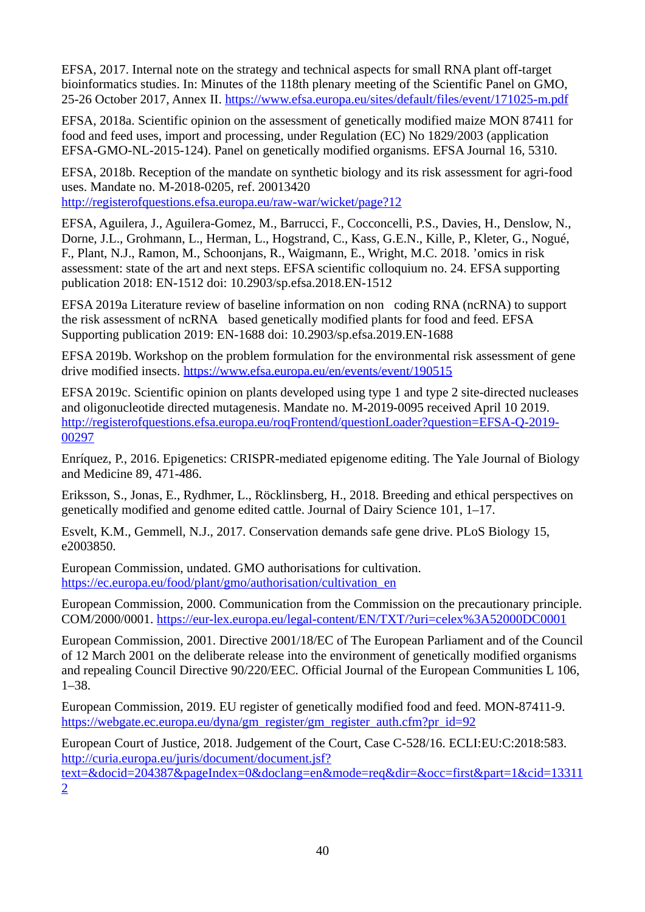EFSA, 2017. Internal note on the strategy and technical aspects for small RNA plant off-target bioinformatics studies. In: Minutes of the 118th plenary meeting of the Scientific Panel on GMO, 25-26 October 2017, Annex II.<https://www.efsa.europa.eu/sites/default/files/event/171025-m.pdf>

EFSA, 2018a. Scientific opinion on the assessment of genetically modified maize MON 87411 for food and feed uses, import and processing, under Regulation (EC) No 1829/2003 (application EFSA-GMO-NL-2015-124). Panel on genetically modified organisms. EFSA Journal 16, 5310.

EFSA, 2018b. Reception of the mandate on synthetic biology and its risk assessment for agri-food uses. Mandate no. M-2018-0205, ref. 20013420

<http://registerofquestions.efsa.europa.eu/raw-war/wicket/page?12>

EFSA, Aguilera, J., Aguilera-Gomez, M., Barrucci, F., Cocconcelli, P.S., Davies, H., Denslow, N., Dorne, J.L., Grohmann, L., Herman, L., Hogstrand, C., Kass, G.E.N., Kille, P., Kleter, G., Nogué, F., Plant, N.J., Ramon, M., Schoonjans, R., Waigmann, E., Wright, M.C. 2018. 'omics in risk assessment: state of the art and next steps. EFSA scientific colloquium no. 24. EFSA supporting publication 2018: EN-1512 doi: 10.2903/sp.efsa.2018.EN-1512

EFSA 2019a Literature review of baseline information on non‐coding RNA (ncRNA) to support the risk assessment of ncRNA based genetically modified plants for food and feed. EFSA Supporting publication 2019: EN-1688 doi: 10.2903/sp.efsa.2019.EN-1688

EFSA 2019b. Workshop on the problem formulation for the environmental risk assessment of gene drive modified insects.<https://www.efsa.europa.eu/en/events/event/190515>

EFSA 2019c. Scientific opinion on plants developed using type 1 and type 2 site-directed nucleases and oligonucleotide directed mutagenesis. Mandate no. M-2019-0095 received April 10 2019. [http://registerofquestions.efsa.europa.eu/roqFrontend/questionLoader?question=EFSA-Q-2019-](http://registerofquestions.efsa.europa.eu/roqFrontend/questionLoader?question=EFSA-Q-2019-00297) [00297](http://registerofquestions.efsa.europa.eu/roqFrontend/questionLoader?question=EFSA-Q-2019-00297)

Enríquez, P., 2016. Epigenetics: CRISPR-mediated epigenome editing. The Yale Journal of Biology and Medicine 89, 471-486.

Eriksson, S., Jonas, E., Rydhmer, L., Röcklinsberg, H., 2018. Breeding and ethical perspectives on genetically modified and genome edited cattle. Journal of Dairy Science 101, 1–17.

Esvelt, K.M., Gemmell, N.J., 2017. Conservation demands safe gene drive. PLoS Biology 15, e2003850.

European Commission, undated. GMO authorisations for cultivation. [https://ec.europa.eu/food/plant/gmo/authorisation/cultivation\\_en](https://ec.europa.eu/food/plant/gmo/authorisation/cultivation_en)

European Commission, 2000. Communication from the Commission on the precautionary principle. COM/2000/0001.<https://eur-lex.europa.eu/legal-content/EN/TXT/?uri=celex%3A52000DC0001>

European Commission, 2001. Directive 2001/18/EC of The European Parliament and of the Council of 12 March 2001 on the deliberate release into the environment of genetically modified organisms and repealing Council Directive 90/220/EEC. Official Journal of the European Communities L 106, 1–38.

European Commission, 2019. EU register of genetically modified food and feed. MON-87411-9. [https://webgate.ec.europa.eu/dyna/gm\\_register/gm\\_register\\_auth.cfm?pr\\_id=92](https://webgate.ec.europa.eu/dyna/gm_register/gm_register_auth.cfm?pr_id=92)

European Court of Justice, 2018. Judgement of the Court, Case C-528/16. ECLI:EU:C:2018:583. [http://curia.europa.eu/juris/document/document.jsf?](http://curia.europa.eu/juris/document/document.jsf?text=&docid=204387&pageIndex=0&doclang=en&mode=req&dir=&occ=first&part=1&cid=133112) [text=&docid=204387&pageIndex=0&doclang=en&mode=req&dir=&occ=first&part=1&cid=13311](http://curia.europa.eu/juris/document/document.jsf?text=&docid=204387&pageIndex=0&doclang=en&mode=req&dir=&occ=first&part=1&cid=133112) [2](http://curia.europa.eu/juris/document/document.jsf?text=&docid=204387&pageIndex=0&doclang=en&mode=req&dir=&occ=first&part=1&cid=133112)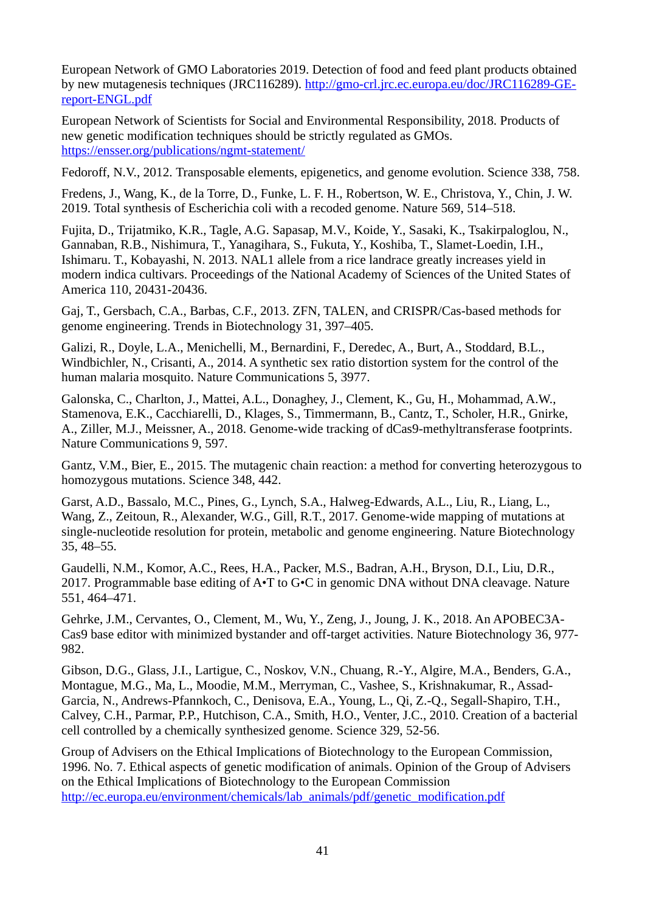European Network of GMO Laboratories 2019. Detection of food and feed plant products obtained by new mutagenesis techniques (JRC116289). [http://gmo-crl.jrc.ec.europa.eu/doc/JRC116289-GE](http://gmo-crl.jrc.ec.europa.eu/doc/JRC116289-GE-report-ENGL.pdf)[report-ENGL.pdf](http://gmo-crl.jrc.ec.europa.eu/doc/JRC116289-GE-report-ENGL.pdf)

European Network of Scientists for Social and Environmental Responsibility, 2018. Products of new genetic modification techniques should be strictly regulated as GMOs. <https://ensser.org/publications/ngmt-statement/>

Fedoroff, N.V., 2012. Transposable elements, epigenetics, and genome evolution. Science 338, 758.

Fredens, J., Wang, K., de la Torre, D., Funke, L. F. H., Robertson, W. E., Christova, Y., Chin, J. W. 2019. Total synthesis of Escherichia coli with a recoded genome. Nature 569, 514–518.

Fujita, D., Trijatmiko, K.R., Tagle, A.G. Sapasap, M.V., Koide, Y., Sasaki, K., Tsakirpaloglou, N., Gannaban, R.B., Nishimura, T., Yanagihara, S., Fukuta, Y., Koshiba, T., Slamet-Loedin, I.H., Ishimaru. T., Kobayashi, N. 2013. NAL1 allele from a rice landrace greatly increases yield in modern indica cultivars. Proceedings of the National Academy of Sciences of the United States of America 110, 20431-20436.

Gaj, T., Gersbach, C.A., Barbas, C.F., 2013. ZFN, TALEN, and CRISPR/Cas-based methods for genome engineering. Trends in Biotechnology 31, 397–405.

Galizi, R., Doyle, L.A., Menichelli, M., Bernardini, F., Deredec, A., Burt, A., Stoddard, B.L., Windbichler, N., Crisanti, A., 2014. A synthetic sex ratio distortion system for the control of the human malaria mosquito. Nature Communications 5, 3977.

Galonska, C., Charlton, J., Mattei, A.L., Donaghey, J., Clement, K., Gu, H., Mohammad, A.W., Stamenova, E.K., Cacchiarelli, D., Klages, S., Timmermann, B., Cantz, T., Scholer, H.R., Gnirke, A., Ziller, M.J., Meissner, A., 2018. Genome-wide tracking of dCas9-methyltransferase footprints. Nature Communications 9, 597.

Gantz, V.M., Bier, E., 2015. The mutagenic chain reaction: a method for converting heterozygous to homozygous mutations. Science 348, 442.

Garst, A.D., Bassalo, M.C., Pines, G., Lynch, S.A., Halweg-Edwards, A.L., Liu, R., Liang, L., Wang, Z., Zeitoun, R., Alexander, W.G., Gill, R.T., 2017. Genome-wide mapping of mutations at single-nucleotide resolution for protein, metabolic and genome engineering. Nature Biotechnology 35, 48–55.

Gaudelli, N.M., Komor, A.C., Rees, H.A., Packer, M.S., Badran, A.H., Bryson, D.I., Liu, D.R., 2017. Programmable base editing of A•T to G•C in genomic DNA without DNA cleavage. Nature 551, 464–471.

Gehrke, J.M., Cervantes, O., Clement, M., Wu, Y., Zeng, J., Joung, J. K., 2018. An APOBEC3A-Cas9 base editor with minimized bystander and off-target activities. Nature Biotechnology 36, 977- 982.

Gibson, D.G., Glass, J.I., Lartigue, C., Noskov, V.N., Chuang, R.-Y., Algire, M.A., Benders, G.A., Montague, M.G., Ma, L., Moodie, M.M., Merryman, C., Vashee, S., Krishnakumar, R., Assad-Garcia, N., Andrews-Pfannkoch, C., Denisova, E.A., Young, L., Qi, Z.-Q., Segall-Shapiro, T.H., Calvey, C.H., Parmar, P.P., Hutchison, C.A., Smith, H.O., Venter, J.C., 2010. Creation of a bacterial cell controlled by a chemically synthesized genome. Science 329, 52-56.

Group of Advisers on the Ethical Implications of Biotechnology to the European Commission, 1996. No. 7. Ethical aspects of genetic modification of animals. Opinion of the Group of Advisers on the Ethical Implications of Biotechnology to the European Commission [http://ec.europa.eu/environment/chemicals/lab\\_animals/pdf/genetic\\_modification.pdf](http://ec.europa.eu/environment/chemicals/lab_animals/pdf/genetic_modification.pdf)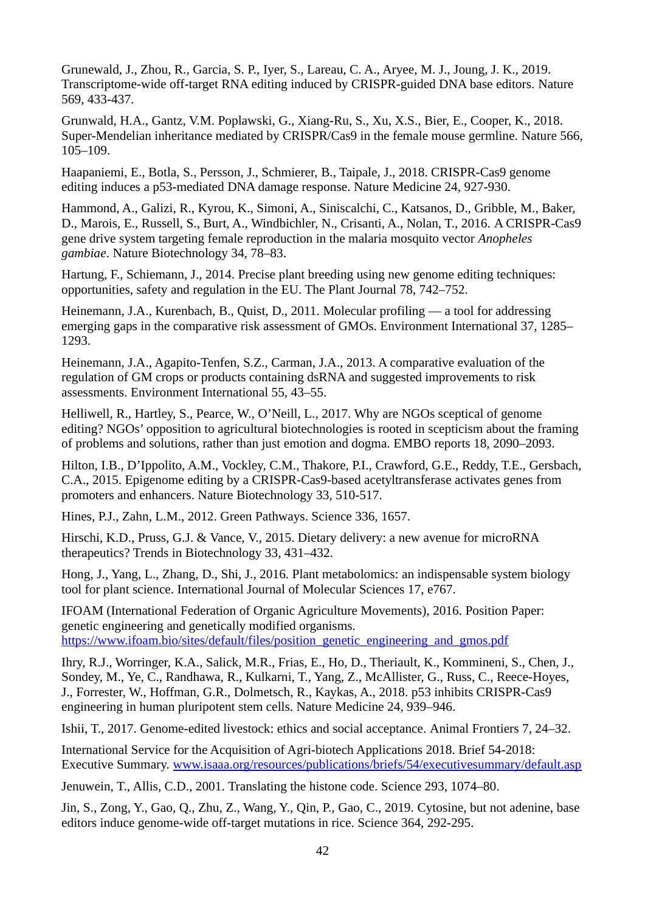Grunewald, J., Zhou, R., Garcia, S. P., Iyer, S., Lareau, C. A., Aryee, M. J., Joung, J. K., 2019. Transcriptome-wide off-target RNA editing induced by CRISPR-guided DNA base editors. Nature 569, 433-437.

Grunwald, H.A., Gantz, V.M. Poplawski, G., Xiang-Ru, S., Xu, X.S., Bier, E., Cooper, K., 2018. Super-Mendelian inheritance mediated by CRISPR/Cas9 in the female mouse germline. Nature 566, 105–109.

Haapaniemi, E., Botla, S., Persson, J., Schmierer, B., Taipale, J., 2018. CRISPR-Cas9 genome editing induces a p53-mediated DNA damage response. Nature Medicine 24, 927-930.

Hammond, A., Galizi, R., Kyrou, K., Simoni, A., Siniscalchi, C., Katsanos, D., Gribble, M., Baker, D., Marois, E., Russell, S., Burt, A., Windbichler, N., Crisanti, A., Nolan, T., 2016. A CRISPR-Cas9 gene drive system targeting female reproduction in the malaria mosquito vector *Anopheles gambiae*. Nature Biotechnology 34, 78–83.

Hartung, F., Schiemann, J., 2014. Precise plant breeding using new genome editing techniques: opportunities, safety and regulation in the EU. The Plant Journal 78, 742–752.

Heinemann, J.A., Kurenbach, B., Quist, D., 2011. Molecular profiling — a tool for addressing emerging gaps in the comparative risk assessment of GMOs. Environment International 37, 1285– 1293.

Heinemann, J.A., Agapito-Tenfen, S.Z., Carman, J.A., 2013. A comparative evaluation of the regulation of GM crops or products containing dsRNA and suggested improvements to risk assessments. Environment International 55, 43–55.

Helliwell, R., Hartley, S., Pearce, W., O'Neill, L., 2017. Why are NGOs sceptical of genome editing? NGOs' opposition to agricultural biotechnologies is rooted in scepticism about the framing of problems and solutions, rather than just emotion and dogma. EMBO reports 18, 2090–2093.

Hilton, I.B., D'Ippolito, A.M., Vockley, C.M., Thakore, P.I., Crawford, G.E., Reddy, T.E., Gersbach, C.A., 2015. Epigenome editing by a CRISPR-Cas9-based acetyltransferase activates genes from promoters and enhancers. Nature Biotechnology 33, 510-517.

Hines, P.J., Zahn, L.M., 2012. Green Pathways. Science 336, 1657.

Hirschi, K.D., Pruss, G.J. & Vance, V., 2015. Dietary delivery: a new avenue for microRNA therapeutics? Trends in Biotechnology 33, 431–432.

Hong, J., Yang, L., Zhang, D., Shi, J., 2016. Plant metabolomics: an indispensable system biology tool for plant science. International Journal of Molecular Sciences 17, e767.

IFOAM (International Federation of Organic Agriculture Movements), 2016. Position Paper: genetic engineering and genetically modified organisms. [https://www.ifoam.bio/sites/default/files/position\\_genetic\\_engineering\\_and\\_gmos.pdf](https://www.ifoam.bio/sites/default/files/position_genetic_engineering_and_gmos.pdf)

Ihry, R.J., Worringer, K.A., Salick, M.R., Frias, E., Ho, D., Theriault, K., Kommineni, S., Chen, J., Sondey, M., Ye, C., Randhawa, R., Kulkarni, T., Yang, Z., McAllister, G., Russ, C., Reece-Hoyes, J., Forrester, W., Hoffman, G.R., Dolmetsch, R., Kaykas, A., 2018. p53 inhibits CRISPR-Cas9 engineering in human pluripotent stem cells. Nature Medicine 24, 939–946.

Ishii, T., 2017. Genome-edited livestock: ethics and social acceptance. Animal Frontiers 7, 24–32.

International Service for the Acquisition of Agri-biotech Applications 2018. Brief 54-2018: Executive Summary. [www.isaaa.org/resources/publications/briefs/54/executivesummary/default.asp](http://www.isaaa.org/resources/publications/briefs/54/executivesummary/default.asp)

Jenuwein, T., Allis, C.D., 2001. Translating the histone code. Science 293, 1074–80.

Jin, S., Zong, Y., Gao, Q., Zhu, Z., Wang, Y., Qin, P., Gao, C., 2019. Cytosine, but not adenine, base editors induce genome-wide off-target mutations in rice. Science 364, 292-295.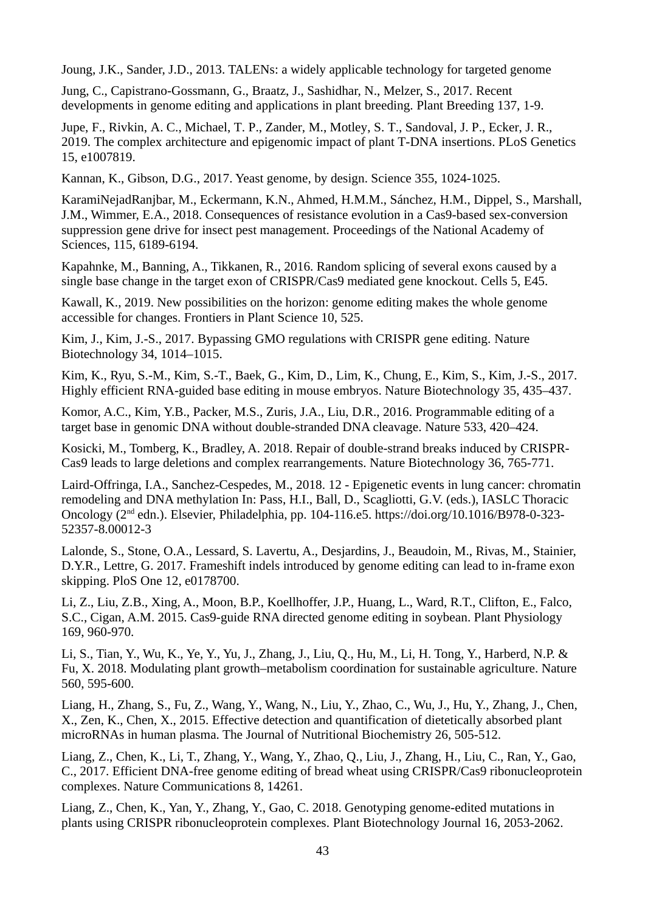Joung, J.K., Sander, J.D., 2013. TALENs: a widely applicable technology for targeted genome

Jung, C., Capistrano-Gossmann, G., Braatz, J., Sashidhar, N., Melzer, S., 2017. Recent developments in genome editing and applications in plant breeding. Plant Breeding 137, 1-9.

Jupe, F., Rivkin, A. C., Michael, T. P., Zander, M., Motley, S. T., Sandoval, J. P., Ecker, J. R., 2019. The complex architecture and epigenomic impact of plant T-DNA insertions. PLoS Genetics 15, e1007819.

Kannan, K., Gibson, D.G., 2017. Yeast genome, by design. Science 355, 1024-1025.

KaramiNejadRanjbar, M., Eckermann, K.N., Ahmed, H.M.M., Sánchez, H.M., Dippel, S., Marshall, J.M., Wimmer, E.A., 2018. Consequences of resistance evolution in a Cas9-based sex-conversion suppression gene drive for insect pest management. Proceedings of the National Academy of Sciences, 115, 6189-6194.

Kapahnke, M., Banning, A., Tikkanen, R., 2016. Random splicing of several exons caused by a single base change in the target exon of CRISPR/Cas9 mediated gene knockout. Cells 5, E45.

Kawall, K., 2019. New possibilities on the horizon: genome editing makes the whole genome accessible for changes. Frontiers in Plant Science 10, 525.

Kim, J., Kim, J.-S., 2017. Bypassing GMO regulations with CRISPR gene editing. Nature Biotechnology 34, 1014–1015.

Kim, K., Ryu, S.-M., Kim, S.-T., Baek, G., Kim, D., Lim, K., Chung, E., Kim, S., Kim, J.-S., 2017. Highly efficient RNA-guided base editing in mouse embryos. Nature Biotechnology 35, 435–437.

Komor, A.C., Kim, Y.B., Packer, M.S., Zuris, J.A., Liu, D.R., 2016. Programmable editing of a target base in genomic DNA without double-stranded DNA cleavage. Nature 533, 420–424.

Kosicki, M., Tomberg, K., Bradley, A. 2018. Repair of double-strand breaks induced by CRISPR-Cas9 leads to large deletions and complex rearrangements. Nature Biotechnology 36, 765-771.

Laird-Offringa, I.A., Sanchez-Cespedes, M., 2018. 12 - Epigenetic events in lung cancer: chromatin remodeling and DNA methylation In: Pass, H.I., Ball, D., Scagliotti, G.V. (eds.), IASLC Thoracic Oncology (2nd edn.). Elsevier, Philadelphia, pp. 104-116.e5. [https://doi.org/10.1016/B978-0-323-](https://doi.org/10.1016/B978-0-323-52357-8.00012-3) [52357-8.00012-3](https://doi.org/10.1016/B978-0-323-52357-8.00012-3)

Lalonde, S., Stone, O.A., Lessard, S. Lavertu, A., Desjardins, J., Beaudoin, M., Rivas, M., Stainier, D.Y.R., Lettre, G. 2017. Frameshift indels introduced by genome editing can lead to in-frame exon skipping. PloS One 12, e0178700.

Li, Z., Liu, Z.B., Xing, A., Moon, B.P., Koellhoffer, J.P., Huang, L., Ward, R.T., Clifton, E., Falco, S.C., Cigan, A.M. 2015. Cas9-guide RNA directed genome editing in soybean. Plant Physiology 169, 960-970.

Li, S., Tian, Y., Wu, K., Ye, Y., Yu, J., Zhang, J., Liu, Q., Hu, M., Li, H. Tong, Y., Harberd, N.P. & Fu, X. 2018. Modulating plant growth–metabolism coordination for sustainable agriculture. Nature 560, 595-600.

Liang, H., Zhang, S., Fu, Z., Wang, Y., Wang, N., Liu, Y., Zhao, C., Wu, J., Hu, Y., Zhang, J., Chen, X., Zen, K., Chen, X., 2015. Effective detection and quantification of dietetically absorbed plant microRNAs in human plasma. The Journal of Nutritional Biochemistry 26, 505-512.

Liang, Z., Chen, K., Li, T., Zhang, Y., Wang, Y., Zhao, Q., Liu, J., Zhang, H., Liu, C., Ran, Y., Gao, C., 2017. Efficient DNA-free genome editing of bread wheat using CRISPR/Cas9 ribonucleoprotein complexes. Nature Communications 8, 14261.

Liang, Z., Chen, K., Yan, Y., Zhang, Y., Gao, C. 2018. Genotyping genome-edited mutations in plants using CRISPR ribonucleoprotein complexes. Plant Biotechnology Journal 16, 2053-2062.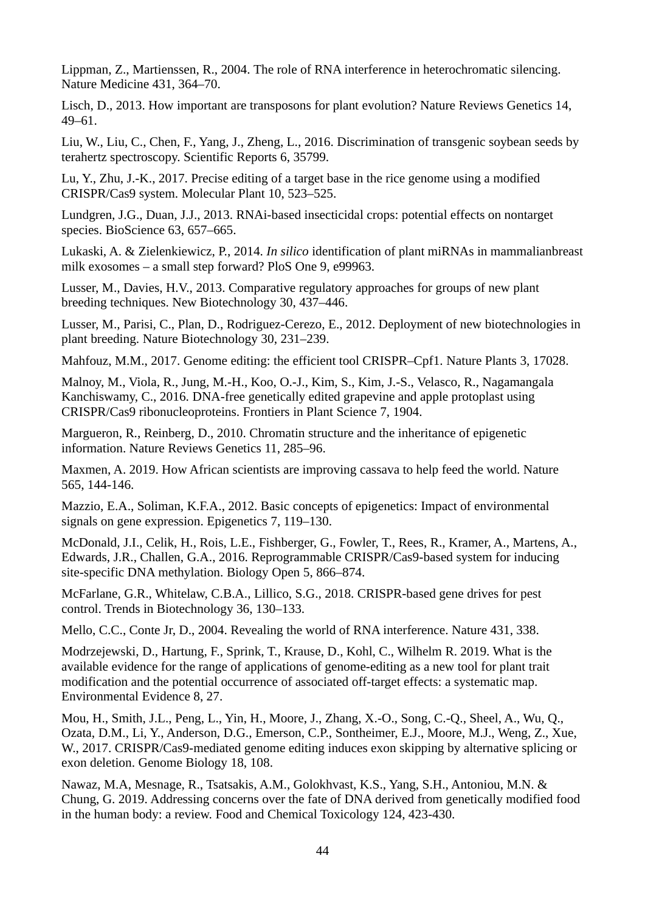Lippman, Z., Martienssen, R., 2004. The role of RNA interference in heterochromatic silencing. Nature Medicine 431, 364–70.

Lisch, D., 2013. How important are transposons for plant evolution? Nature Reviews Genetics 14, 49–61.

Liu, W., Liu, C., Chen, F., Yang, J., Zheng, L., 2016. Discrimination of transgenic soybean seeds by terahertz spectroscopy. Scientific Reports 6, 35799.

Lu, Y., Zhu, J.-K., 2017. Precise editing of a target base in the rice genome using a modified CRISPR/Cas9 system. Molecular Plant 10, 523–525.

Lundgren, J.G., Duan, J.J., 2013. RNAi-based insecticidal crops: potential effects on nontarget species. BioScience 63, 657–665.

Lukaski, A. & Zielenkiewicz, P., 2014. *In silico* identification of plant miRNAs in mammalianbreast milk exosomes – a small step forward? PloS One 9, e99963.

Lusser, M., Davies, H.V., 2013. Comparative regulatory approaches for groups of new plant breeding techniques. New Biotechnology 30, 437–446.

Lusser, M., Parisi, C., Plan, D., Rodriguez-Cerezo, E., 2012. Deployment of new biotechnologies in plant breeding. Nature Biotechnology 30, 231–239.

Mahfouz, M.M., 2017. Genome editing: the efficient tool CRISPR–Cpf1. Nature Plants 3, 17028.

Malnoy, M., Viola, R., Jung, M.-H., Koo, O.-J., Kim, S., Kim, J.-S., Velasco, R., Nagamangala Kanchiswamy, C., 2016. DNA-free genetically edited grapevine and apple protoplast using CRISPR/Cas9 ribonucleoproteins. Frontiers in Plant Science 7, 1904.

Margueron, R., Reinberg, D., 2010. Chromatin structure and the inheritance of epigenetic information. Nature Reviews Genetics 11, 285–96.

Maxmen, A. 2019. How African scientists are improving cassava to help feed the world. Nature 565, 144-146.

Mazzio, E.A., Soliman, K.F.A., 2012. Basic concepts of epigenetics: Impact of environmental signals on gene expression. Epigenetics 7, 119–130.

McDonald, J.I., Celik, H., Rois, L.E., Fishberger, G., Fowler, T., Rees, R., Kramer, A., Martens, A., Edwards, J.R., Challen, G.A., 2016. Reprogrammable CRISPR/Cas9-based system for inducing site-specific DNA methylation. Biology Open 5, 866–874.

McFarlane, G.R., Whitelaw, C.B.A., Lillico, S.G., 2018. CRISPR-based gene drives for pest control. Trends in Biotechnology 36, 130–133.

Mello, C.C., Conte Jr, D., 2004. Revealing the world of RNA interference. Nature 431, 338.

Modrzejewski, D., Hartung, F., Sprink, T., Krause, D., Kohl, C., Wilhelm R. 2019. What is the available evidence for the range of applications of genome-editing as a new tool for plant trait modification and the potential occurrence of associated off-target effects: a systematic map. Environmental Evidence 8, 27.

Mou, H., Smith, J.L., Peng, L., Yin, H., Moore, J., Zhang, X.-O., Song, C.-Q., Sheel, A., Wu, Q., Ozata, D.M., Li, Y., Anderson, D.G., Emerson, C.P., Sontheimer, E.J., Moore, M.J., Weng, Z., Xue, W., 2017. CRISPR/Cas9-mediated genome editing induces exon skipping by alternative splicing or exon deletion. Genome Biology 18, 108.

Nawaz, M.A, Mesnage, R., Tsatsakis, A.M., Golokhvast, K.S., Yang, S.H., Antoniou, M.N. & Chung, G. 2019. Addressing concerns over the fate of DNA derived from genetically modified food in the human body: a review. Food and Chemical Toxicology 124, 423-430.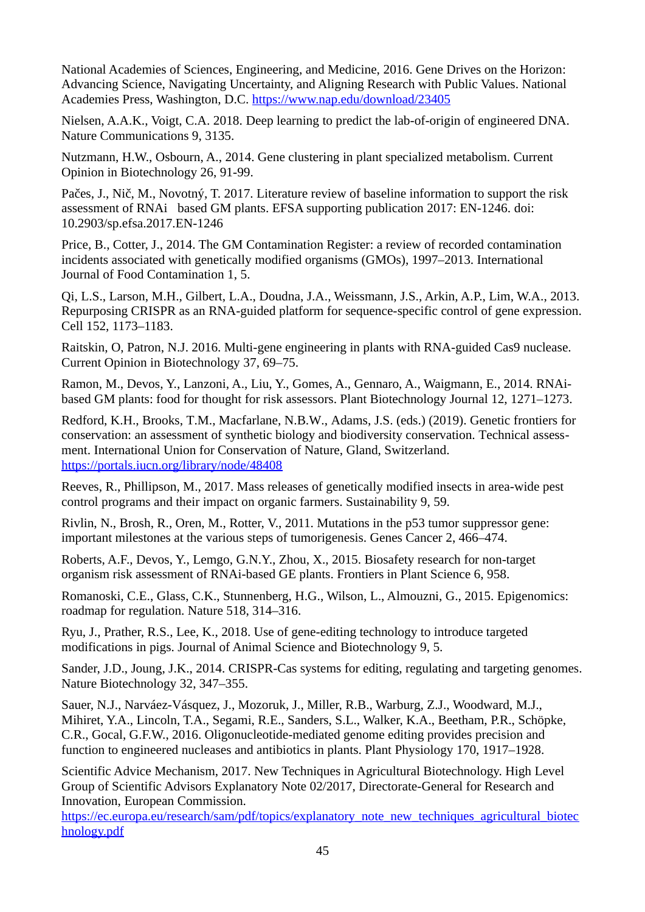National Academies of Sciences, Engineering, and Medicine, 2016. Gene Drives on the Horizon: Advancing Science, Navigating Uncertainty, and Aligning Research with Public Values. National Academies Press, Washington, D.C.<https://www.nap.edu/download/23405>

Nielsen, A.A.K., Voigt, C.A. 2018. Deep learning to predict the lab-of-origin of engineered DNA. Nature Communications 9, 3135.

Nutzmann, H.W., Osbourn, A., 2014. Gene clustering in plant specialized metabolism. Current Opinion in Biotechnology 26, 91-99.

Pačes, J., Nič, M., Novotný, T. 2017. Literature review of baseline information to support the risk assessment of RNAi‐based GM plants. EFSA supporting publication 2017: EN-1246. [doi:](https://doi.org/10.2903/sp.efsa.2017.EN-1246)  [10.2903/sp.efsa.2017.EN-1246](https://doi.org/10.2903/sp.efsa.2017.EN-1246)

Price, B., Cotter, J., 2014. The GM Contamination Register: a review of recorded contamination incidents associated with genetically modified organisms (GMOs), 1997–2013. International Journal of Food Contamination 1, 5.

Qi, L.S., Larson, M.H., Gilbert, L.A., Doudna, J.A., Weissmann, J.S., Arkin, A.P., Lim, W.A., 2013. Repurposing CRISPR as an RNA-guided platform for sequence-specific control of gene expression. Cell 152, 1173–1183.

Raitskin, O, Patron, N.J. 2016. Multi-gene engineering in plants with RNA-guided Cas9 nuclease. Current Opinion in Biotechnology 37, 69–75.

Ramon, M., Devos, Y., Lanzoni, A., Liu, Y., Gomes, A., Gennaro, A., Waigmann, E., 2014. RNAibased GM plants: food for thought for risk assessors. Plant Biotechnology Journal 12, 1271–1273.

Redford, K.H., Brooks, T.M., Macfarlane, N.B.W., Adams, J.S. (eds.) (2019). Genetic frontiers for conservation: an assessment of synthetic biology and biodiversity conservation. Technical assessment. International Union for Conservation of Nature, Gland, Switzerland. <https://portals.iucn.org/library/node/48408>

Reeves, R., Phillipson, M., 2017. Mass releases of genetically modified insects in area-wide pest control programs and their impact on organic farmers. Sustainability 9, 59.

Rivlin, N., Brosh, R., Oren, M., Rotter, V., 2011. Mutations in the p53 tumor suppressor gene: important milestones at the various steps of tumorigenesis. Genes Cancer 2, 466–474.

Roberts, A.F., Devos, Y., Lemgo, G.N.Y., Zhou, X., 2015. Biosafety research for non-target organism risk assessment of RNAi-based GE plants. Frontiers in Plant Science 6, 958.

Romanoski, C.E., Glass, C.K., Stunnenberg, H.G., Wilson, L., Almouzni, G., 2015. Epigenomics: roadmap for regulation. Nature 518, 314–316.

Ryu, J., Prather, R.S., Lee, K., 2018. Use of gene-editing technology to introduce targeted modifications in pigs. Journal of Animal Science and Biotechnology 9, 5.

Sander, J.D., Joung, J.K., 2014. CRISPR-Cas systems for editing, regulating and targeting genomes. Nature Biotechnology 32, 347–355.

Sauer, N.J., Narváez-Vásquez, J., Mozoruk, J., Miller, R.B., Warburg, Z.J., Woodward, M.J., Mihiret, Y.A., Lincoln, T.A., Segami, R.E., Sanders, S.L., Walker, K.A., Beetham, P.R., Schöpke, C.R., Gocal, G.F.W., 2016. Oligonucleotide-mediated genome editing provides precision and function to engineered nucleases and antibiotics in plants. Plant Physiology 170, 1917–1928.

Scientific Advice Mechanism, 2017. New Techniques in Agricultural Biotechnology. High Level Group of Scientific Advisors Explanatory Note 02/2017, Directorate-General for Research and Innovation, European Commission.

[https://ec.europa.eu/research/sam/pdf/topics/explanatory\\_note\\_new\\_techniques\\_agricultural\\_biotec](https://ec.europa.eu/research/sam/pdf/topics/explanatory_note_new_techniques_agricultural_biotechnology.pdf) [hnology.pdf](https://ec.europa.eu/research/sam/pdf/topics/explanatory_note_new_techniques_agricultural_biotechnology.pdf)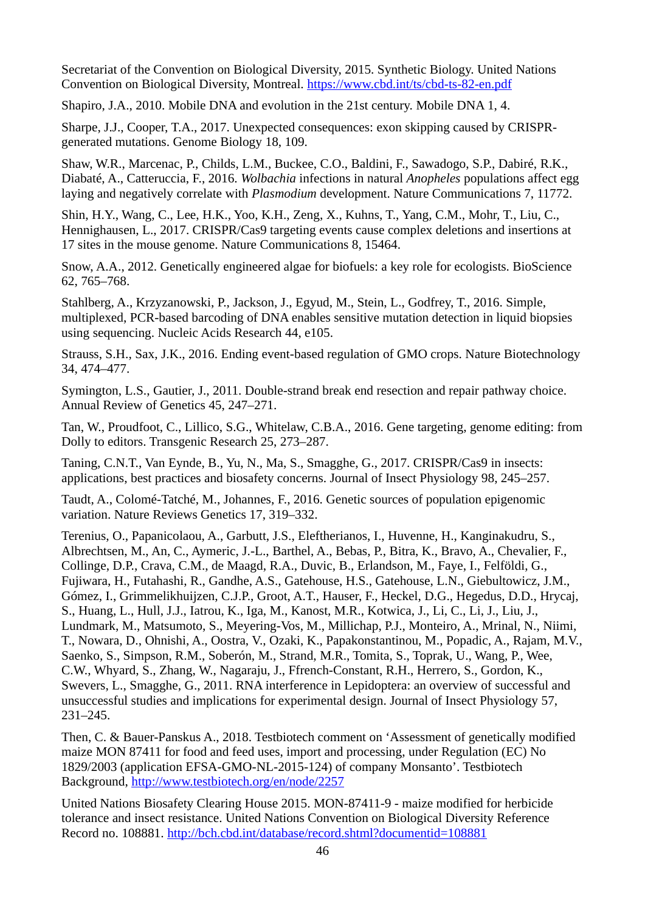Secretariat of the Convention on Biological Diversity, 2015. Synthetic Biology. United Nations Convention on Biological Diversity, Montreal.<https://www.cbd.int/ts/cbd-ts-82-en.pdf>

Shapiro, J.A., 2010. Mobile DNA and evolution in the 21st century. Mobile DNA 1, 4.

Sharpe, J.J., Cooper, T.A., 2017. Unexpected consequences: exon skipping caused by CRISPRgenerated mutations. Genome Biology 18, 109.

Shaw, W.R., Marcenac, P., Childs, L.M., Buckee, C.O., Baldini, F., Sawadogo, S.P., Dabiré, R.K., Diabaté, A., Catteruccia, F., 2016. *Wolbachia* infections in natural *Anopheles* populations affect egg laying and negatively correlate with *Plasmodium* development. Nature Communications 7, 11772.

Shin, H.Y., Wang, C., Lee, H.K., Yoo, K.H., Zeng, X., Kuhns, T., Yang, C.M., Mohr, T., Liu, C., Hennighausen, L., 2017. CRISPR/Cas9 targeting events cause complex deletions and insertions at 17 sites in the mouse genome. Nature Communications 8, 15464.

Snow, A.A., 2012. Genetically engineered algae for biofuels: a key role for ecologists. BioScience 62, 765–768.

Stahlberg, A., Krzyzanowski, P., Jackson, J., Egyud, M., Stein, L., Godfrey, T., 2016. Simple, multiplexed, PCR-based barcoding of DNA enables sensitive mutation detection in liquid biopsies using sequencing. Nucleic Acids Research 44, e105.

Strauss, S.H., Sax, J.K., 2016. Ending event-based regulation of GMO crops. Nature Biotechnology 34, 474–477.

Symington, L.S., Gautier, J., 2011. Double-strand break end resection and repair pathway choice. Annual Review of Genetics 45, 247–271.

Tan, W., Proudfoot, C., Lillico, S.G., Whitelaw, C.B.A., 2016. Gene targeting, genome editing: from Dolly to editors. Transgenic Research 25, 273–287.

Taning, C.N.T., Van Eynde, B., Yu, N., Ma, S., Smagghe, G., 2017. CRISPR/Cas9 in insects: applications, best practices and biosafety concerns. Journal of Insect Physiology 98, 245–257.

Taudt, A., Colomé-Tatché, M., Johannes, F., 2016. Genetic sources of population epigenomic variation. Nature Reviews Genetics 17, 319–332.

Terenius, O., Papanicolaou, A., Garbutt, J.S., Eleftherianos, I., Huvenne, H., Kanginakudru, S., Albrechtsen, M., An, C., Aymeric, J.-L., Barthel, A., Bebas, P., Bitra, K., Bravo, A., Chevalier, F., Collinge, D.P., Crava, C.M., de Maagd, R.A., Duvic, B., Erlandson, M., Faye, I., Felföldi, G., Fujiwara, H., Futahashi, R., Gandhe, A.S., Gatehouse, H.S., Gatehouse, L.N., Giebultowicz, J.M., Gómez, I., Grimmelikhuijzen, C.J.P., Groot, A.T., Hauser, F., Heckel, D.G., Hegedus, D.D., Hrycaj, S., Huang, L., Hull, J.J., Iatrou, K., Iga, M., Kanost, M.R., Kotwica, J., Li, C., Li, J., Liu, J., Lundmark, M., Matsumoto, S., Meyering-Vos, M., Millichap, P.J., Monteiro, A., Mrinal, N., Niimi, T., Nowara, D., Ohnishi, A., Oostra, V., Ozaki, K., Papakonstantinou, M., Popadic, A., Rajam, M.V., Saenko, S., Simpson, R.M., Soberón, M., Strand, M.R., Tomita, S., Toprak, U., Wang, P., Wee, C.W., Whyard, S., Zhang, W., Nagaraju, J., Ffrench-Constant, R.H., Herrero, S., Gordon, K., Swevers, L., Smagghe, G., 2011. RNA interference in Lepidoptera: an overview of successful and unsuccessful studies and implications for experimental design. Journal of Insect Physiology 57, 231–245.

Then, C. & Bauer-Panskus A., 2018. Testbiotech comment on 'Assessment of genetically modified maize MON 87411 for food and feed uses, import and processing, under Regulation (EC) No 1829/2003 (application EFSA-GMO-NL-2015-124) of company Monsanto'. Testbiotech Background,<http://www.testbiotech.org/en/node/2257>

United Nations Biosafety Clearing House 2015. MON-87411-9 - maize modified for herbicide tolerance and insect resistance. United Nations Convention on Biological Diversity Reference Record no. 108881.<http://bch.cbd.int/database/record.shtml?documentid=108881>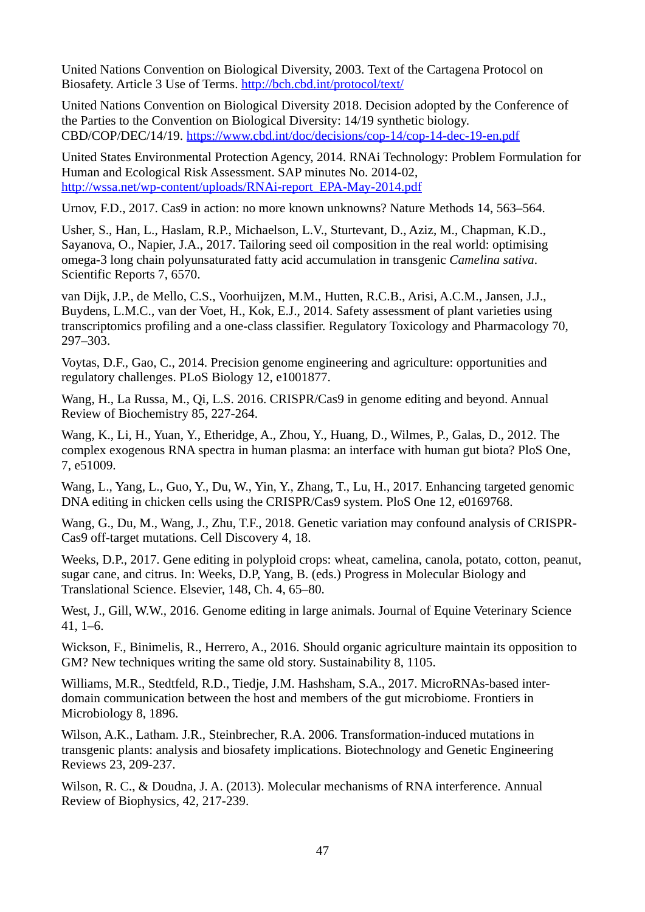United Nations Convention on Biological Diversity, 2003. Text of the Cartagena Protocol on Biosafety. Article 3 Use of Terms.<http://bch.cbd.int/protocol/text/>

United Nations Convention on Biological Diversity 2018. Decision adopted by the Conference of the Parties to the Convention on Biological Diversity: 14/19 synthetic biology. CBD/COP/DEC/14/19.<https://www.cbd.int/doc/decisions/cop-14/cop-14-dec-19-en.pdf>

United States Environmental Protection Agency, 2014. RNAi Technology: Problem Formulation for Human and Ecological Risk Assessment. SAP minutes No. 2014-02, [http://wssa.net/wp-content/uploads/RNAi-report\\_EPA-May-2014.pdf](http://wssa.net/wp-content/uploads/RNAi-report_EPA-May-2014.pdf)

Urnov, F.D., 2017. Cas9 in action: no more known unknowns? Nature Methods 14, 563–564.

Usher, S., Han, L., Haslam, R.P., Michaelson, L.V., Sturtevant, D., Aziz, M., Chapman, K.D., Sayanova, O., Napier, J.A., 2017. Tailoring seed oil composition in the real world: optimising omega-3 long chain polyunsaturated fatty acid accumulation in transgenic *Camelina sativa*. Scientific Reports 7, 6570.

van Dijk, J.P., de Mello, C.S., Voorhuijzen, M.M., Hutten, R.C.B., Arisi, A.C.M., Jansen, J.J., Buydens, L.M.C., van der Voet, H., Kok, E.J., 2014. Safety assessment of plant varieties using transcriptomics profiling and a one-class classifier. Regulatory Toxicology and Pharmacology 70, 297–303.

Voytas, D.F., Gao, C., 2014. Precision genome engineering and agriculture: opportunities and regulatory challenges. PLoS Biology 12, e1001877.

Wang, H., La Russa, M., Qi, L.S. 2016. CRISPR/Cas9 in genome editing and beyond. Annual Review of Biochemistry 85, 227-264.

Wang, K., Li, H., Yuan, Y., Etheridge, A., Zhou, Y., Huang, D., Wilmes, P., Galas, D., 2012. The complex exogenous RNA spectra in human plasma: an interface with human gut biota? PloS One, 7, e51009.

Wang, L., Yang, L., Guo, Y., Du, W., Yin, Y., Zhang, T., Lu, H., 2017. Enhancing targeted genomic DNA editing in chicken cells using the CRISPR/Cas9 system. PloS One 12, e0169768.

Wang, G., Du, M., Wang, J., Zhu, T.F., 2018. Genetic variation may confound analysis of CRISPR-Cas9 off-target mutations. Cell Discovery 4, 18.

Weeks, D.P., 2017. Gene editing in polyploid crops: wheat, camelina, canola, potato, cotton, peanut, sugar cane, and citrus. In: Weeks, D.P, Yang, B. (eds.) Progress in Molecular Biology and Translational Science. Elsevier, 148, Ch. 4, 65–80.

West, J., Gill, W.W., 2016. Genome editing in large animals. Journal of Equine Veterinary Science 41, 1–6.

Wickson, F., Binimelis, R., Herrero, A., 2016. Should organic agriculture maintain its opposition to GM? New techniques writing the same old story. Sustainability 8, 1105.

Williams, M.R., Stedtfeld, R.D., Tiedje, J.M. Hashsham, S.A., 2017. MicroRNAs-based interdomain communication between the host and members of the gut microbiome. Frontiers in Microbiology 8, 1896.

Wilson, A.K., Latham. J.R., Steinbrecher, R.A. 2006. Transformation-induced mutations in transgenic plants: analysis and biosafety implications. Biotechnology and Genetic Engineering Reviews 23, 209-237.

Wilson, R. C., & Doudna, J. A. (2013). Molecular mechanisms of RNA interference. Annual Review of Biophysics, 42, 217-239.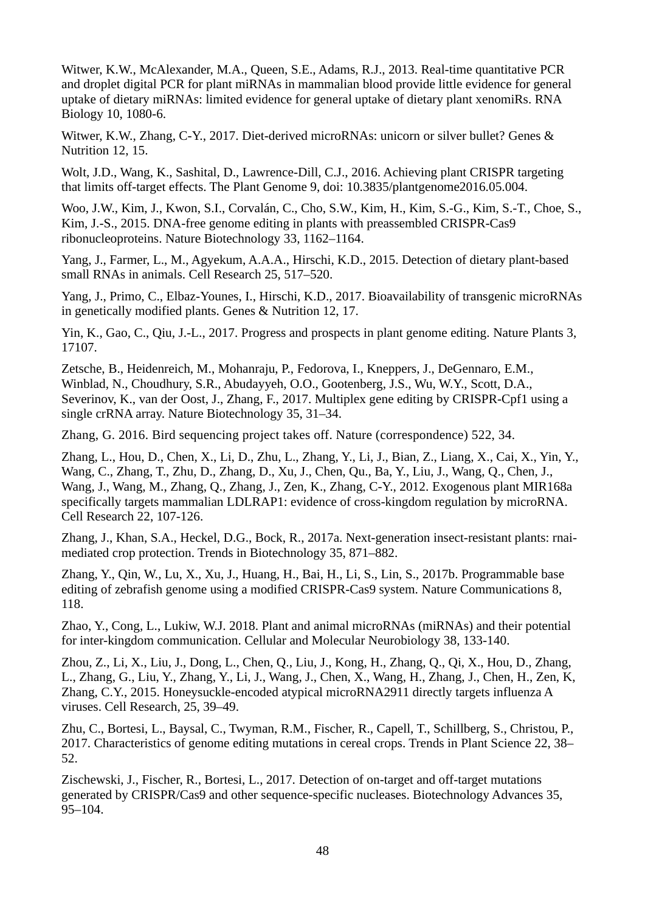Witwer, K.W., McAlexander, M.A., Queen, S.E., Adams, R.J., 2013. Real-time quantitative PCR and droplet digital PCR for plant miRNAs in mammalian blood provide little evidence for general uptake of dietary miRNAs: limited evidence for general uptake of dietary plant xenomiRs. RNA Biology 10, 1080-6.

Witwer, K.W., Zhang, C-Y., 2017. Diet-derived microRNAs: unicorn or silver bullet? Genes & Nutrition 12, 15.

Wolt, J.D., Wang, K., Sashital, D., Lawrence-Dill, C.J., 2016. Achieving plant CRISPR targeting that limits off-target effects. The Plant Genome 9, doi: 10.3835/plantgenome2016.05.004.

Woo, J.W., Kim, J., Kwon, S.I., Corvalán, C., Cho, S.W., Kim, H., Kim, S.-G., Kim, S.-T., Choe, S., Kim, J.-S., 2015. DNA-free genome editing in plants with preassembled CRISPR-Cas9 ribonucleoproteins. Nature Biotechnology 33, 1162–1164.

Yang, J., Farmer, L., M., Agyekum, A.A.A., Hirschi, K.D., 2015. Detection of dietary plant-based small RNAs in animals. Cell Research 25, 517–520.

Yang, J., Primo, C., Elbaz-Younes, I., Hirschi, K.D., 2017. Bioavailability of transgenic microRNAs in genetically modified plants. Genes & Nutrition 12, 17.

Yin, K., Gao, C., Qiu, J.-L., 2017. Progress and prospects in plant genome editing. Nature Plants 3, 17107.

Zetsche, B., Heidenreich, M., Mohanraju, P., Fedorova, I., Kneppers, J., DeGennaro, E.M., Winblad, N., Choudhury, S.R., Abudayyeh, O.O., Gootenberg, J.S., Wu, W.Y., Scott, D.A., Severinov, K., van der Oost, J., Zhang, F., 2017. Multiplex gene editing by CRISPR-Cpf1 using a single crRNA array. Nature Biotechnology 35, 31–34.

Zhang, G. 2016. Bird sequencing project takes off. Nature (correspondence) 522, 34.

Zhang, L., Hou, D., Chen, X., Li, D., Zhu, L., Zhang, Y., Li, J., Bian, Z., Liang, X., Cai, X., Yin, Y., Wang, C., Zhang, T., Zhu, D., Zhang, D., Xu, J., Chen, Qu., Ba, Y., Liu, J., Wang, Q., Chen, J., Wang, J., Wang, M., Zhang, Q., Zhang, J., Zen, K., Zhang, C-Y., 2012. Exogenous plant MIR168a specifically targets mammalian LDLRAP1: evidence of cross-kingdom regulation by microRNA. Cell Research 22, 107-126.

Zhang, J., Khan, S.A., Heckel, D.G., Bock, R., 2017a. Next-generation insect-resistant plants: rnaimediated crop protection. Trends in Biotechnology 35, 871–882.

Zhang, Y., Qin, W., Lu, X., Xu, J., Huang, H., Bai, H., Li, S., Lin, S., 2017b. Programmable base editing of zebrafish genome using a modified CRISPR-Cas9 system. Nature Communications 8, 118.

Zhao, Y., Cong, L., Lukiw, W.J. 2018. Plant and animal microRNAs (miRNAs) and their potential for inter-kingdom communication. Cellular and Molecular Neurobiology 38, 133-140.

Zhou, Z., Li, X., Liu, J., Dong, L., Chen, Q., Liu, J., Kong, H., Zhang, Q., Qi, X., Hou, D., Zhang, L., Zhang, G., Liu, Y., Zhang, Y., Li, J., Wang, J., Chen, X., Wang, H., Zhang, J., Chen, H., Zen, K, Zhang, C.Y., 2015. Honeysuckle-encoded atypical microRNA2911 directly targets influenza A viruses. Cell Research, 25, 39–49.

Zhu, C., Bortesi, L., Baysal, C., Twyman, R.M., Fischer, R., Capell, T., Schillberg, S., Christou, P., 2017. Characteristics of genome editing mutations in cereal crops. Trends in Plant Science 22, 38– 52.

Zischewski, J., Fischer, R., Bortesi, L., 2017. Detection of on-target and off-target mutations generated by CRISPR/Cas9 and other sequence-specific nucleases. Biotechnology Advances 35, 95–104.